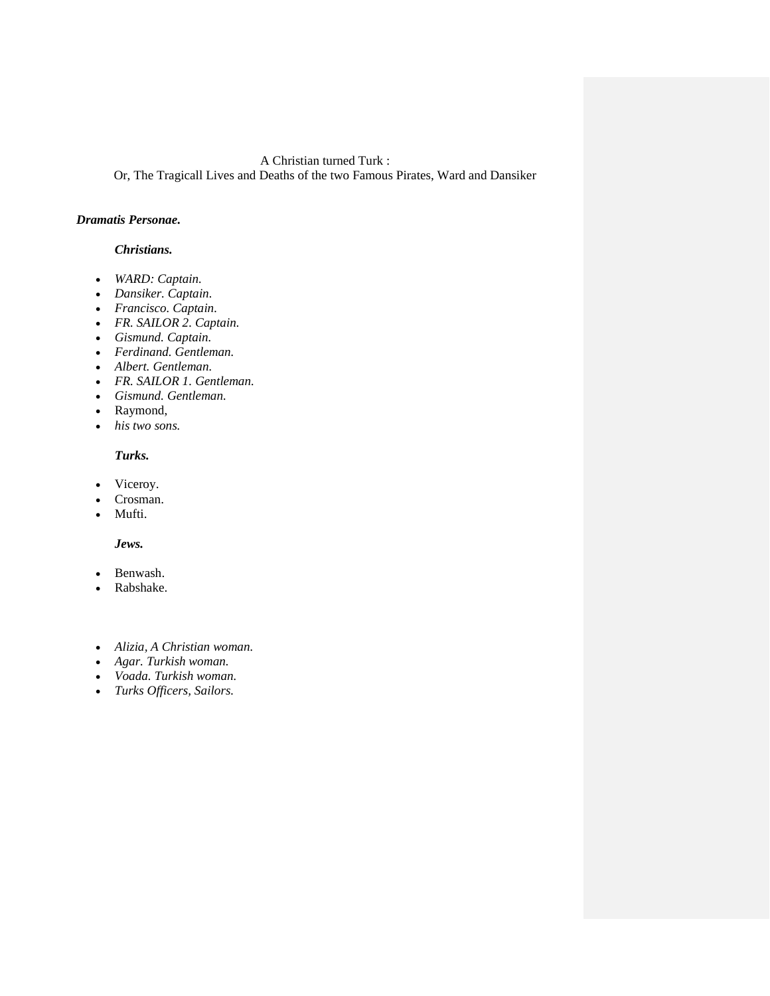# A Christian turned Turk :

Or, The Tragicall Lives and Deaths of the two Famous Pirates, Ward and Dansiker

## *Dramatis Personae.*

## *Christians.*

- *WARD: Captain.*
- *Dansiker. Captain.*
- *Francisco. Captain.*
- *FR. SAILOR 2. Captain.*
- *Gismund. Captain.*
- *Ferdinand. Gentleman.*
- *Albert. Gentleman.*
- *FR. SAILOR 1. Gentleman.*
- *Gismund. Gentleman.*
- Raymond,
- *his two sons.*

## *Turks.*

- Viceroy.
- Crosman.
- Mufti.

*Jews.*

- Benwash.
- Rabshake.
- *Alizia, A Christian woman.*
- *Agar. Turkish woman.*
- *Voada. Turkish woman.*
- *Turks Officers, Sailors.*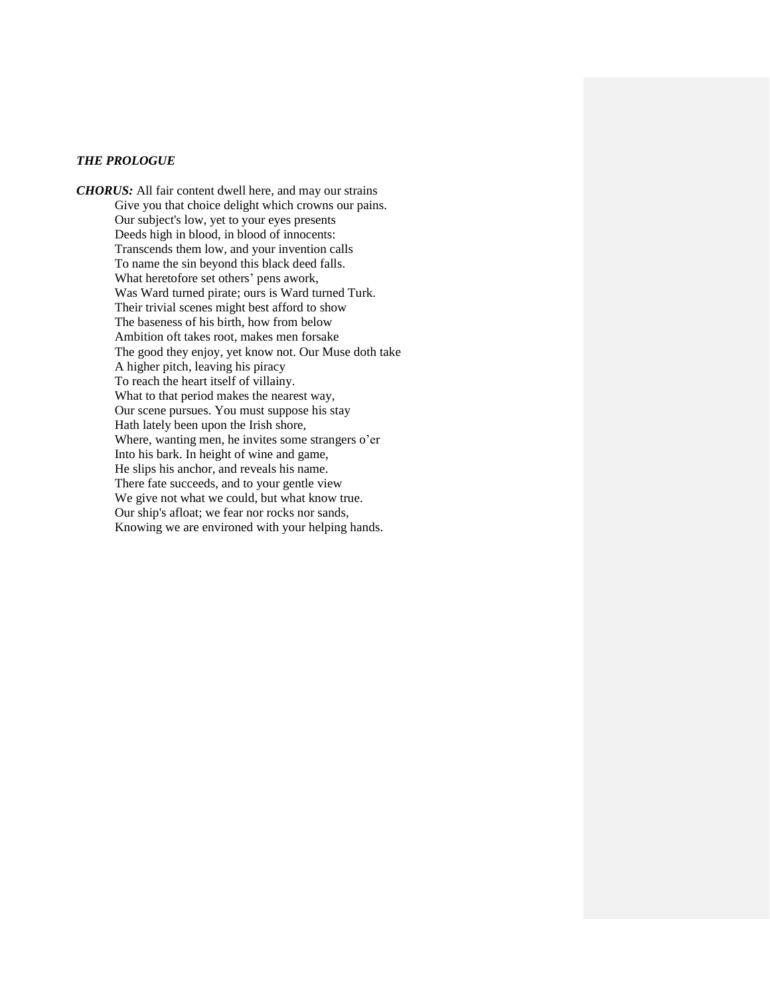## *THE PROLOGUE*

*CHORUS:* All fair content dwell here, and may our strains Give you that choice delight which crowns our pains. Our subject's low, yet to your eyes presents Deeds high in blood, in blood of innocents: Transcends them low, and your invention calls To name the sin beyond this black deed falls. What heretofore set others' pens awork, Was Ward turned pirate; ours is Ward turned Turk. Their trivial scenes might best afford to show The baseness of his birth, how from below Ambition oft takes root, makes men forsake The good they enjoy, yet know not. Our Muse doth take A higher pitch, leaving his piracy To reach the heart itself of villainy. What to that period makes the nearest way, Our scene pursues. You must suppose his stay Hath lately been upon the Irish shore, Where, wanting men, he invites some strangers o'er Into his bark. In height of wine and game, He slips his anchor, and reveals his name. There fate succeeds, and to your gentle view We give not what we could, but what know true. Our ship's afloat; we fear nor rocks nor sands, Knowing we are environed with your helping hands.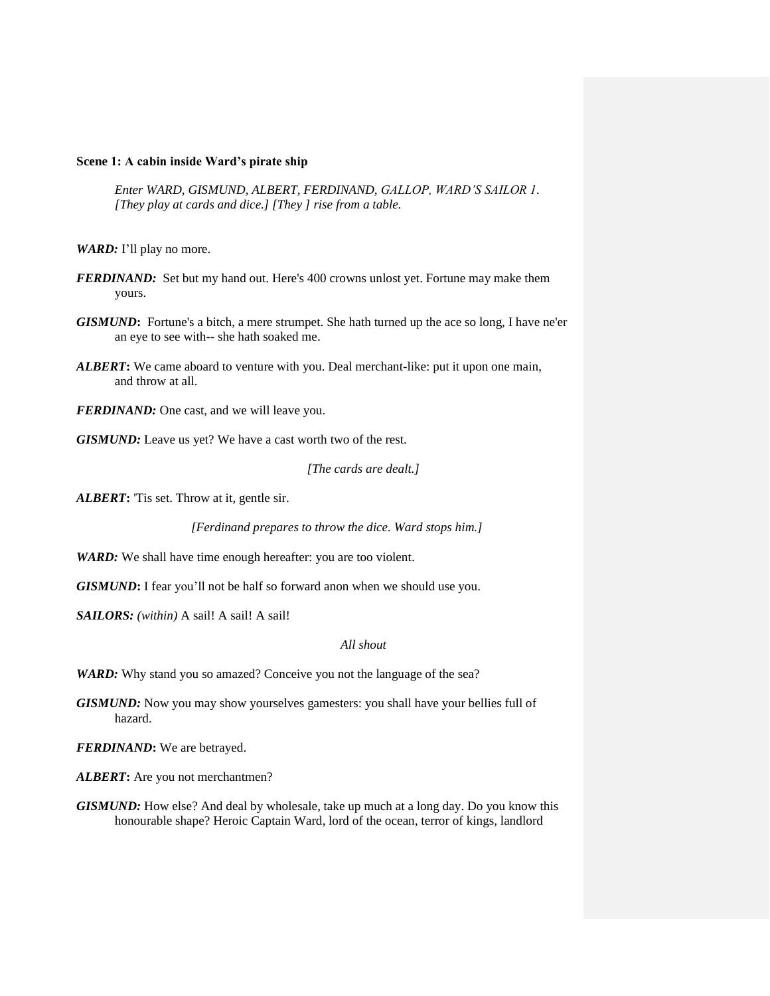### **Scene 1: A cabin inside Ward's pirate ship**

*Enter WARD, GISMUND, ALBERT, FERDINAND, GALLOP, WARD'S SAILOR 1. [They play at cards and dice.] [They ] rise from a table.*

*WARD:* I'll play no more.

- *FERDINAND:* Set but my hand out. Here's 400 crowns unlost yet. Fortune may make them yours.
- *GISMUND***:** Fortune's a bitch, a mere strumpet. She hath turned up the ace so long, I have ne'er an eye to see with-- she hath soaked me.
- *ALBERT***:** We came aboard to venture with you. Deal merchant-like: put it upon one main, and throw at all.

*FERDINAND:* One cast, and we will leave you.

*GISMUND:* Leave us yet? We have a cast worth two of the rest.

*[The cards are dealt.]*

*ALBERT***:** 'Tis set. Throw at it, gentle sir.

*[Ferdinand prepares to throw the dice. Ward stops him.]*

*WARD:* We shall have time enough hereafter: you are too violent.

*GISMUND*: I fear you'll not be half so forward anon when we should use you.

*SAILORS: (within)* A sail! A sail! A sail!

## *All shout*

*WARD*: Why stand you so amazed? Conceive you not the language of the sea?

*GISMUND:* Now you may show yourselves gamesters: you shall have your bellies full of hazard.

*FERDINAND***:** We are betrayed.

*ALBERT*: Are you not merchantmen?

*GISMUND:* How else? And deal by wholesale, take up much at a long day. Do you know this honourable shape? Heroic Captain Ward, lord of the ocean, terror of kings, landlord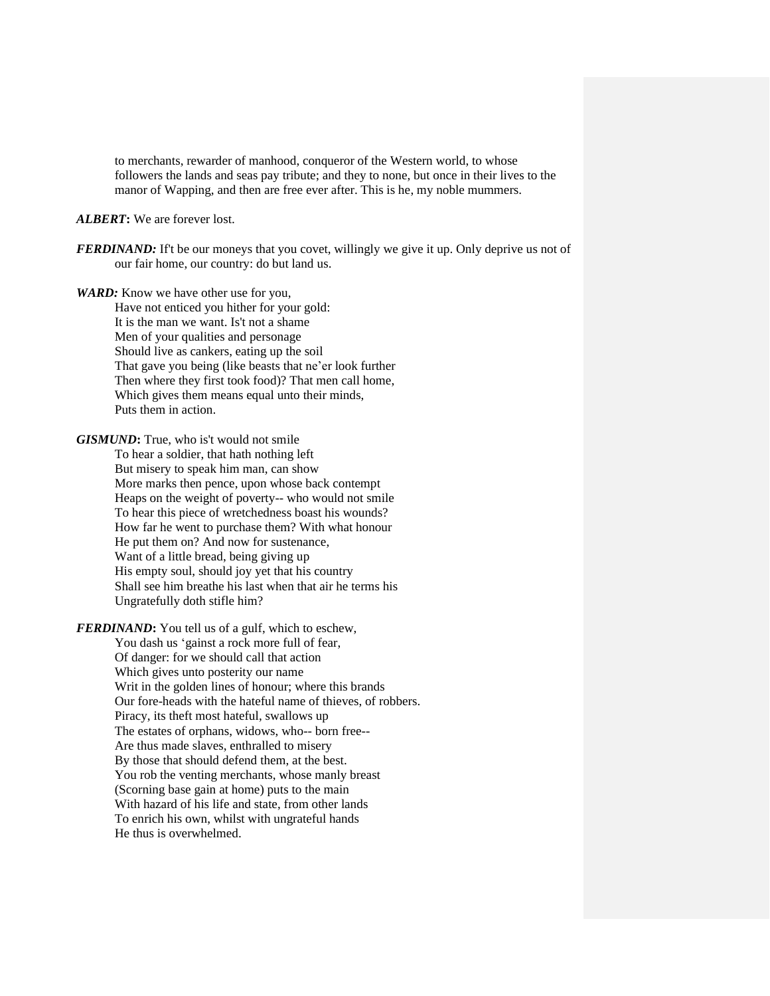to merchants, rewarder of manhood, conqueror of the Western world, to whose followers the lands and seas pay tribute; and they to none, but once in their lives to the manor of Wapping, and then are free ever after. This is he, my noble mummers.

*ALBERT***:** We are forever lost.

*FERDINAND:* If't be our moneys that you covet, willingly we give it up. Only deprive us not of our fair home, our country: do but land us.

*WARD:* Know we have other use for you,

Have not enticed you hither for your gold: It is the man we want. Is't not a shame Men of your qualities and personage Should live as cankers, eating up the soil That gave you being (like beasts that ne'er look further Then where they first took food)? That men call home, Which gives them means equal unto their minds, Puts them in action.

*GISMUND*: True, who is't would not smile

To hear a soldier, that hath nothing left But misery to speak him man, can show More marks then pence, upon whose back contempt Heaps on the weight of poverty-- who would not smile To hear this piece of wretchedness boast his wounds? How far he went to purchase them? With what honour He put them on? And now for sustenance, Want of a little bread, being giving up His empty soul, should joy yet that his country Shall see him breathe his last when that air he terms his Ungratefully doth stifle him?

*FERDINAND***:** You tell us of a gulf, which to eschew,

You dash us 'gainst a rock more full of fear, Of danger: for we should call that action Which gives unto posterity our name Writ in the golden lines of honour; where this brands Our fore-heads with the hateful name of thieves, of robbers. Piracy, its theft most hateful, swallows up The estates of orphans, widows, who-- born free-- Are thus made slaves, enthralled to misery By those that should defend them, at the best. You rob the venting merchants, whose manly breast (Scorning base gain at home) puts to the main With hazard of his life and state, from other lands To enrich his own, whilst with ungrateful hands He thus is overwhelmed.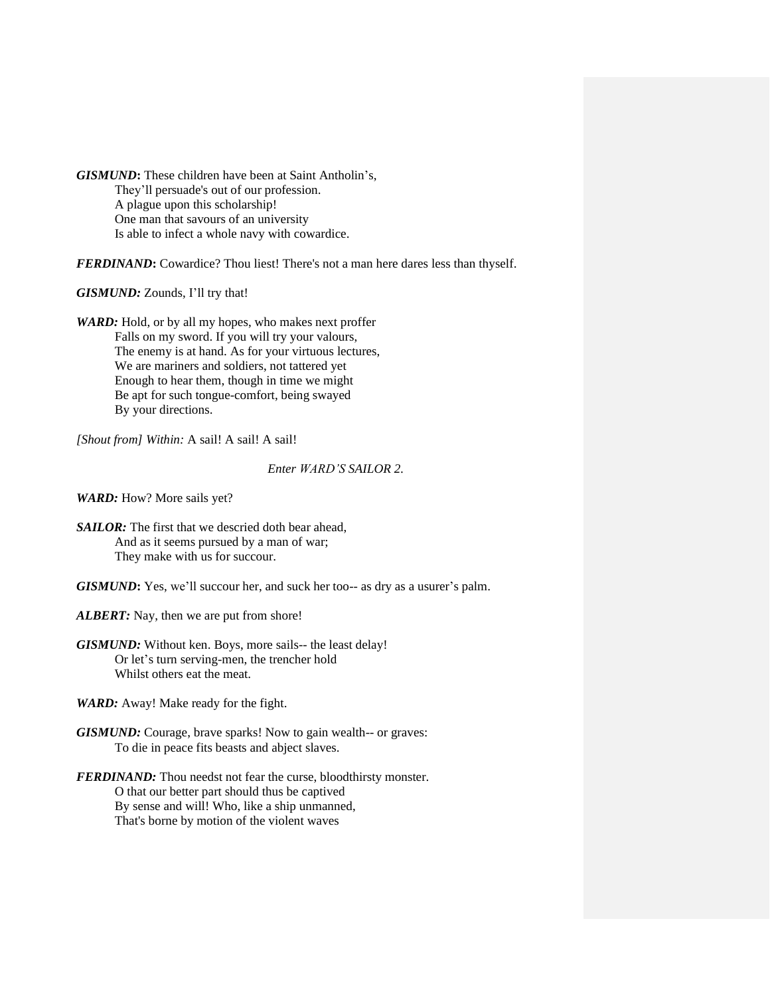*GISMUND*: These children have been at Saint Antholin's, They"ll persuade's out of our profession. A plague upon this scholarship! One man that savours of an university Is able to infect a whole navy with cowardice.

*FERDINAND*: Cowardice? Thou liest! There's not a man here dares less than thyself.

**GISMUND:** Zounds, I'll try that!

WARD: Hold, or by all my hopes, who makes next proffer Falls on my sword. If you will try your valours, The enemy is at hand. As for your virtuous lectures, We are mariners and soldiers, not tattered yet Enough to hear them, though in time we might Be apt for such tongue-comfort, being swayed By your directions.

*[Shout from] Within:* A sail! A sail! A sail!

#### *Enter WARD'S SAILOR 2.*

WARD: How? More sails yet?

**SAILOR:** The first that we descried doth bear ahead, And as it seems pursued by a man of war; They make with us for succour.

*GISMUND*: Yes, we'll succour her, and suck her too-- as dry as a usurer's palm.

ALBERT: Nay, then we are put from shore!

**GISMUND:** Without ken. Boys, more sails-- the least delay! Or let's turn serving-men, the trencher hold Whilst others eat the meat.

*WARD:* Away! Make ready for the fight.

*GISMUND:* Courage, brave sparks! Now to gain wealth-- or graves: To die in peace fits beasts and abject slaves.

*FERDINAND:* Thou needst not fear the curse, bloodthirsty monster. O that our better part should thus be captived By sense and will! Who, like a ship unmanned, That's borne by motion of the violent waves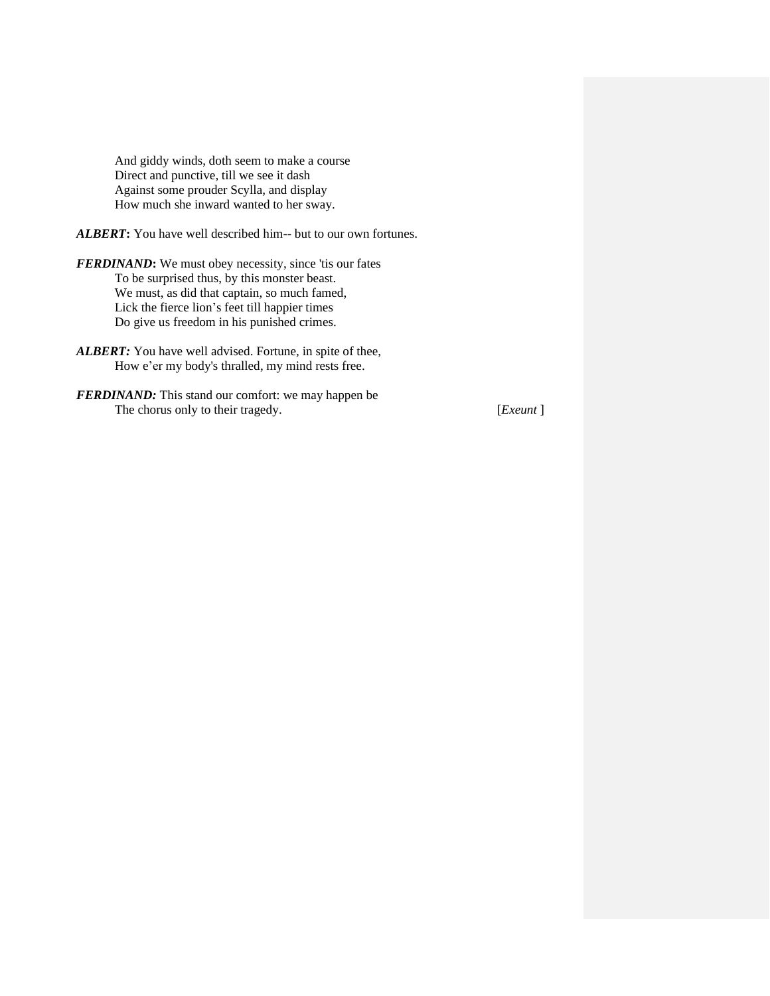And giddy winds, doth seem to make a course Direct and punctive, till we see it dash Against some prouder Scylla, and display How much she inward wanted to her sway.

*ALBERT***:** You have well described him-- but to our own fortunes.

*FERDINAND*: We must obey necessity, since 'tis our fates To be surprised thus, by this monster beast. We must, as did that captain, so much famed, Lick the fierce lion"s feet till happier times Do give us freedom in his punished crimes.

- *ALBERT:* You have well advised. Fortune*,* in spite of thee, How e'er my body's thralled, my mind rests free.
- *FERDINAND:* This stand our comfort: we may happen be The chorus only to their tragedy. [*Exeunt*]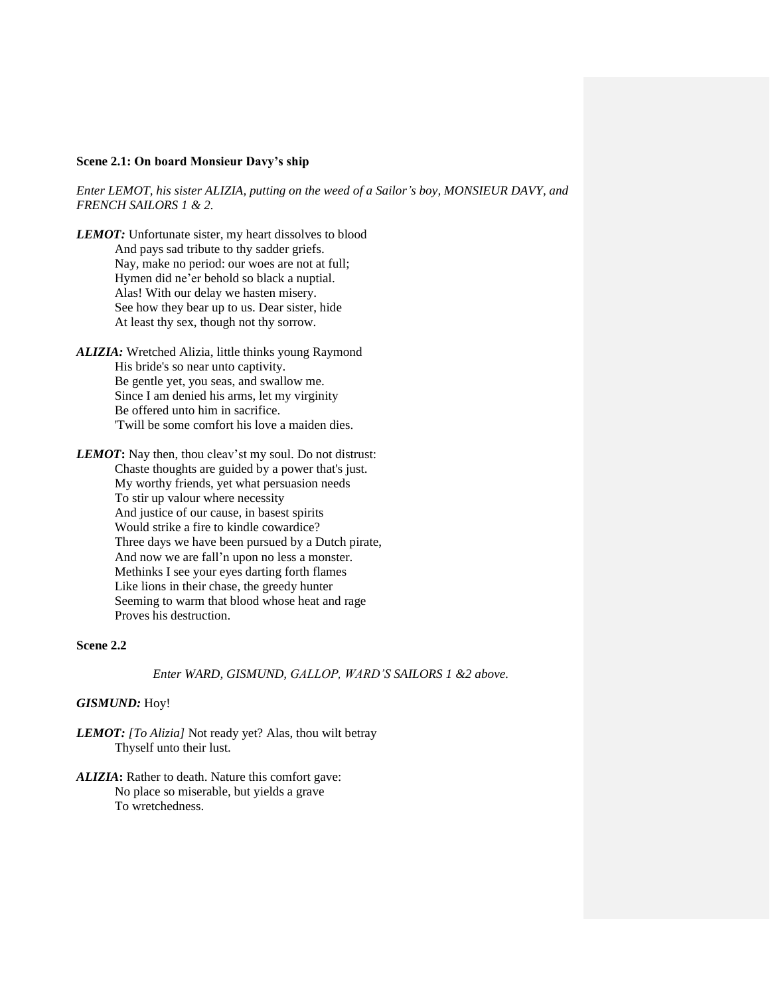### **Scene 2.1: On board Monsieur Davy's ship**

*Enter LEMOT, his sister ALIZIA, putting on the weed of a Sailor's boy, MONSIEUR DAVY, and FRENCH SAILORS 1 & 2.*

**LEMOT:** Unfortunate sister, my heart dissolves to blood And pays sad tribute to thy sadder griefs. Nay, make no period: our woes are not at full; Hymen did ne"er behold so black a nuptial. Alas! With our delay we hasten misery. See how they bear up to us. Dear sister, hide At least thy sex, though not thy sorrow.

*ALIZIA:* Wretched Alizia, little thinks young Raymond His bride's so near unto captivity. Be gentle yet, you seas, and swallow me. Since I am denied his arms, let my virginity Be offered unto him in sacrifice. 'Twill be some comfort his love a maiden dies.

*LEMOT*: Nay then, thou cleav'st my soul. Do not distrust: Chaste thoughts are guided by a power that's just. My worthy friends, yet what persuasion needs To stir up valour where necessity And justice of our cause, in basest spirits Would strike a fire to kindle cowardice? Three days we have been pursued by a Dutch pirate, And now we are fall"n upon no less a monster. Methinks I see your eyes darting forth flames Like lions in their chase, the greedy hunter Seeming to warm that blood whose heat and rage Proves his destruction.

# **Scene 2.2**

#### *Enter WARD, GISMUND, GALLOP, WARD'S SAILORS 1 &2 above.*

#### *GISMUND:* Hoy!

- *LEMOT: [To Alizia]* Not ready yet? Alas, thou wilt betray Thyself unto their lust.
- ALIZIA: Rather to death. Nature this comfort gave: No place so miserable, but yields a grave To wretchedness.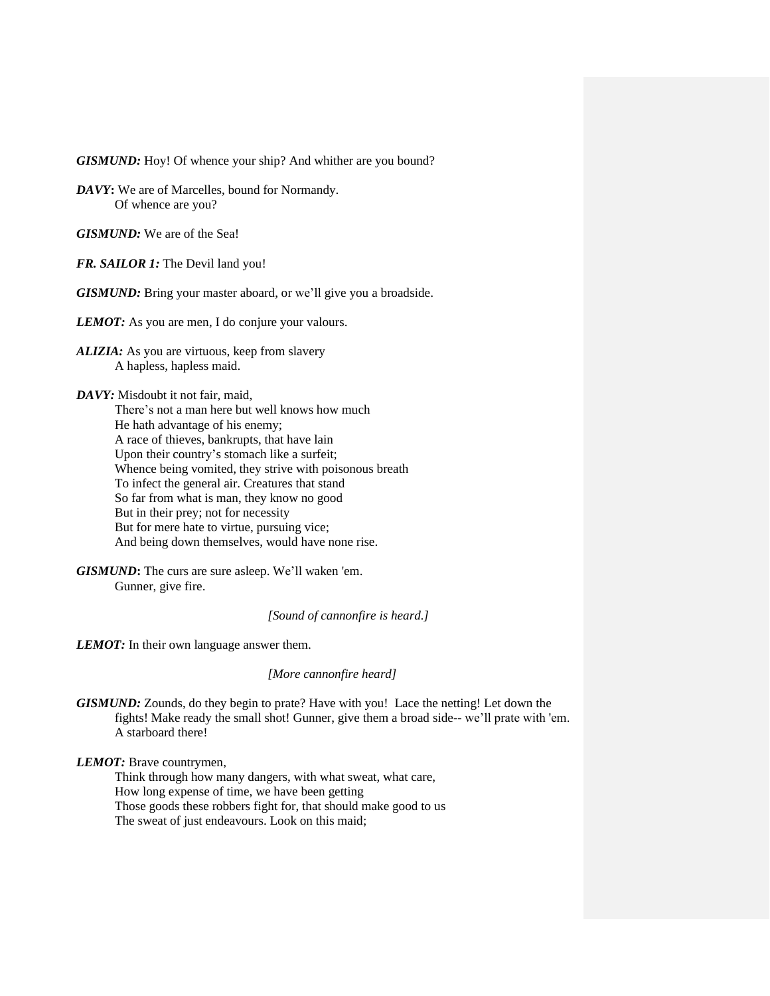*GISMUND:* Hoy! Of whence your ship? And whither are you bound?

*DAVY***:** We are of Marcelles, bound for Normandy. Of whence are you?

*GISMUND:* We are of the Sea!

*FR. SAILOR 1:* The Devil land you!

*GISMUND:* Bring your master aboard, or we'll give you a broadside.

*LEMOT:* As you are men, I do conjure your valours.

- *ALIZIA:* As you are virtuous, keep from slavery A hapless, hapless maid.
- *DAVY:* Misdoubt it not fair, maid,

There's not a man here but well knows how much He hath advantage of his enemy; A race of thieves, bankrupts, that have lain Upon their country"s stomach like a surfeit; Whence being vomited, they strive with poisonous breath To infect the general air. Creatures that stand So far from what is man, they know no good But in their prey; not for necessity But for mere hate to virtue, pursuing vice; And being down themselves, would have none rise.

*GISMUND*: The curs are sure asleep. We'll waken 'em. Gunner, give fire.

## *[Sound of cannonfire is heard.]*

*LEMOT:* In their own language answer them.

#### *[More cannonfire heard]*

*GISMUND:* Zounds, do they begin to prate? Have with you! Lace the netting! Let down the fights! Make ready the small shot! Gunner, give them a broad side-- we"ll prate with 'em. A starboard there!

*LEMOT:* Brave countrymen,

Think through how many dangers, with what sweat, what care, How long expense of time, we have been getting Those goods these robbers fight for, that should make good to us The sweat of just endeavours. Look on this maid;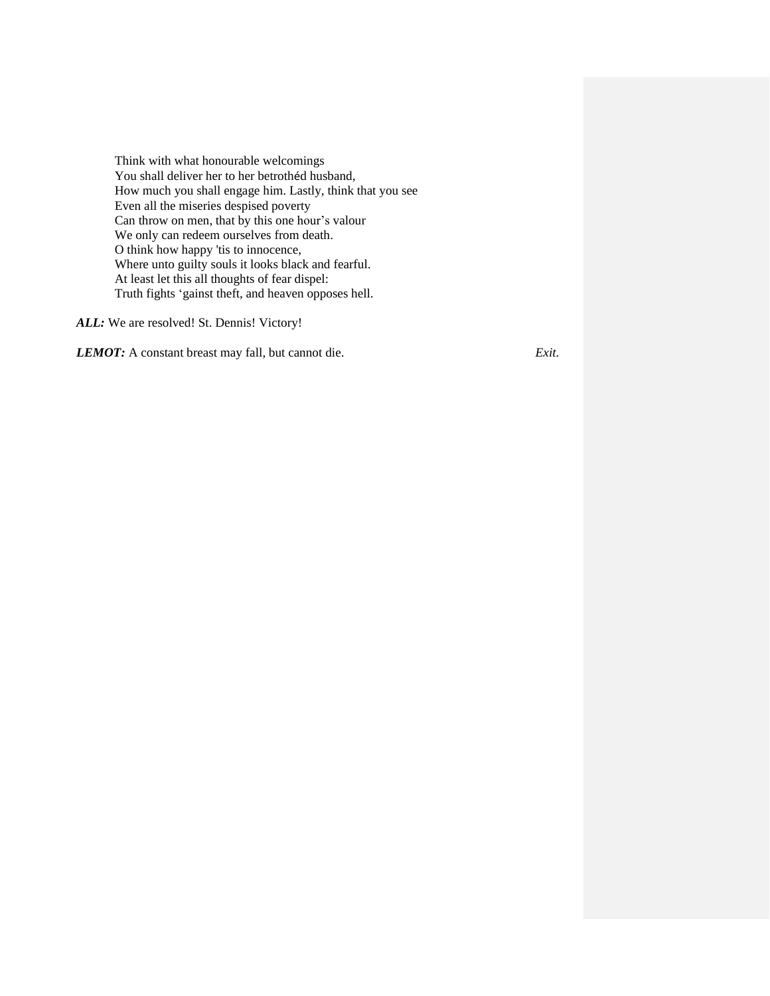Think with what honourable welcomings You shall deliver her to her betrothéd husband, How much you shall engage him. Lastly, think that you see Even all the miseries despised poverty Can throw on men, that by this one hour"s valour We only can redeem ourselves from death. O think how happy 'tis to innocence, Where unto guilty souls it looks black and fearful. At least let this all thoughts of fear dispel: Truth fights "gainst theft, and heaven opposes hell.

ALL: We are resolved! St. Dennis! Victory!

*LEMOT:* A constant breast may fall, but cannot die. *Exit.*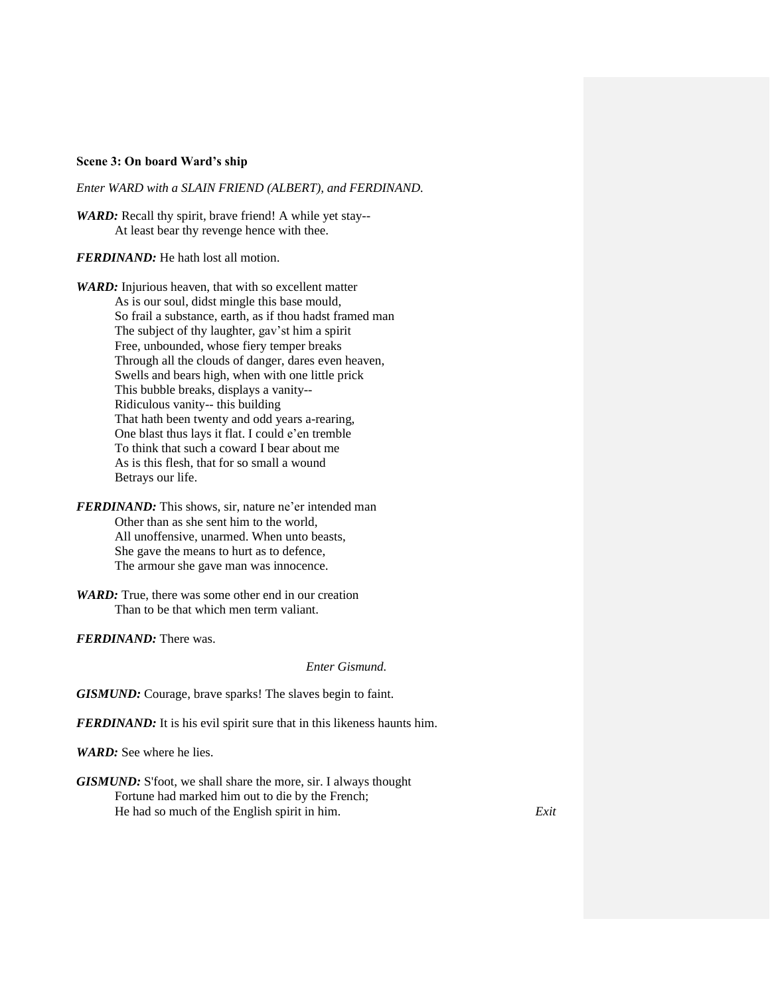## **Scene 3: On board Ward's ship**

*Enter WARD with a SLAIN FRIEND (ALBERT), and FERDINAND.*

*WARD:* Recall thy spirit, brave friend! A while yet stay--At least bear thy revenge hence with thee.

*FERDINAND:* He hath lost all motion.

WARD: Injurious heaven, that with so excellent matter As is our soul, didst mingle this base mould, So frail a substance, earth, as if thou hadst framed man The subject of thy laughter, gav'st him a spirit Free, unbounded, whose fiery temper breaks Through all the clouds of danger, dares even heaven, Swells and bears high, when with one little prick This bubble breaks, displays a vanity-- Ridiculous vanity-- this building That hath been twenty and odd years a-rearing, One blast thus lays it flat. I could e"en tremble To think that such a coward I bear about me As is this flesh, that for so small a wound Betrays our life.

*FERDINAND:* This shows, sir, nature ne'er intended man Other than as she sent him to the world, All unoffensive, unarmed. When unto beasts, She gave the means to hurt as to defence, The armour she gave man was innocence.

*WARD:* True, there was some other end in our creation Than to be that which men term valiant.

*FERDINAND:* There was.

#### *Enter Gismund.*

*GISMUND:* Courage, brave sparks! The slaves begin to faint.

*FERDINAND:* It is his evil spirit sure that in this likeness haunts him.

*WARD:* See where he lies.

*GISMUND:* S'foot, we shall share the more, sir. I always thought Fortune had marked him out to die by the French; He had so much of the English spirit in him. *Exit*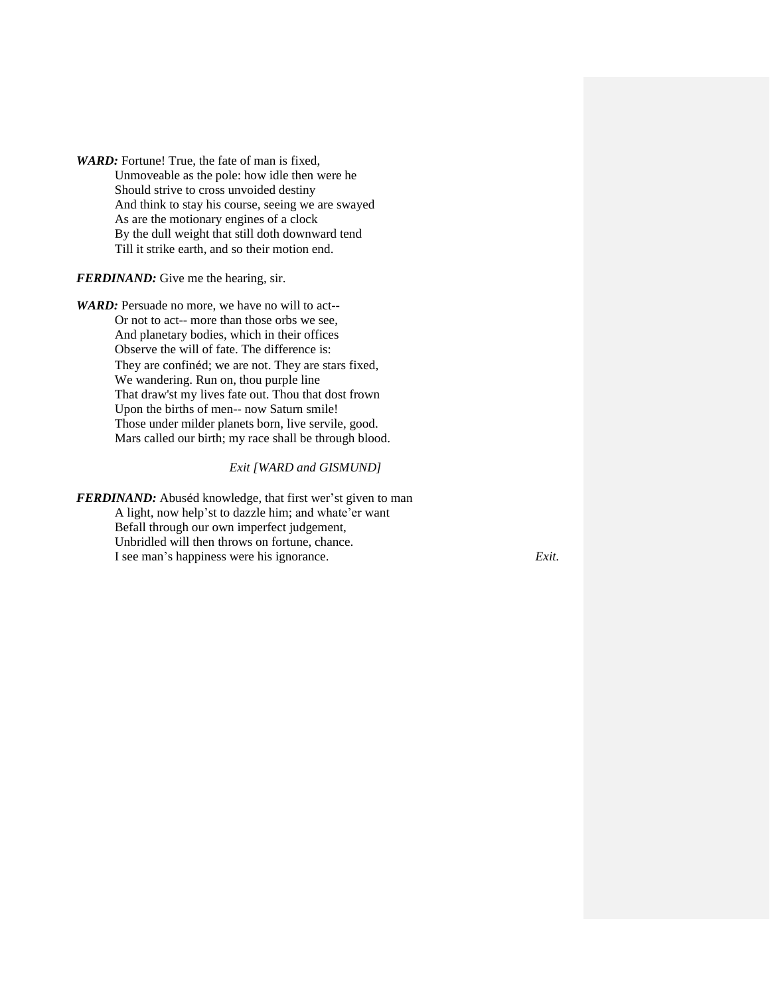*WARD:* Fortune! True, the fate of man is fixed, Unmoveable as the pole: how idle then were he Should strive to cross unvoided destiny And think to stay his course, seeing we are swayed As are the motionary engines of a clock By the dull weight that still doth downward tend Till it strike earth, and so their motion end.

*FERDINAND:* Give me the hearing, sir.

*WARD:* Persuade no more, we have no will to act--Or not to act-- more than those orbs we see, And planetary bodies, which in their offices Observe the will of fate. The difference is: They are confinéd; we are not. They are stars fixed, We wandering. Run on, thou purple line That draw'st my lives fate out. Thou that dost frown Upon the births of men-- now Saturn smile! Those under milder planets born, live servile, good. Mars called our birth; my race shall be through blood.

*Exit [WARD and GISMUND]*

*FERDINAND:* Abuséd knowledge, that first wer'st given to man A light, now help'st to dazzle him; and whate'er want Befall through our own imperfect judgement, Unbridled will then throws on fortune, chance. I see man"s happiness were his ignorance. *Exit.*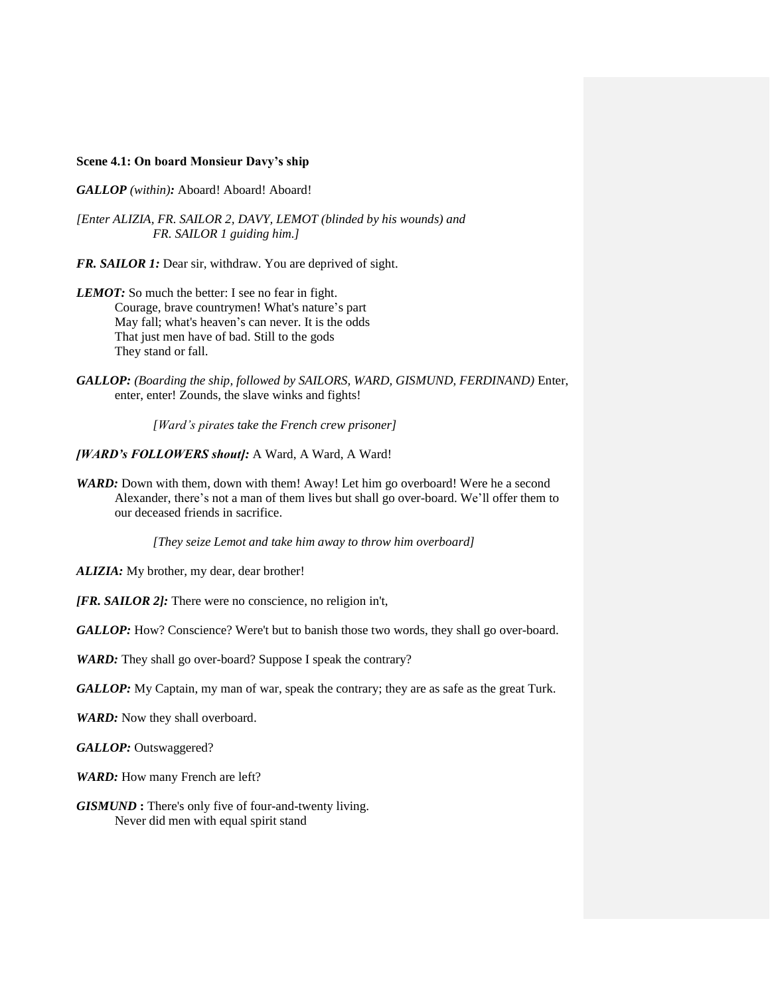**Scene 4.1: On board Monsieur Davy's ship**

*GALLOP (within):* Aboard! Aboard! Aboard!

*[Enter ALIZIA, FR. SAILOR 2, DAVY, LEMOT (blinded by his wounds) and FR. SAILOR 1 guiding him.]*

*FR. SAILOR 1:* Dear sir, withdraw. You are deprived of sight.

- *LEMOT:* So much the better: I see no fear in fight. Courage, brave countrymen! What's nature's part May fall; what's heaven's can never. It is the odds That just men have of bad. Still to the gods They stand or fall.
- *GALLOP: (Boarding the ship, followed by SAILORS, WARD, GISMUND, FERDINAND)* Enter, enter, enter! Zounds, the slave winks and fights!

*[Ward's pirates take the French crew prisoner]*

*[WARD's FOLLOWERS shout]:* A Ward, A Ward, A Ward!

*WARD*: Down with them, down with them! Away! Let him go overboard! Were he a second Alexander, there's not a man of them lives but shall go over-board. We'll offer them to our deceased friends in sacrifice.

*[They seize Lemot and take him away to throw him overboard]*

ALIZIA: My brother, my dear, dear brother!

*[FR. SAILOR 2]:* There were no conscience, no religion in't,

*GALLOP:* How? Conscience? Were't but to banish those two words, they shall go over-board.

WARD: They shall go over-board? Suppose I speak the contrary?

*GALLOP*: My Captain, my man of war, speak the contrary; they are as safe as the great Turk.

WARD: Now they shall overboard.

GALLOP: Outswaggered?

- *WARD:* How many French are left?
- *GISMUND* : There's only five of four-and-twenty living. Never did men with equal spirit stand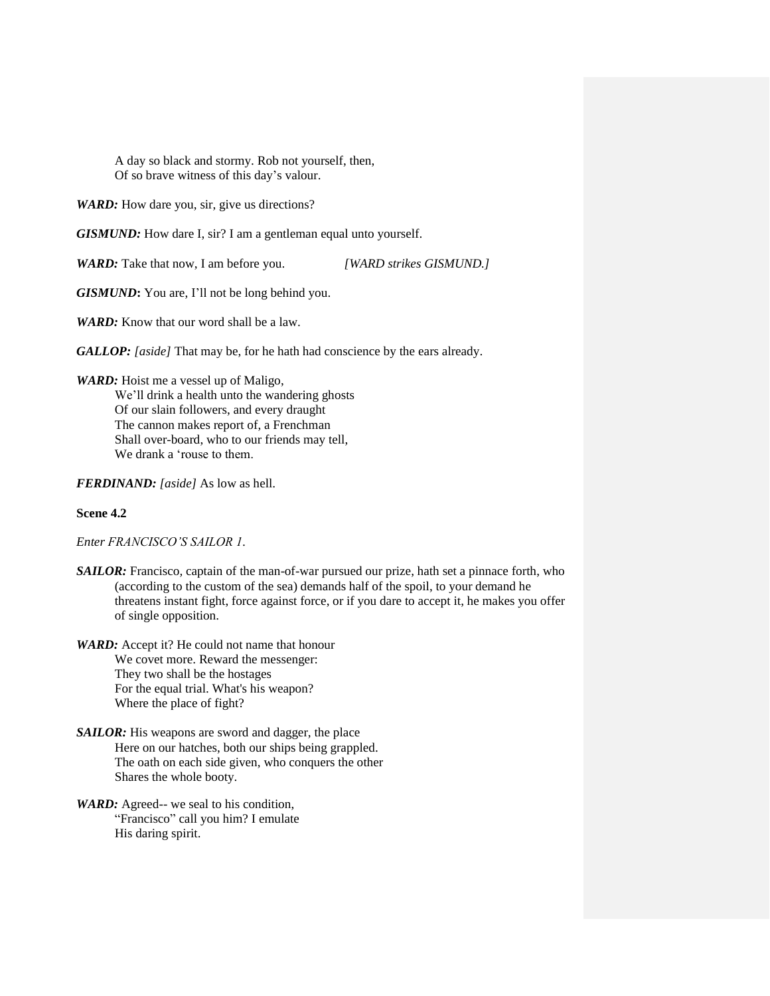A day so black and stormy. Rob not yourself, then, Of so brave witness of this day"s valour.

*WARD:* How dare you, sir, give us directions?

**GISMUND:** How dare I, sir? I am a gentleman equal unto yourself.

*WARD:* Take that now, I am before you. *[WARD strikes GISMUND.]*

*GISMUND*: You are, I'll not be long behind you.

*WARD:* Know that our word shall be a law.

GALLOP: [aside] That may be, for he hath had conscience by the ears already.

*WARD:* Hoist me a vessel up of Maligo,

We'll drink a health unto the wandering ghosts Of our slain followers, and every draught The cannon makes report of, a Frenchman Shall over-board, who to our friends may tell, We drank a "rouse to them.

*FERDINAND: [aside]* As low as hell.

## **Scene 4.2**

*Enter FRANCISCO'S SAILOR 1.*

- *SAILOR:* Francisco, captain of the man-of-war pursued our prize, hath set a pinnace forth, who (according to the custom of the sea) demands half of the spoil, to your demand he threatens instant fight, force against force, or if you dare to accept it, he makes you offer of single opposition.
- WARD: Accept it? He could not name that honour We covet more. Reward the messenger: They two shall be the hostages For the equal trial. What's his weapon? Where the place of fight?
- *SAILOR:* His weapons are sword and dagger, the place Here on our hatches, both our ships being grappled. The oath on each side given, who conquers the other Shares the whole booty.
- WARD: Agreed-- we seal to his condition, "Francisco" call you him? I emulate His daring spirit.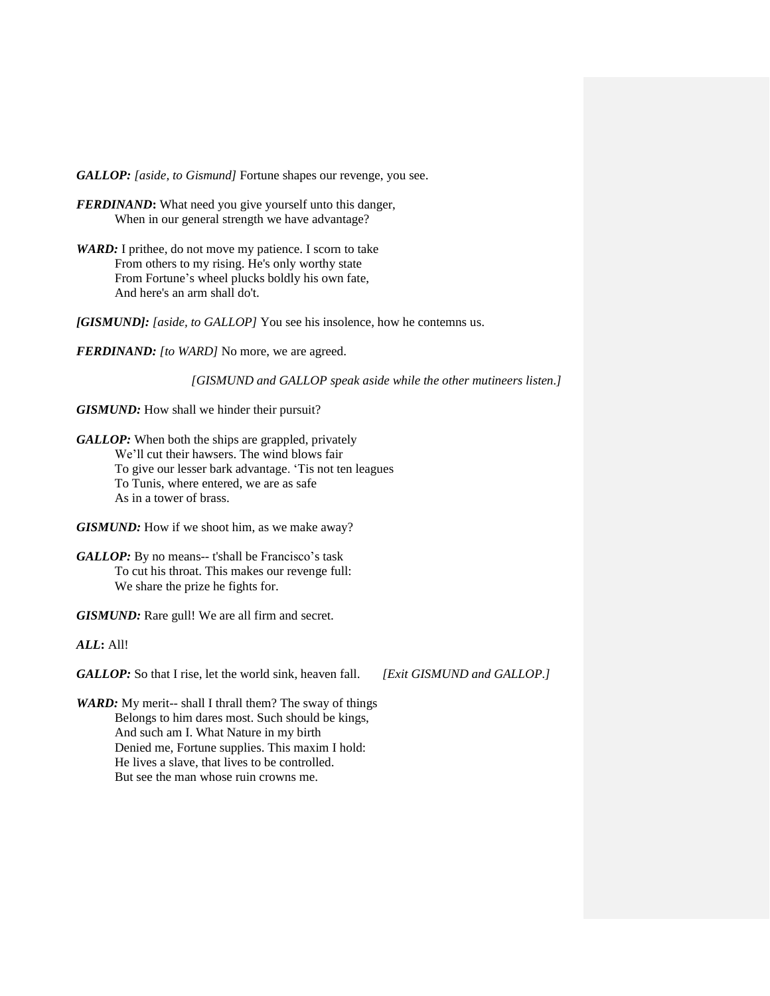*GALLOP: [aside, to Gismund]* Fortune shapes our revenge, you see.

- *FERDINAND*: What need you give yourself unto this danger, When in our general strength we have advantage?
- *WARD:* I prithee, do not move my patience. I scorn to take From others to my rising. He's only worthy state From Fortune's wheel plucks boldly his own fate, And here's an arm shall do't.

*[GISMUND]: [aside, to GALLOP]* You see his insolence, how he contemns us.

*FERDINAND: [to WARD]* No more, we are agreed.

*[GISMUND and GALLOP speak aside while the other mutineers listen.]*

**GISMUND:** How shall we hinder their pursuit?

GALLOP: When both the ships are grappled, privately We"ll cut their hawsers. The wind blows fair To give our lesser bark advantage. "Tis not ten leagues To Tunis, where entered, we are as safe As in a tower of brass.

- *GISMUND:* How if we shoot him, as we make away?
- *GALLOP*: By no means-- t'shall be Francisco's task To cut his throat. This makes our revenge full: We share the prize he fights for.

**GISMUND:** Rare gull! We are all firm and secret.

*ALL***:** All!

*GALLOP:* So that I rise, let the world sink, heaven fall. *[Exit GISMUND and GALLOP.]*

*WARD:* My merit-- shall I thrall them? The sway of things Belongs to him dares most. Such should be kings, And such am I. What Nature in my birth Denied me, Fortune supplies. This maxim I hold: He lives a slave, that lives to be controlled. But see the man whose ruin crowns me.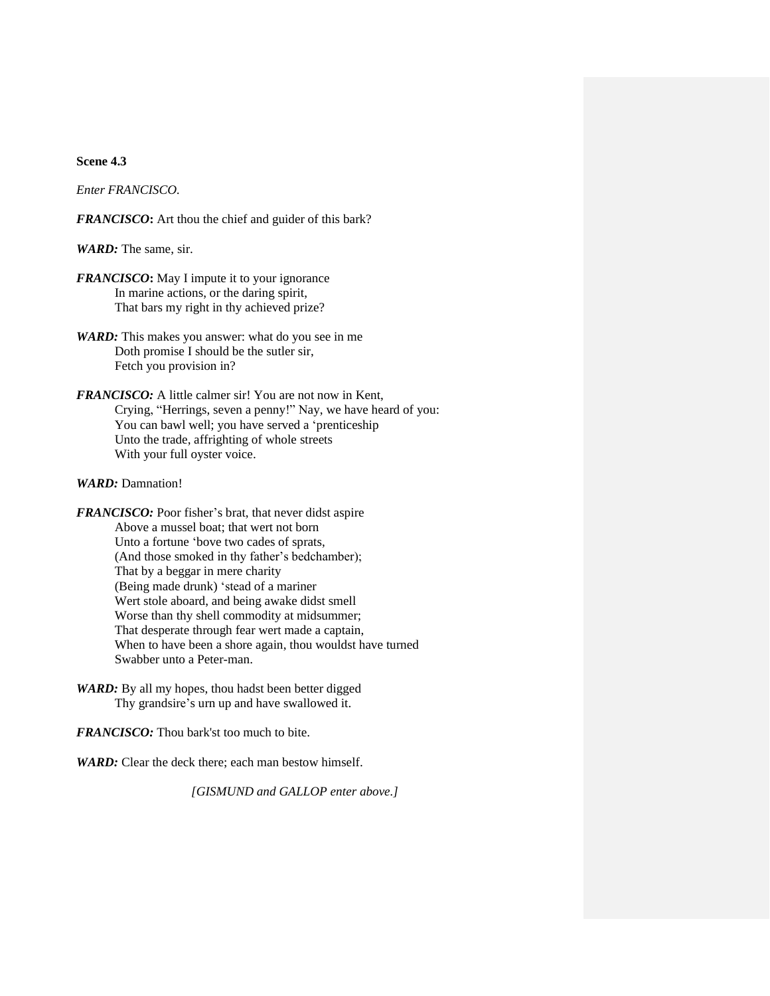## **Scene 4.3**

*Enter FRANCISCO.*

*FRANCISCO*: Art thou the chief and guider of this bark?

*WARD:* The same, sir.

*FRANCISCO*: May I impute it to your ignorance In marine actions, or the daring spirit, That bars my right in thy achieved prize?

*WARD*: This makes you answer: what do you see in me Doth promise I should be the sutler sir, Fetch you provision in?

*FRANCISCO:* A little calmer sir! You are not now in Kent, Crying, "Herrings, seven a penny!" Nay, we have heard of you: You can bawl well; you have served a "prenticeship Unto the trade, affrighting of whole streets With your full oyster voice.

*WARD:* Damnation!

*FRANCISCO:* Poor fisher's brat, that never didst aspire Above a mussel boat; that wert not born Unto a fortune "bove two cades of sprats, (And those smoked in thy father's bedchamber); That by a beggar in mere charity (Being made drunk) "stead of a mariner Wert stole aboard, and being awake didst smell Worse than thy shell commodity at midsummer; That desperate through fear wert made a captain, When to have been a shore again, thou wouldst have turned Swabber unto a Peter-man.

WARD: By all my hopes, thou hadst been better digged Thy grandsire's urn up and have swallowed it.

*FRANCISCO:* Thou bark'st too much to bite.

*WARD:* Clear the deck there; each man bestow himself.

*[GISMUND and GALLOP enter above.]*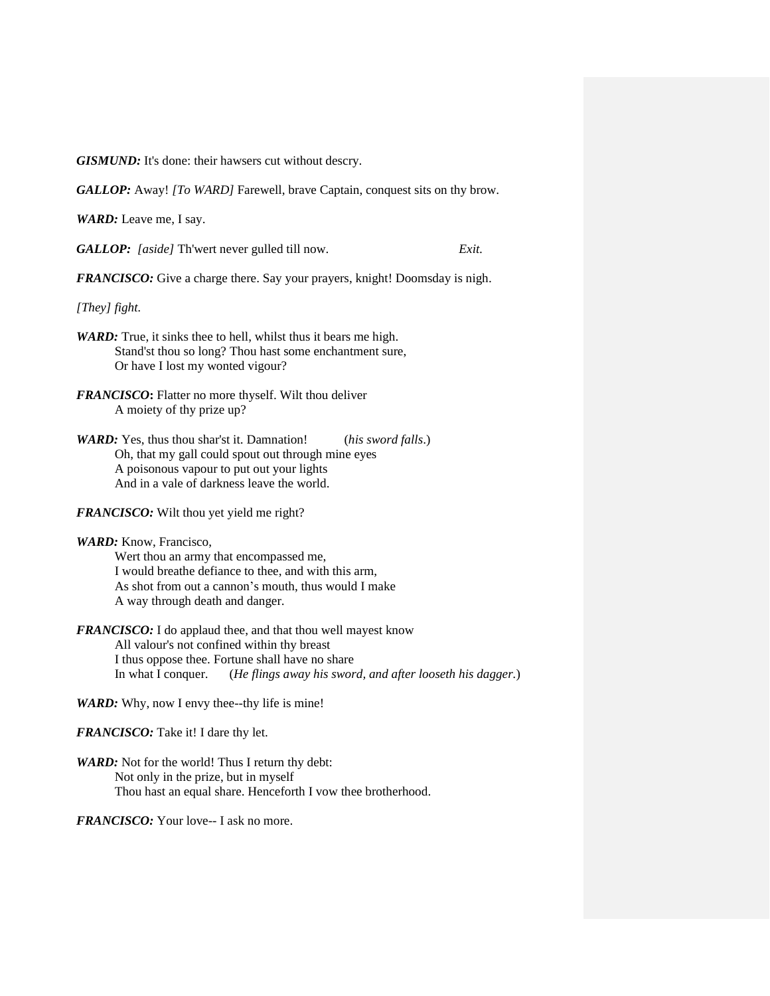*GISMUND:* It's done: their hawsers cut without descry.

*GALLOP:* Away! *[To WARD]* Farewell, brave Captain, conquest sits on thy brow.

*WARD:* Leave me, I say.

*GALLOP: [aside]* Th'wert never gulled till now. *Exit.*

*FRANCISCO:* Give a charge there. Say your prayers, knight! Doomsday is nigh.

*[They] fight.*

- *WARD:* True, it sinks thee to hell, whilst thus it bears me high. Stand'st thou so long? Thou hast some enchantment sure, Or have I lost my wonted vigour?
- *FRANCISCO*: Flatter no more thyself. Wilt thou deliver A moiety of thy prize up?
- *WARD:* Yes, thus thou shar'st it. Damnation! (*his sword falls*.) Oh, that my gall could spout out through mine eyes A poisonous vapour to put out your lights And in a vale of darkness leave the world.

*FRANCISCO:* Wilt thou yet yield me right?

*WARD:* Know, Francisco, Wert thou an army that encompassed me, I would breathe defiance to thee, and with this arm, As shot from out a cannon"s mouth, thus would I make A way through death and danger.

*FRANCISCO:* I do applaud thee, and that thou well mayest know All valour's not confined within thy breast I thus oppose thee. Fortune shall have no share In what I conquer. (*He flings away his sword, and after looseth his dagger.*)

*WARD:* Why, now I envy thee--thy life is mine!

*FRANCISCO:* Take it! I dare thy let.

WARD: Not for the world! Thus I return thy debt: Not only in the prize, but in myself Thou hast an equal share. Henceforth I vow thee brotherhood.

*FRANCISCO:* Your love-- I ask no more.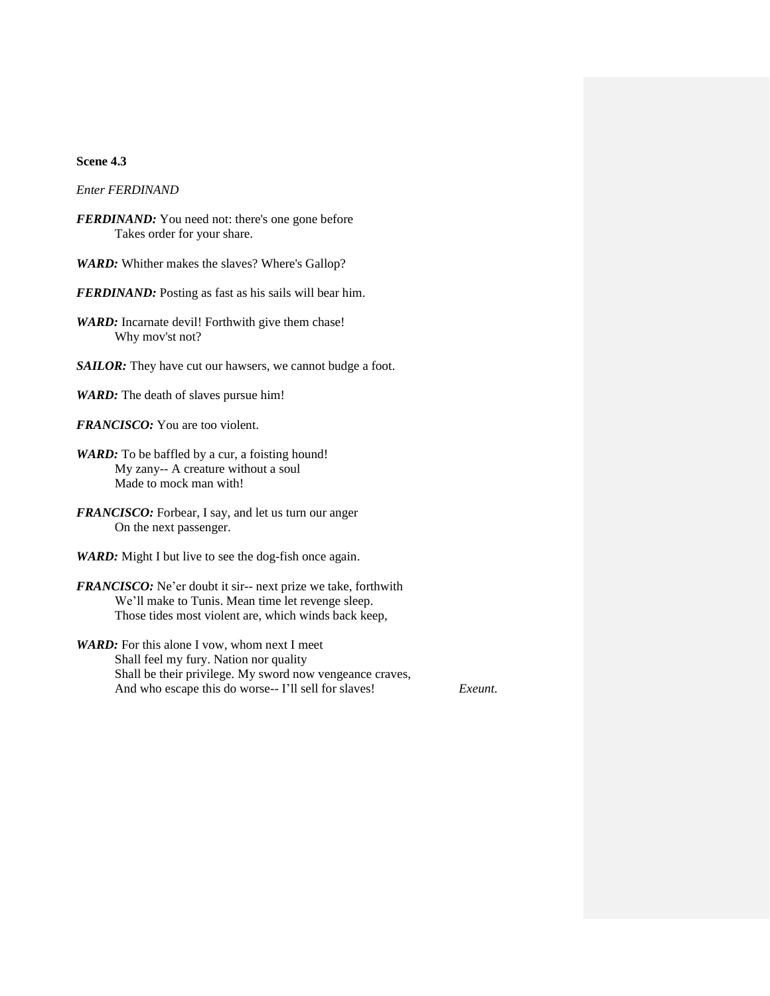## **Scene 4.3**

*Enter FERDINAND*

*FERDINAND:* You need not: there's one gone before Takes order for your share.

*WARD:* Whither makes the slaves? Where's Gallop?

*FERDINAND:* Posting as fast as his sails will bear him.

WARD: Incarnate devil! Forthwith give them chase! Why mov'st not?

SAILOR: They have cut our hawsers, we cannot budge a foot.

*WARD:* The death of slaves pursue him!

*FRANCISCO:* You are too violent.

WARD: To be baffled by a cur, a foisting hound! My zany-- A creature without a soul Made to mock man with!

*FRANCISCO:* Forbear, I say, and let us turn our anger On the next passenger.

*WARD:* Might I but live to see the dog-fish once again.

*FRANCISCO:* Ne'er doubt it sir-- next prize we take, forthwith We"ll make to Tunis. Mean time let revenge sleep. Those tides most violent are, which winds back keep,

*WARD:* For this alone I vow, whom next I meet Shall feel my fury. Nation nor quality Shall be their privilege. My sword now vengeance craves, And who escape this do worse-- I'll sell for slaves! *Exeunt.*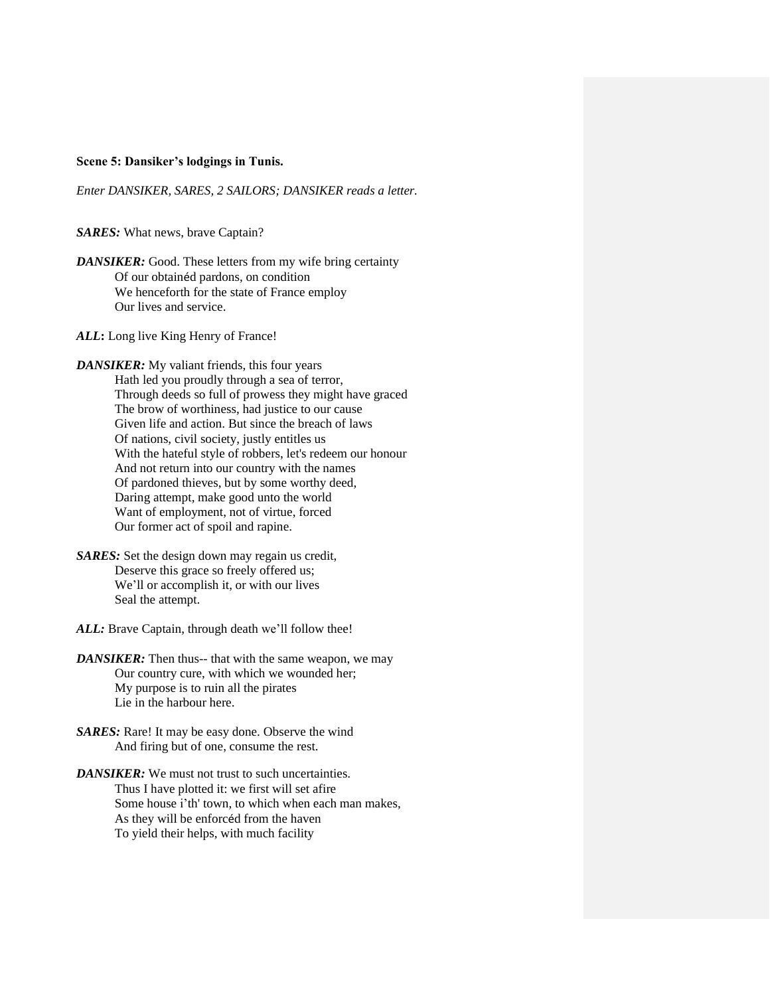## **Scene 5: Dansiker's lodgings in Tunis.**

*Enter DANSIKER, SARES, 2 SAILORS; DANSIKER reads a letter.*

*SARES:* What news, brave Captain?

*DANSIKER:* Good. These letters from my wife bring certainty Of our obtainéd pardons, on condition We henceforth for the state of France employ Our lives and service.

ALL: Long live King Henry of France!

- *DANSIKER:* My valiant friends, this four years Hath led you proudly through a sea of terror, Through deeds so full of prowess they might have graced The brow of worthiness, had justice to our cause Given life and action. But since the breach of laws Of nations, civil society, justly entitles us With the hateful style of robbers, let's redeem our honour And not return into our country with the names Of pardoned thieves, but by some worthy deed, Daring attempt, make good unto the world Want of employment, not of virtue, forced Our former act of spoil and rapine.
- **SARES:** Set the design down may regain us credit, Deserve this grace so freely offered us; We'll or accomplish it, or with our lives Seal the attempt.

ALL: Brave Captain, through death we'll follow thee!

- *DANSIKER:* Then thus-- that with the same weapon, we may Our country cure, with which we wounded her; My purpose is to ruin all the pirates Lie in the harbour here.
- SARES: Rare! It may be easy done. Observe the wind And firing but of one, consume the rest.
- *DANSIKER:* We must not trust to such uncertainties. Thus I have plotted it: we first will set afire Some house i'th' town, to which when each man makes, As they will be enforcéd from the haven To yield their helps, with much facility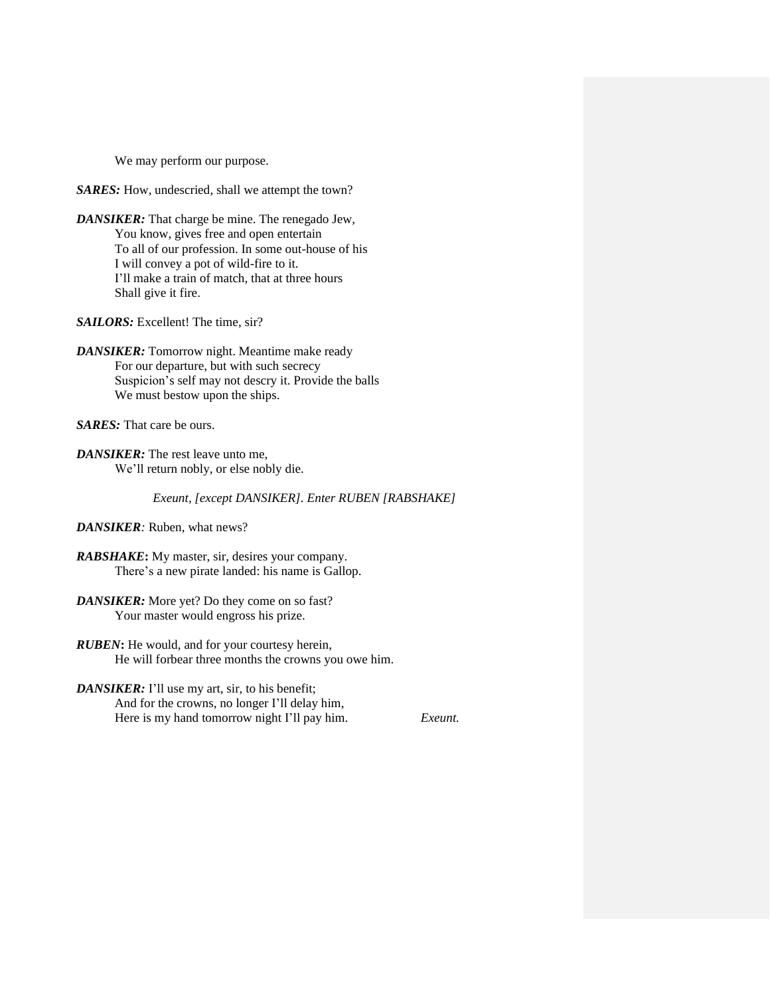We may perform our purpose.

SARES: How, undescried, shall we attempt the town?

*DANSIKER:* That charge be mine. The renegado Jew, You know, gives free and open entertain To all of our profession. In some out-house of his I will convey a pot of wild-fire to it. I"ll make a train of match, that at three hours Shall give it fire.

**SAILORS:** Excellent! The time, sir?

*DANSIKER:* Tomorrow night. Meantime make ready For our departure, but with such secrecy Suspicion"s self may not descry it. Provide the balls We must bestow upon the ships.

*SARES:* That care be ours.

*DANSIKER:* The rest leave unto me, We"ll return nobly, or else nobly die.

*Exeunt, [except DANSIKER]. Enter RUBEN [RABSHAKE]*

*DANSIKER:* Ruben, what news?

- *RABSHAKE***:** My master, sir, desires your company. There's a new pirate landed: his name is Gallop.
- *DANSIKER:* More yet? Do they come on so fast? Your master would engross his prize.
- *RUBEN***:** He would, and for your courtesy herein, He will forbear three months the crowns you owe him.
- *DANSIKER:* I'll use my art, sir, to his benefit; And for the crowns, no longer I"ll delay him, Here is my hand tomorrow night I"ll pay him. *Exeunt.*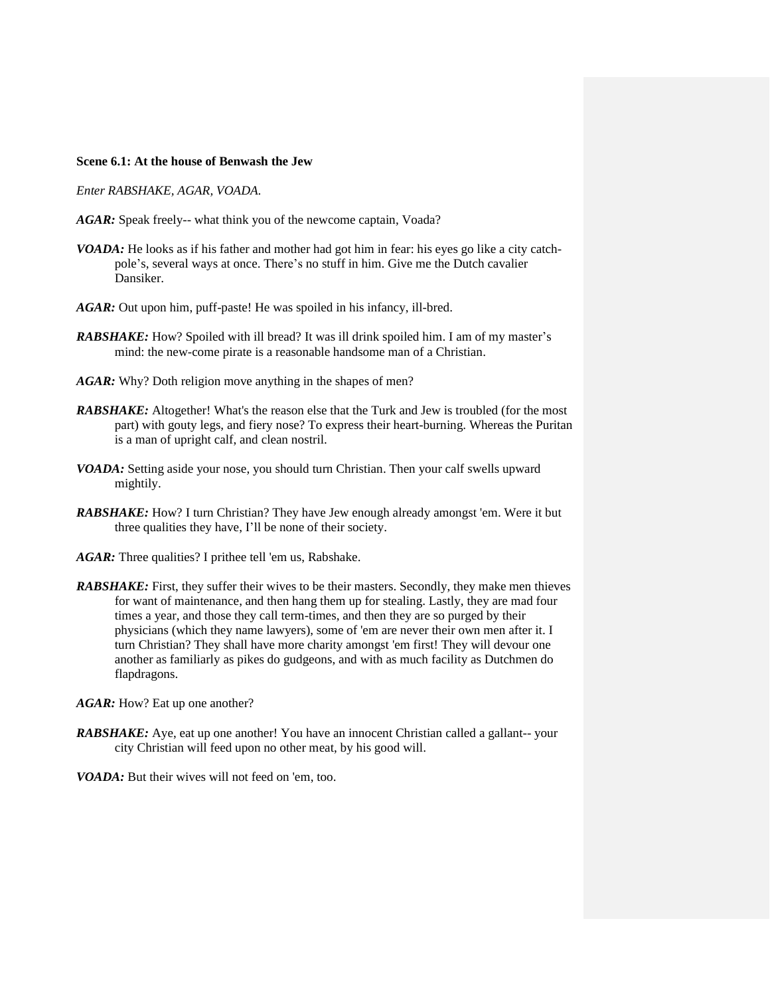**Scene 6.1: At the house of Benwash the Jew**

*Enter RABSHAKE, AGAR, VOADA.*

- *AGAR:* Speak freely-- what think you of the newcome captain, Voada?
- *VOADA:* He looks as if his father and mother had got him in fear: his eyes go like a city catchpole's, several ways at once. There's no stuff in him. Give me the Dutch cavalier Dansiker.
- AGAR: Out upon him, puff-paste! He was spoiled in his infancy, ill-bred.
- *RABSHAKE:* How? Spoiled with ill bread? It was ill drink spoiled him. I am of my master's mind: the new-come pirate is a reasonable handsome man of a Christian.
- AGAR: Why? Doth religion move anything in the shapes of men?
- *RABSHAKE:* Altogether! What's the reason else that the Turk and Jew is troubled (for the most part) with gouty legs, and fiery nose? To express their heart-burning. Whereas the Puritan is a man of upright calf, and clean nostril.
- *VOADA:* Setting aside your nose, you should turn Christian. Then your calf swells upward mightily.
- *RABSHAKE:* How? I turn Christian? They have Jew enough already amongst 'em. Were it but three qualities they have, I"ll be none of their society.
- *AGAR:* Three qualities? I prithee tell 'em us, Rabshake.
- *RABSHAKE:* First, they suffer their wives to be their masters. Secondly, they make men thieves for want of maintenance, and then hang them up for stealing. Lastly, they are mad four times a year, and those they call term-times, and then they are so purged by their physicians (which they name lawyers), some of 'em are never their own men after it. I turn Christian? They shall have more charity amongst 'em first! They will devour one another as familiarly as pikes do gudgeons, and with as much facility as Dutchmen do flapdragons.
- AGAR: How? Eat up one another?
- *RABSHAKE:* Aye, eat up one another! You have an innocent Christian called a gallant-- your city Christian will feed upon no other meat, by his good will.
- *VOADA:* But their wives will not feed on 'em, too.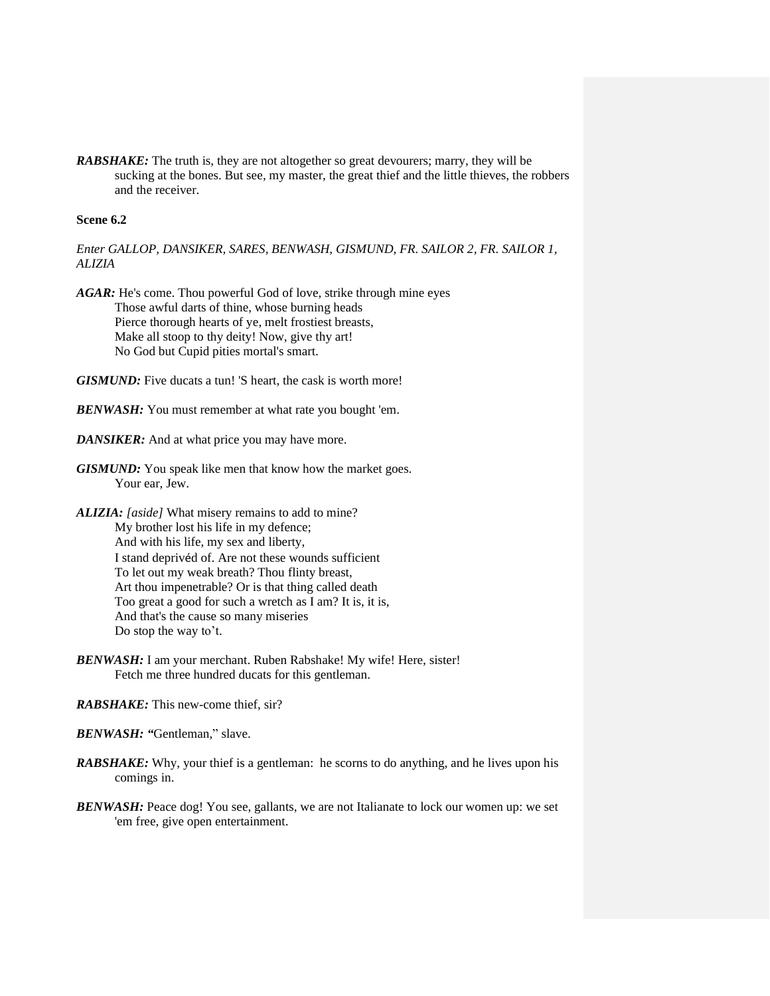*RABSHAKE:* The truth is, they are not altogether so great devourers; marry, they will be sucking at the bones. But see, my master, the great thief and the little thieves, the robbers and the receiver.

#### **Scene 6.2**

*Enter GALLOP, DANSIKER, SARES, BENWASH, GISMUND, FR. SAILOR 2, FR. SAILOR 1, ALIZIA*

AGAR: He's come. Thou powerful God of love, strike through mine eyes Those awful darts of thine, whose burning heads Pierce thorough hearts of ye, melt frostiest breasts, Make all stoop to thy deity! Now, give thy art! No God but Cupid pities mortal's smart.

*GISMUND:* Five ducats a tun! 'S heart, the cask is worth more!

*BENWASH:* You must remember at what rate you bought 'em.

*DANSIKER:* And at what price you may have more.

- *GISMUND:* You speak like men that know how the market goes. Your ear, Jew.
- *ALIZIA: [aside]* What misery remains to add to mine? My brother lost his life in my defence; And with his life, my sex and liberty, I stand deprivéd of. Are not these wounds sufficient To let out my weak breath? Thou flinty breast, Art thou impenetrable? Or is that thing called death Too great a good for such a wretch as I am? It is, it is, And that's the cause so many miseries Do stop the way to't.
- **BENWASH:** I am your merchant. Ruben Rabshake! My wife! Here, sister! Fetch me three hundred ducats for this gentleman.

*RABSHAKE:* This new-come thief, sir?

*BENWASH: "*Gentleman," slave.

- *RABSHAKE:* Why, your thief is a gentleman: he scorns to do anything, and he lives upon his comings in.
- **BENWASH:** Peace dog! You see, gallants, we are not Italianate to lock our women up: we set 'em free, give open entertainment.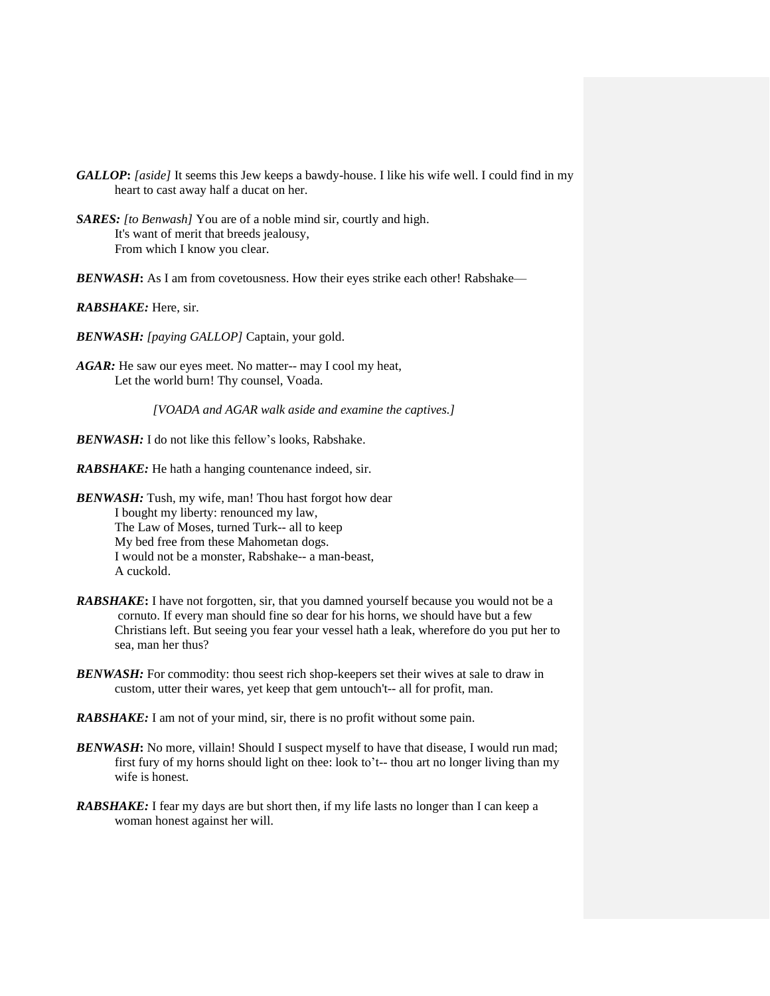- *GALLOP***:** *[aside]* It seems this Jew keeps a bawdy-house. I like his wife well. I could find in my heart to cast away half a ducat on her.
- *SARES: [to Benwash]* You are of a noble mind sir, courtly and high. It's want of merit that breeds jealousy, From which I know you clear.
- *BENWASH***:** As I am from covetousness. How their eyes strike each other! Rabshake—

*RABSHAKE:* Here, sir.

*BENWASH: [paying GALLOP]* Captain, your gold.

AGAR: He saw our eyes meet. No matter-- may I cool my heat, Let the world burn! Thy counsel, Voada.

*[VOADA and AGAR walk aside and examine the captives.]*

*BENWASH:* I do not like this fellow's looks, Rabshake.

*RABSHAKE:* He hath a hanging countenance indeed, sir.

*BENWASH:* Tush, my wife, man! Thou hast forgot how dear I bought my liberty: renounced my law, The Law of Moses, turned Turk-- all to keep My bed free from these Mahometan dogs. I would not be a monster, Rabshake-- a man-beast, A cuckold.

- *RABSHAKE*: I have not forgotten, sir, that you damned yourself because you would not be a cornuto. If every man should fine so dear for his horns, we should have but a few Christians left. But seeing you fear your vessel hath a leak, wherefore do you put her to sea, man her thus?
- *BENWASH:* For commodity: thou seest rich shop-keepers set their wives at sale to draw in custom, utter their wares, yet keep that gem untouch't-- all for profit, man.

*RABSHAKE:* I am not of your mind, sir, there is no profit without some pain.

- **BENWASH:** No more, villain! Should I suspect myself to have that disease, I would run mad; first fury of my horns should light on thee: look to't-- thou art no longer living than my wife is honest.
- *RABSHAKE:* I fear my days are but short then, if my life lasts no longer than I can keep a woman honest against her will.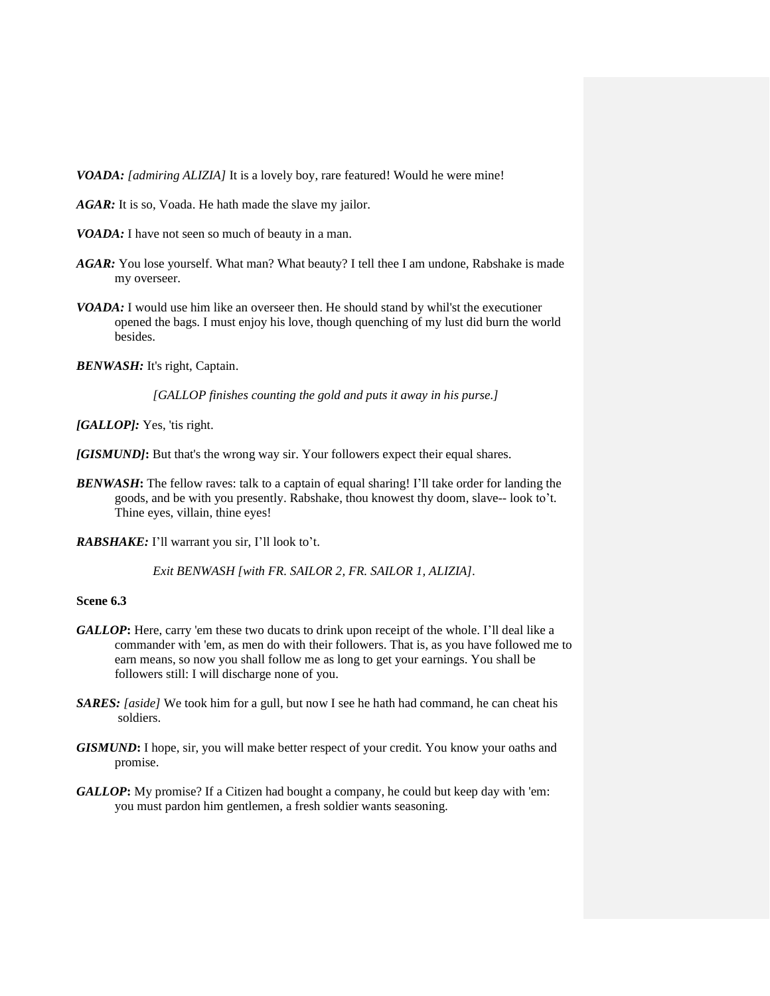*VOADA: [admiring ALIZIA]* It is a lovely boy, rare featured! Would he were mine!

- *AGAR:* It is so, Voada. He hath made the slave my jailor.
- *VOADA:* I have not seen so much of beauty in a man.
- *AGAR:* You lose yourself. What man? What beauty? I tell thee I am undone, Rabshake is made my overseer.
- *VOADA:* I would use him like an overseer then. He should stand by whil'st the executioner opened the bags. I must enjoy his love, though quenching of my lust did burn the world besides.

*BENWASH:* It's right, Captain.

*[GALLOP finishes counting the gold and puts it away in his purse.]*

- *[GALLOP]:* Yes, 'tis right.
- *[GISMUND]***:** But that's the wrong way sir. Your followers expect their equal shares.
- **BENWASH**: The fellow raves: talk to a captain of equal sharing! I'll take order for landing the goods, and be with you presently. Rabshake, thou knowest thy doom, slave-- look to"t. Thine eyes, villain, thine eyes!
- *RABSHAKE: I'll warrant you sir, I'll look to't.*

*Exit BENWASH [with FR. SAILOR 2, FR. SAILOR 1, ALIZIA].*

## **Scene 6.3**

- *GALLOP***:** Here, carry 'em these two ducats to drink upon receipt of the whole. I"ll deal like a commander with 'em, as men do with their followers. That is, as you have followed me to earn means, so now you shall follow me as long to get your earnings. You shall be followers still: I will discharge none of you.
- *SARES: [aside]* We took him for a gull, but now I see he hath had command, he can cheat his soldiers.
- *GISMUND***:** I hope, sir, you will make better respect of your credit. You know your oaths and promise.
- *GALLOP***:** My promise? If a Citizen had bought a company, he could but keep day with 'em: you must pardon him gentlemen, a fresh soldier wants seasoning.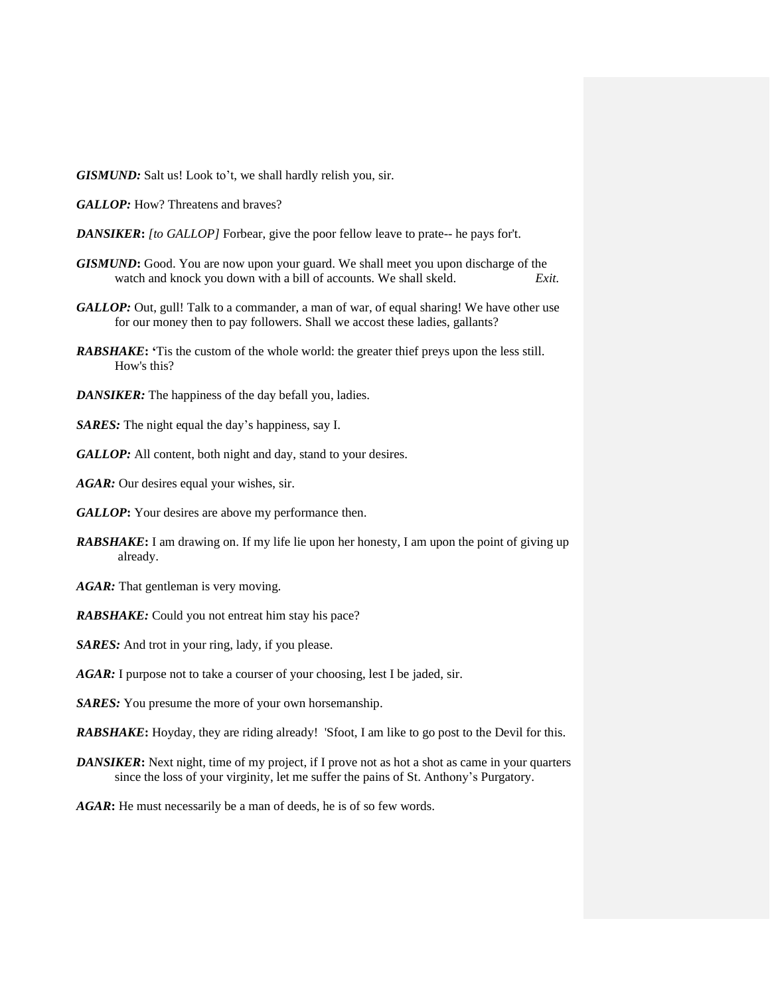*GISMUND:* Salt us! Look to't, we shall hardly relish you, sir.

- GALLOP: How? Threatens and braves?
- *DANSIKER***:** *[to GALLOP]* Forbear, give the poor fellow leave to prate-- he pays for't.
- *GISMUND***:** Good. You are now upon your guard. We shall meet you upon discharge of the watch and knock you down with a bill of accounts. We shall skeld. *Exit.*
- *GALLOP*: Out, gull! Talk to a commander, a man of war, of equal sharing! We have other use for our money then to pay followers. Shall we accost these ladies, gallants?
- *RABSHAKE***: '**Tis the custom of the whole world: the greater thief preys upon the less still. How's this?
- *DANSIKER:* The happiness of the day befall you, ladies.
- *SARES:* The night equal the day's happiness, say I.
- *GALLOP*: All content, both night and day, stand to your desires.
- AGAR: Our desires equal your wishes, sir.
- *GALLOP*: Your desires are above my performance then.
- *RABSHAKE*: I am drawing on. If my life lie upon her honesty, I am upon the point of giving up already.
- AGAR: That gentleman is very moving.
- *RABSHAKE:* Could you not entreat him stay his pace?
- *SARES:* And trot in your ring, lady, if you please.
- *AGAR:* I purpose not to take a courser of your choosing, lest I be jaded, sir.
- **SARES:** You presume the more of your own horsemanship.
- *RABSHAKE***:** Hoyday, they are riding already! 'Sfoot, I am like to go post to the Devil for this.
- *DANSIKER*: Next night, time of my project, if I prove not as hot a shot as came in your quarters since the loss of your virginity, let me suffer the pains of St. Anthony"s Purgatory.
- AGAR: He must necessarily be a man of deeds, he is of so few words.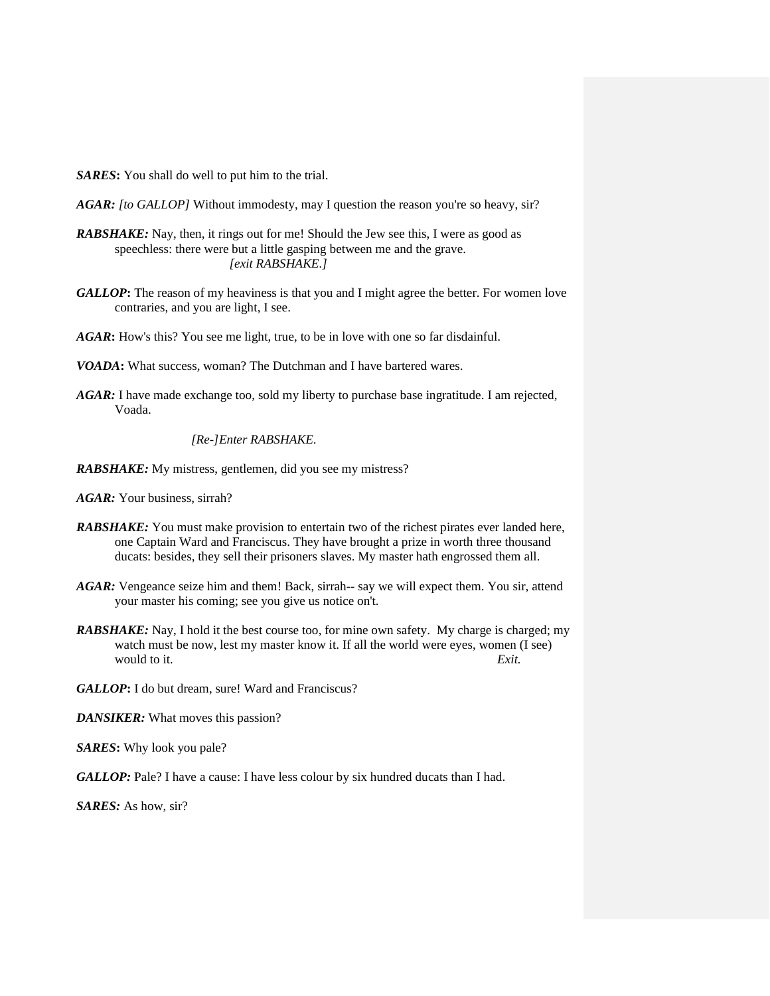*SARES***:** You shall do well to put him to the trial.

- *AGAR: [to GALLOP]* Without immodesty, may I question the reason you're so heavy, sir?
- *RABSHAKE:* Nay, then, it rings out for me! Should the Jew see this, I were as good as speechless: there were but a little gasping between me and the grave. *[exit RABSHAKE.]*
- *GALLOP***:** The reason of my heaviness is that you and I might agree the better. For women love contraries, and you are light, I see.
- AGAR: How's this? You see me light, true, to be in love with one so far disdainful.
- *VOADA***:** What success, woman? The Dutchman and I have bartered wares.
- *AGAR:* I have made exchange too, sold my liberty to purchase base ingratitude. I am rejected, Voada.

## *[Re-]Enter RABSHAKE.*

*RABSHAKE:* My mistress, gentlemen, did you see my mistress?

AGAR: Your business, sirrah?

- *RABSHAKE:* You must make provision to entertain two of the richest pirates ever landed here, one Captain Ward and Franciscus. They have brought a prize in worth three thousand ducats: besides, they sell their prisoners slaves. My master hath engrossed them all.
- *AGAR:* Vengeance seize him and them! Back, sirrah-- say we will expect them. You sir, attend your master his coming; see you give us notice on't.
- *RABSHAKE:* Nay, I hold it the best course too, for mine own safety. My charge is charged; my watch must be now, lest my master know it. If all the world were eyes, women (I see) would to it. **Exit. Exit.**
- *GALLOP*: I do but dream, sure! Ward and Franciscus?

*DANSIKER:* What moves this passion?

- *SARES***:** Why look you pale?
- *GALLOP*: Pale? I have a cause: I have less colour by six hundred ducats than I had.

*SARES:* As how, sir?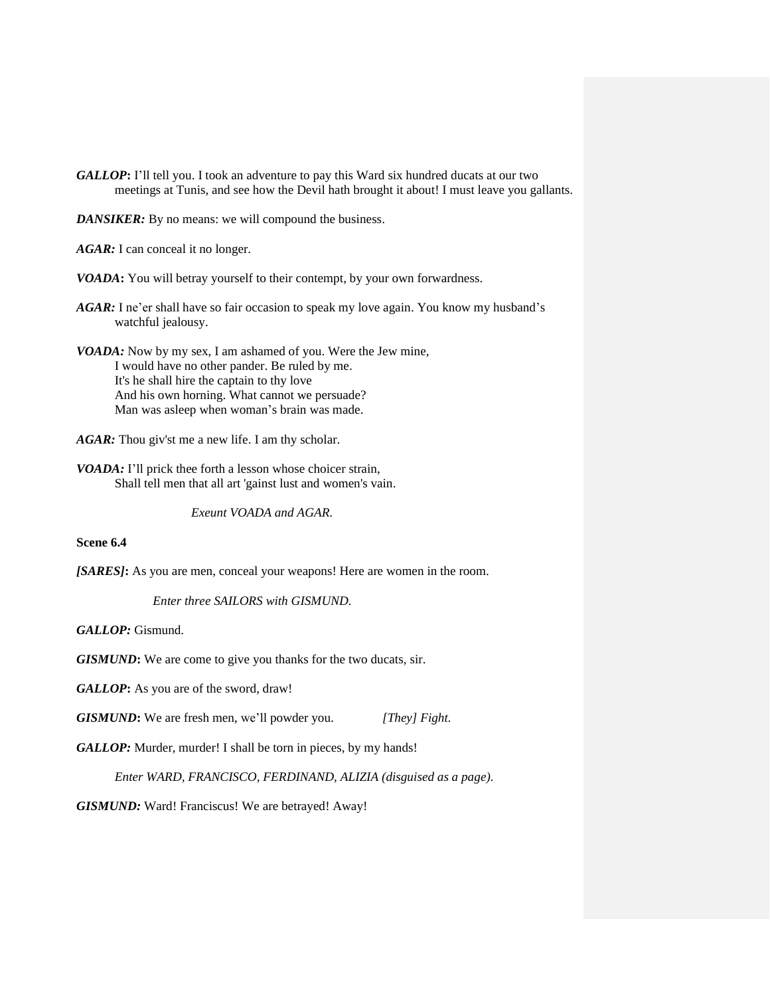*GALLOP***:** I"ll tell you. I took an adventure to pay this Ward six hundred ducats at our two meetings at Tunis, and see how the Devil hath brought it about! I must leave you gallants.

*DANSIKER:* By no means: we will compound the business.

AGAR: I can conceal it no longer.

*VOADA***:** You will betray yourself to their contempt, by your own forwardness.

- *AGAR*: I ne'er shall have so fair occasion to speak my love again. You know my husband's watchful jealousy.
- *VOADA:* Now by my sex, I am ashamed of you. Were the Jew mine, I would have no other pander. Be ruled by me. It's he shall hire the captain to thy love And his own horning. What cannot we persuade? Man was asleep when woman"s brain was made.

*AGAR:* Thou giv'st me a new life. I am thy scholar.

*VOADA:* I'll prick thee forth a lesson whose choicer strain, Shall tell men that all art 'gainst lust and women's vain.

*Exeunt VOADA and AGAR.*

## **Scene 6.4**

*[SARES]***:** As you are men, conceal your weapons! Here are women in the room.

*Enter three SAILORS with GISMUND.*

*GALLOP:* Gismund*.*

*GISMUND***:** We are come to give you thanks for the two ducats, sir.

GALLOP: As you are of the sword, draw!

*GISMUND***:** We are fresh men, we"ll powder you. *[They] Fight.*

GALLOP: Murder, murder! I shall be torn in pieces, by my hands!

*Enter WARD, FRANCISCO, FERDINAND, ALIZIA (disguised as a page).*

**GISMUND:** Ward! Franciscus! We are betrayed! Away!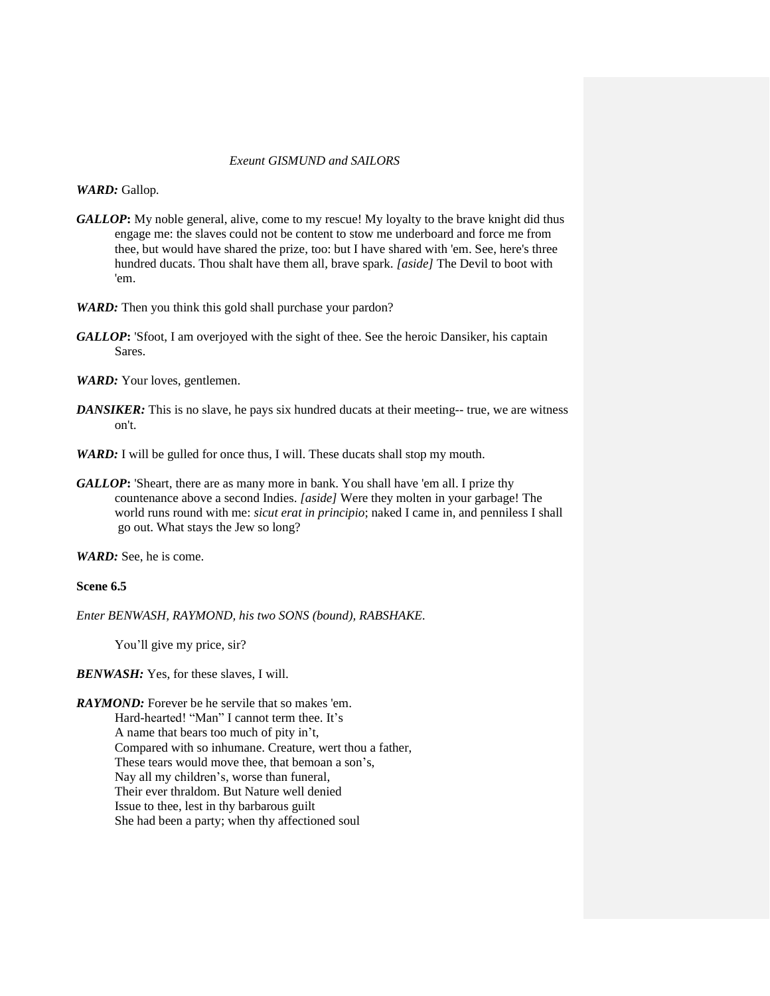#### *Exeunt GISMUND and SAILORS*

*WARD:* Gallop*.*

- *GALLOP***:** My noble general, alive, come to my rescue! My loyalty to the brave knight did thus engage me: the slaves could not be content to stow me underboard and force me from thee, but would have shared the prize, too: but I have shared with 'em. See, here's three hundred ducats. Thou shalt have them all, brave spark. *[aside]* The Devil to boot with 'em.
- *WARD:* Then you think this gold shall purchase your pardon?
- *GALLOP***:** 'Sfoot, I am overjoyed with the sight of thee. See the heroic Dansiker, his captain Sares.

WARD: Your loves, gentlemen.

- *DANSIKER:* This is no slave, he pays six hundred ducats at their meeting-- true, we are witness on't.
- *WARD*: I will be gulled for once thus, I will. These ducats shall stop my mouth.
- *GALLOP***:** 'Sheart, there are as many more in bank. You shall have 'em all. I prize thy countenance above a second Indies. *[aside]* Were they molten in your garbage! The world runs round with me: *sicut erat in principio*; naked I came in, and penniless I shall go out. What stays the Jew so long?

*WARD:* See, he is come.

## **Scene 6.5**

*Enter BENWASH, RAYMOND, his two SONS (bound), RABSHAKE.*

You'll give my price, sir?

*BENWASH:* Yes, for these slaves, I will.

*RAYMOND:* Forever be he servile that so makes 'em. Hard-hearted! "Man" I cannot term thee. It's A name that bears too much of pity in"t, Compared with so inhumane. Creature, wert thou a father, These tears would move thee, that bemoan a son's, Nay all my children's, worse than funeral, Their ever thraldom. But Nature well denied Issue to thee, lest in thy barbarous guilt She had been a party; when thy affectioned soul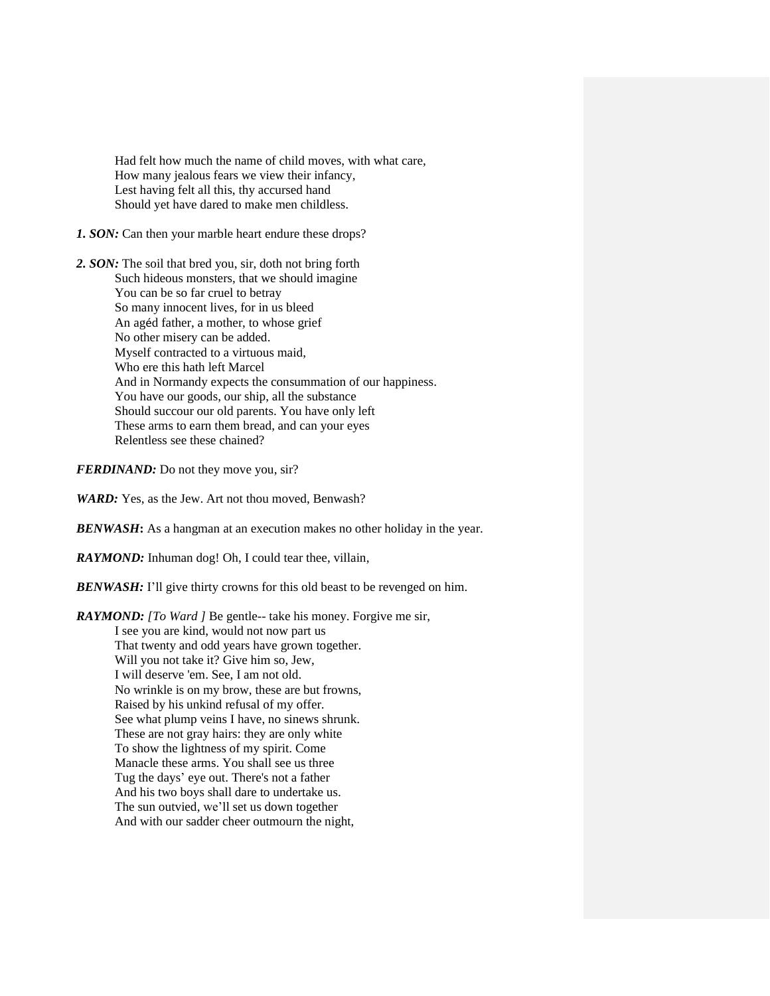Had felt how much the name of child moves, with what care, How many jealous fears we view their infancy, Lest having felt all this, thy accursed hand Should yet have dared to make men childless.

*1. SON:* Can then your marble heart endure these drops?

*2. SON:* The soil that bred you, sir, doth not bring forth Such hideous monsters, that we should imagine You can be so far cruel to betray So many innocent lives, for in us bleed An agéd father, a mother, to whose grief No other misery can be added. Myself contracted to a virtuous maid, Who ere this hath left Marcel And in Normandy expects the consummation of our happiness. You have our goods, our ship, all the substance Should succour our old parents. You have only left These arms to earn them bread, and can your eyes Relentless see these chained?

*FERDINAND:* Do not they move you, sir?

WARD: Yes, as the Jew. Art not thou moved, Benwash?

*BENWASH***:** As a hangman at an execution makes no other holiday in the year.

*RAYMOND:* Inhuman dog! Oh, I could tear thee, villain,

**BENWASH:** I'll give thirty crowns for this old beast to be revenged on him.

*RAYMOND:* [To Ward ] Be gentle-- take his money. Forgive me sir,

I see you are kind, would not now part us That twenty and odd years have grown together. Will you not take it? Give him so, Jew, I will deserve 'em. See, I am not old. No wrinkle is on my brow, these are but frowns, Raised by his unkind refusal of my offer. See what plump veins I have, no sinews shrunk. These are not gray hairs: they are only white To show the lightness of my spirit. Come Manacle these arms. You shall see us three Tug the days" eye out. There's not a father And his two boys shall dare to undertake us. The sun outvied, we'll set us down together And with our sadder cheer outmourn the night,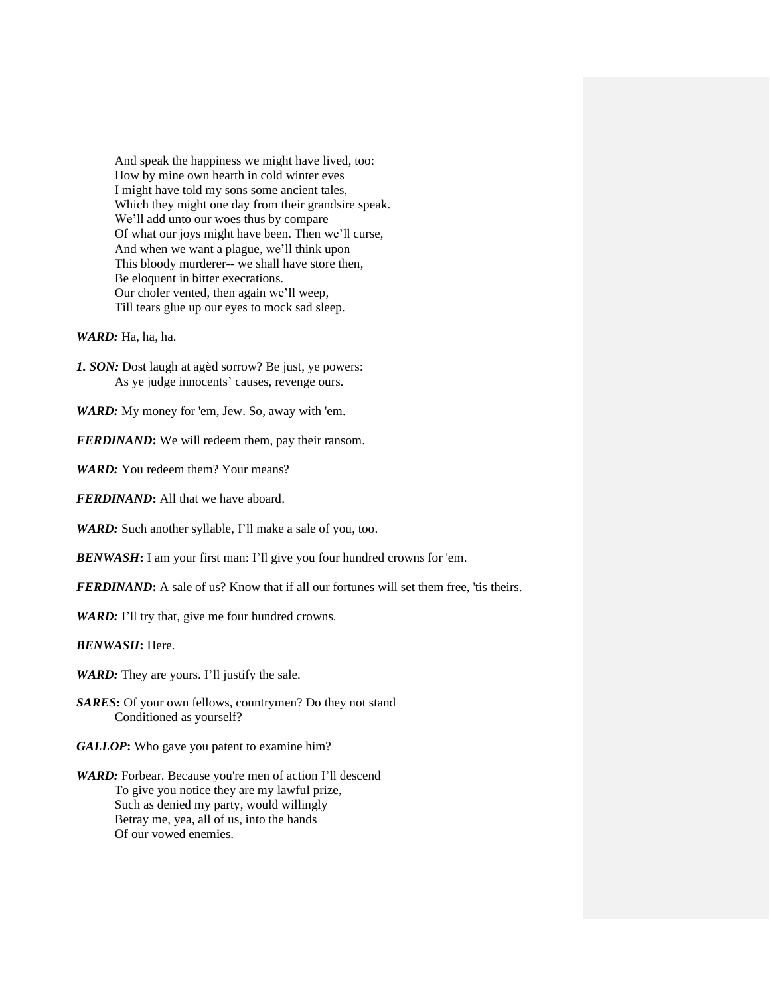And speak the happiness we might have lived, too: How by mine own hearth in cold winter eves I might have told my sons some ancient tales, Which they might one day from their grandsire speak. We"ll add unto our woes thus by compare Of what our joys might have been. Then we"ll curse, And when we want a plague, we"ll think upon This bloody murderer-- we shall have store then, Be eloquent in bitter execrations. Our choler vented, then again we"ll weep, Till tears glue up our eyes to mock sad sleep.

*WARD:* Ha, ha, ha.

*1. SON:* Dost laugh at agèd sorrow? Be just, ye powers: As ye judge innocents' causes, revenge ours.

*WARD:* My money for 'em, Jew. So, away with 'em.

*FERDINAND*: We will redeem them, pay their ransom.

*WARD:* You redeem them? Your means?

*FERDINAND*: All that we have aboard.

WARD: Such another syllable, I'll make a sale of you, too.

*BENWASH*: I am your first man: I'll give you four hundred crowns for 'em.

*FERDINAND*: A sale of us? Know that if all our fortunes will set them free, 'tis theirs.

*WARD:* I'll try that, give me four hundred crowns.

*BENWASH***:** Here.

*WARD:* They are yours. I'll justify the sale.

SARES: Of your own fellows, countrymen? Do they not stand Conditioned as yourself?

*GALLOP***:** Who gave you patent to examine him?

WARD: Forbear. Because you're men of action I'll descend To give you notice they are my lawful prize, Such as denied my party, would willingly Betray me, yea, all of us, into the hands Of our vowed enemies.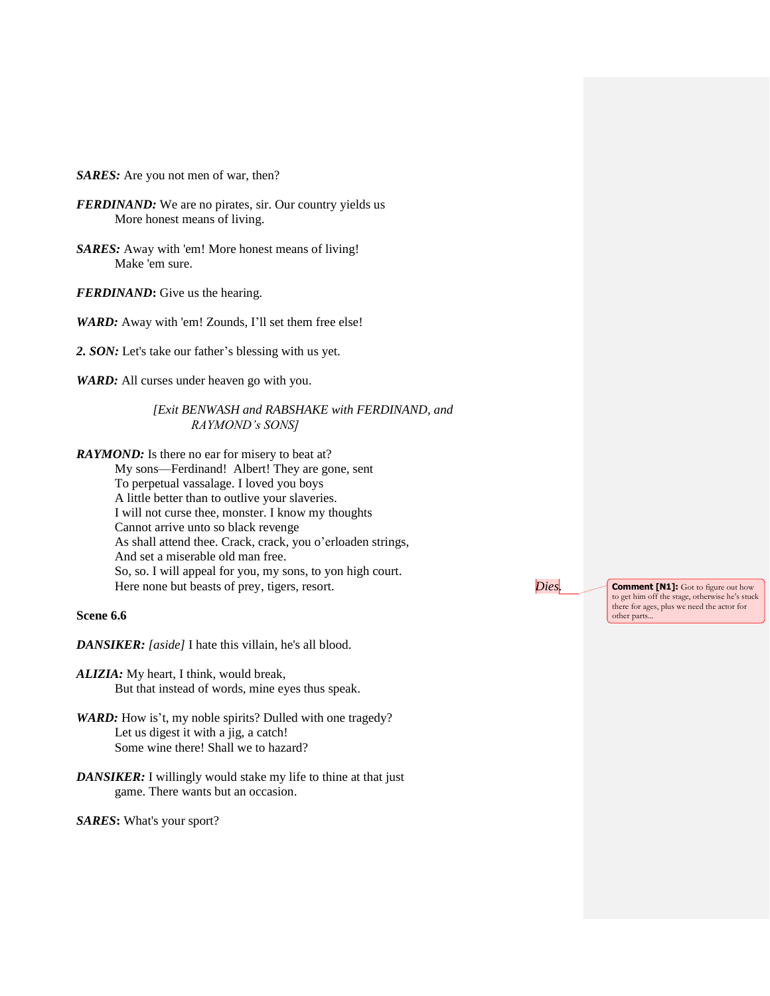*SARES:* Are you not men of war, then?

- *FERDINAND:* We are no pirates, sir. Our country yields us More honest means of living.
- SARES: Away with 'em! More honest means of living! Make 'em sure.

*FERDINAND*: Give us the hearing.

*WARD:* Away with 'em! Zounds, I'll set them free else!

2. SON: Let's take our father's blessing with us yet.

*WARD:* All curses under heaven go with you.

## *[Exit BENWASH and RABSHAKE with FERDINAND, and RAYMOND's SONS]*

*RAYMOND:* Is there no ear for misery to beat at?

My sons—Ferdinand! Albert! They are gone, sent To perpetual vassalage. I loved you boys A little better than to outlive your slaveries. I will not curse thee, monster. I know my thoughts Cannot arrive unto so black revenge As shall attend thee. Crack, crack, you o'erloaden strings, And set a miserable old man free. So, so. I will appeal for you, my sons, to yon high court. Here none but beasts of prey, tigers, resort. *Dies.* 

## **Scene 6.6**

*DANSIKER: [aside]* I hate this villain, he's all blood.

*ALIZIA:* My heart, I think, would break, But that instead of words, mine eyes thus speak.

- *WARD:* How is't, my noble spirits? Dulled with one tragedy? Let us digest it with a jig, a catch! Some wine there! Shall we to hazard?
- *DANSIKER:* I willingly would stake my life to thine at that just game. There wants but an occasion.

*SARES***:** What's your sport?

**Comment [N1]:** Got to figure out how to get him off the stage, otherwise he's stuck there for ages, plus we need the actor for other parts.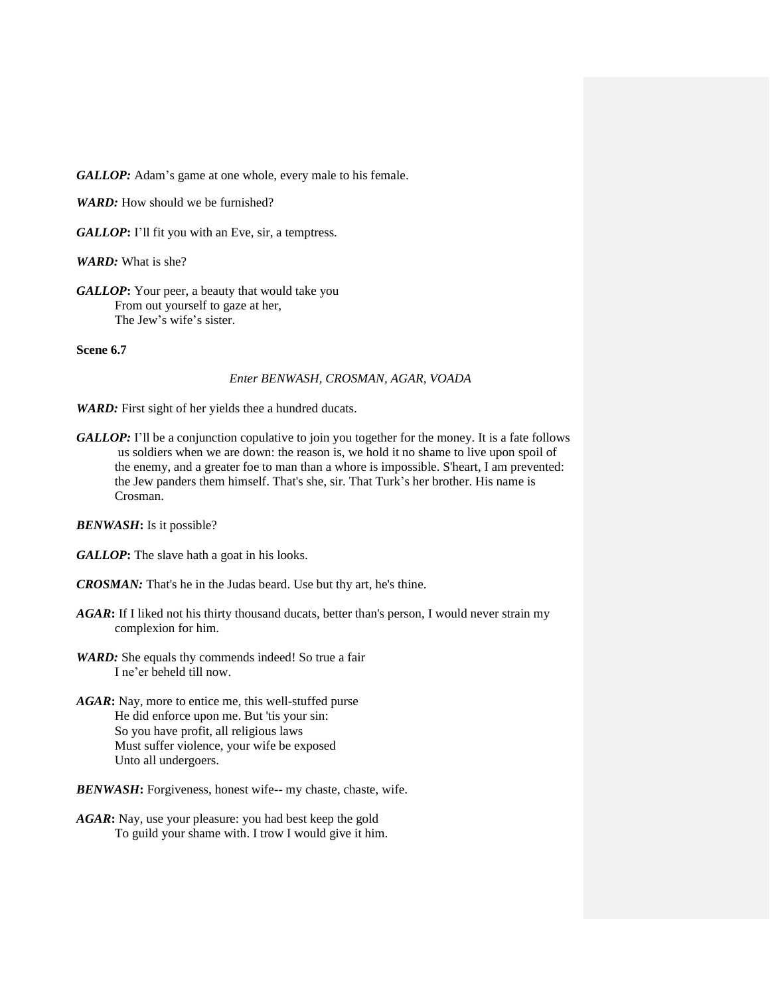*GALLOP*: Adam's game at one whole, every male to his female.

*WARD:* How should we be furnished?

*GALLOP*: I'll fit you with an Eve, sir, a temptress.

*WARD:* What is she?

GALLOP: Your peer, a beauty that would take you From out yourself to gaze at her, The Jew's wife's sister.

**Scene 6.7**

#### *Enter BENWASH, CROSMAN, AGAR, VOADA*

*WARD:* First sight of her yields thee a hundred ducats.

*GALLOP*: I'll be a conjunction copulative to join you together for the money. It is a fate follows us soldiers when we are down: the reason is, we hold it no shame to live upon spoil of the enemy, and a greater foe to man than a whore is impossible. S'heart, I am prevented: the Jew panders them himself. That's she, sir. That Turk"s her brother. His name is Crosman.

*BENWASH***:** Is it possible?

*GALLOP***:** The slave hath a goat in his looks.

*CROSMAN:* That's he in the Judas beard. Use but thy art, he's thine.

- *AGAR***:** If I liked not his thirty thousand ducats, better than's person, I would never strain my complexion for him.
- *WARD:* She equals thy commends indeed! So true a fair I ne"er beheld till now.
- *AGAR***:** Nay, more to entice me, this well-stuffed purse He did enforce upon me. But 'tis your sin: So you have profit, all religious laws Must suffer violence, your wife be exposed Unto all undergoers.

**BENWASH**: Forgiveness, honest wife-- my chaste, chaste, wife.

*AGAR***:** Nay, use your pleasure: you had best keep the gold To guild your shame with. I trow I would give it him.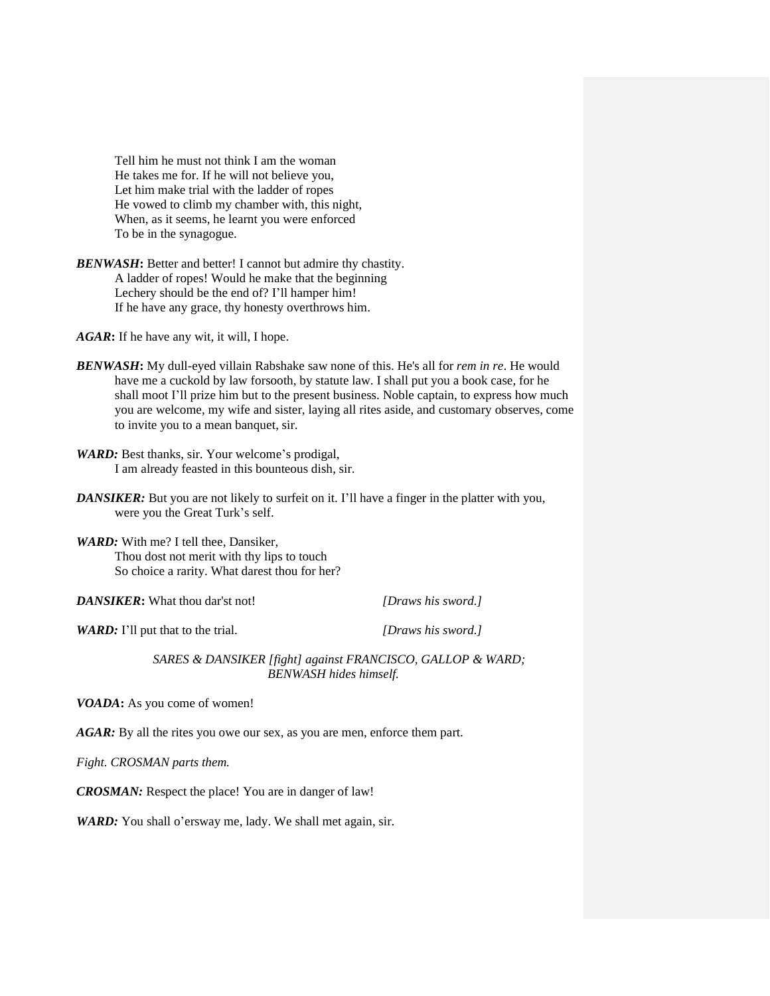Tell him he must not think I am the woman He takes me for. If he will not believe you, Let him make trial with the ladder of ropes He vowed to climb my chamber with, this night, When, as it seems, he learnt you were enforced To be in the synagogue.

**BENWASH**: Better and better! I cannot but admire thy chastity. A ladder of ropes! Would he make that the beginning Lechery should be the end of? I"ll hamper him! If he have any grace, thy honesty overthrows him.

*AGAR***:** If he have any wit, it will, I hope.

- *BENWASH***:** My dull-eyed villain Rabshake saw none of this. He's all for *rem in re*. He would have me a cuckold by law forsooth, by statute law. I shall put you a book case, for he shall moot I"ll prize him but to the present business. Noble captain, to express how much you are welcome, my wife and sister, laying all rites aside, and customary observes, come to invite you to a mean banquet, sir.
- *WARD*: Best thanks, sir. Your welcome's prodigal, I am already feasted in this bounteous dish, sir.
- *DANSIKER:* But you are not likely to surfeit on it. I'll have a finger in the platter with you, were you the Great Turk's self.
- *WARD:* With me? I tell thee, Dansiker, Thou dost not merit with thy lips to touch So choice a rarity. What darest thou for her?

*DANSIKER***:** What thou dar'st not! *[Draws his sword.]*

*WARD:* I'll put that to the trial. *[Draws his sword.]* 

*SARES & DANSIKER [fight] against FRANCISCO, GALLOP & WARD; BENWASH hides himself.*

*VOADA***:** As you come of women!

*AGAR*: By all the rites you owe our sex, as you are men, enforce them part.

*Fight. CROSMAN parts them.*

*CROSMAN:* Respect the place! You are in danger of law!

*WARD:* You shall o'ersway me, lady. We shall met again, sir.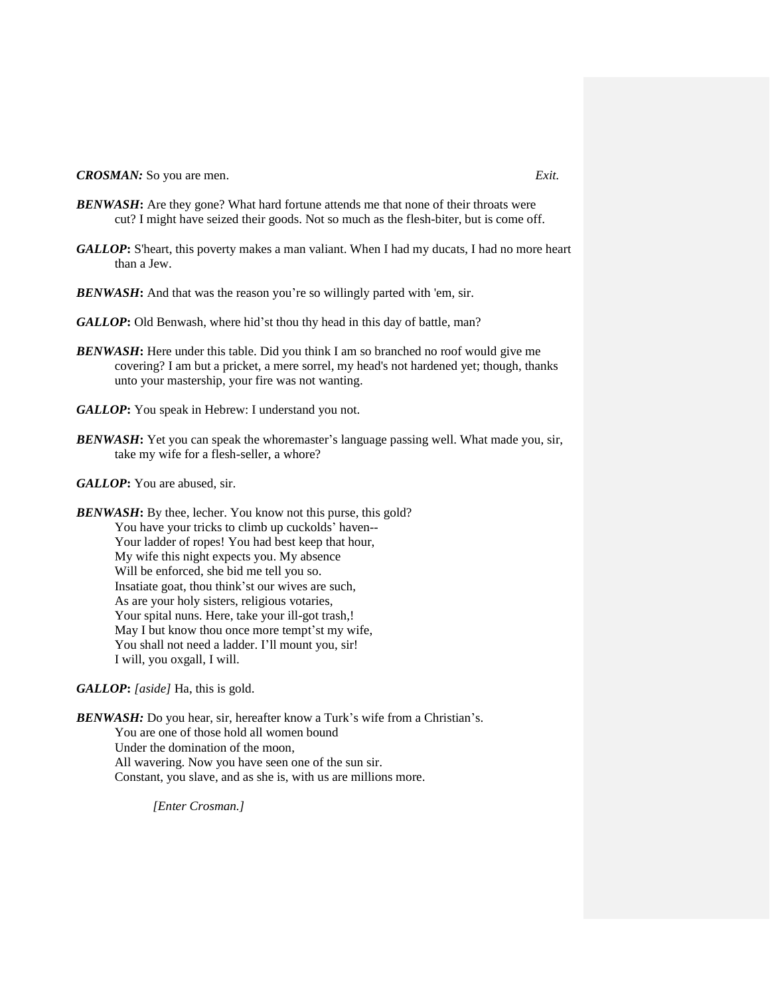*CROSMAN:* So you are men. *Exit.*

- *BENWASH*: Are they gone? What hard fortune attends me that none of their throats were cut? I might have seized their goods. Not so much as the flesh-biter, but is come off.
- *GALLOP***:** S'heart, this poverty makes a man valiant. When I had my ducats, I had no more heart than a Jew.
- *BENWASH*: And that was the reason you're so willingly parted with 'em, sir.
- *GALLOP*: Old Benwash, where hid'st thou thy head in this day of battle, man?
- *BENWASH*: Here under this table. Did you think I am so branched no roof would give me covering? I am but a pricket, a mere sorrel, my head's not hardened yet; though, thanks unto your mastership, your fire was not wanting.
- *GALLOP*: You speak in Hebrew: I understand you not.
- **BENWASH**: Yet you can speak the whoremaster's language passing well. What made you, sir, take my wife for a flesh-seller, a whore?

*GALLOP***:** You are abused, sir.

**BENWASH**: By thee, lecher. You know not this purse, this gold? You have your tricks to climb up cuckolds' haven--Your ladder of ropes! You had best keep that hour, My wife this night expects you. My absence Will be enforced, she bid me tell you so. Insatiate goat, thou think"st our wives are such, As are your holy sisters, religious votaries, Your spital nuns. Here, take your ill-got trash,! May I but know thou once more tempt"st my wife, You shall not need a ladder. I'll mount you, sir! I will, you oxgall, I will.

*GALLOP***:** *[aside]* Ha, this is gold.

*BENWASH:* Do you hear, sir, hereafter know a Turk's wife from a Christian's. You are one of those hold all women bound Under the domination of the moon, All wavering. Now you have seen one of the sun sir. Constant, you slave, and as she is, with us are millions more.

*[Enter Crosman.]*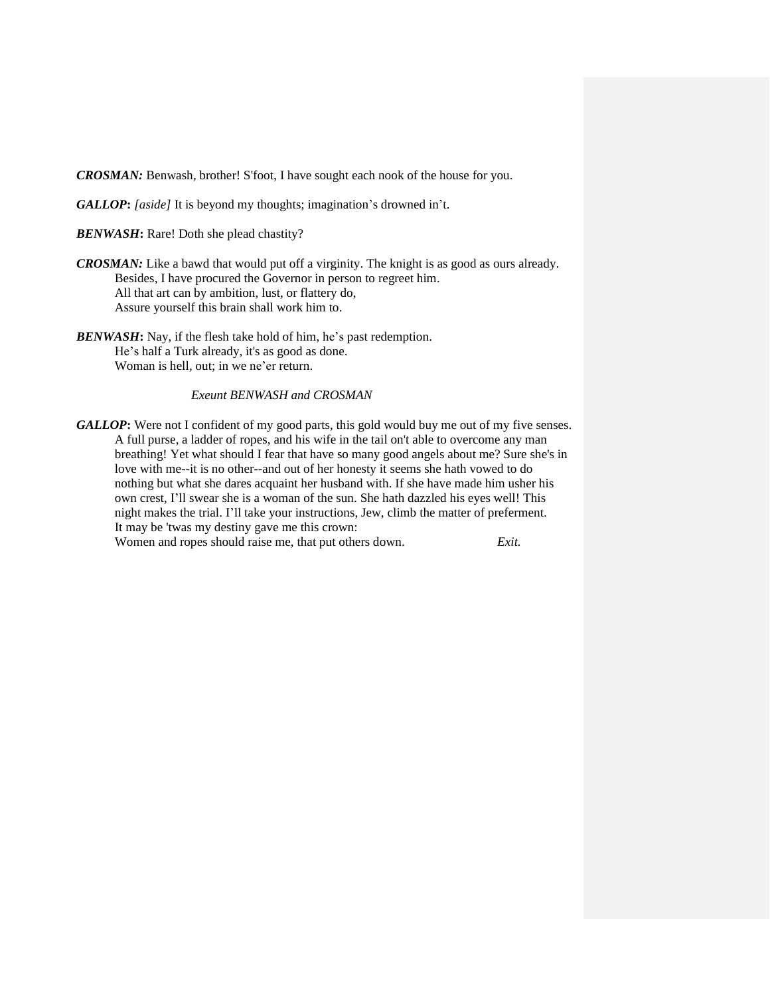*CROSMAN:* Benwash, brother! S'foot, I have sought each nook of the house for you.

*GALLOP*: [aside] It is beyond my thoughts; imagination's drowned in't.

**BENWASH**: Rare! Doth she plead chastity?

*CROSMAN:* Like a bawd that would put off a virginity. The knight is as good as ours already. Besides, I have procured the Governor in person to regreet him. All that art can by ambition, lust, or flattery do, Assure yourself this brain shall work him to.

**BENWASH:** Nay, if the flesh take hold of him, he's past redemption. He's half a Turk already, it's as good as done. Woman is hell, out; in we ne'er return.

## *Exeunt BENWASH and CROSMAN*

*GALLOP*: Were not I confident of my good parts, this gold would buy me out of my five senses. A full purse, a ladder of ropes, and his wife in the tail on't able to overcome any man breathing! Yet what should I fear that have so many good angels about me? Sure she's in love with me--it is no other--and out of her honesty it seems she hath vowed to do nothing but what she dares acquaint her husband with. If she have made him usher his own crest, I"ll swear she is a woman of the sun. She hath dazzled his eyes well! This night makes the trial. I"ll take your instructions, Jew, climb the matter of preferment. It may be 'twas my destiny gave me this crown:

Women and ropes should raise me, that put others down. *Exit.*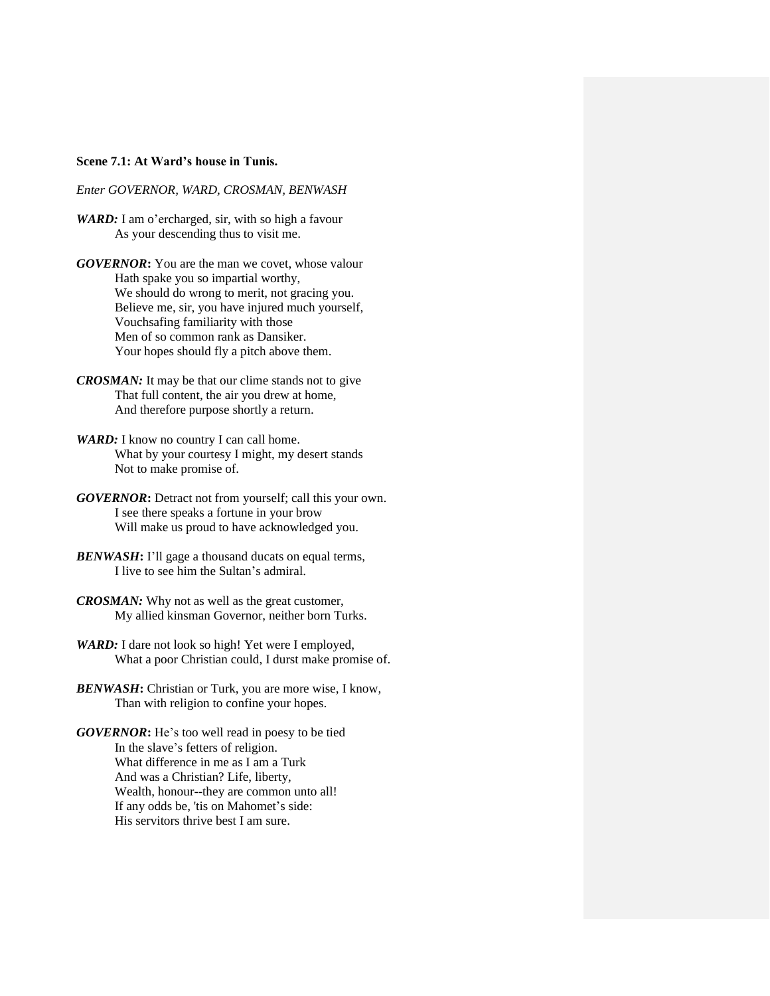## **Scene 7.1: At Ward's house in Tunis.**

## *Enter GOVERNOR, WARD, CROSMAN, BENWASH*

- *WARD*: I am o'ercharged, sir, with so high a favour As your descending thus to visit me.
- *GOVERNOR***:** You are the man we covet, whose valour Hath spake you so impartial worthy, We should do wrong to merit, not gracing you. Believe me, sir, you have injured much yourself, Vouchsafing familiarity with those Men of so common rank as Dansiker. Your hopes should fly a pitch above them.
- *CROSMAN:* It may be that our clime stands not to give That full content, the air you drew at home, And therefore purpose shortly a return.
- *WARD:* I know no country I can call home. What by your courtesy I might, my desert stands Not to make promise of.
- GOVERNOR: Detract not from yourself; call this your own. I see there speaks a fortune in your brow Will make us proud to have acknowledged you.
- *BENWASH*: I'll gage a thousand ducats on equal terms, I live to see him the Sultan"s admiral.
- *CROSMAN:* Why not as well as the great customer, My allied kinsman Governor, neither born Turks.
- WARD: I dare not look so high! Yet were I employed, What a poor Christian could, I durst make promise of.
- *BENWASH***:** Christian or Turk, you are more wise, I know, Than with religion to confine your hopes.

*GOVERNOR***:** He"s too well read in poesy to be tied In the slave"s fetters of religion. What difference in me as I am a Turk And was a Christian? Life, liberty, Wealth, honour--they are common unto all! If any odds be, 'tis on Mahomet's side: His servitors thrive best I am sure.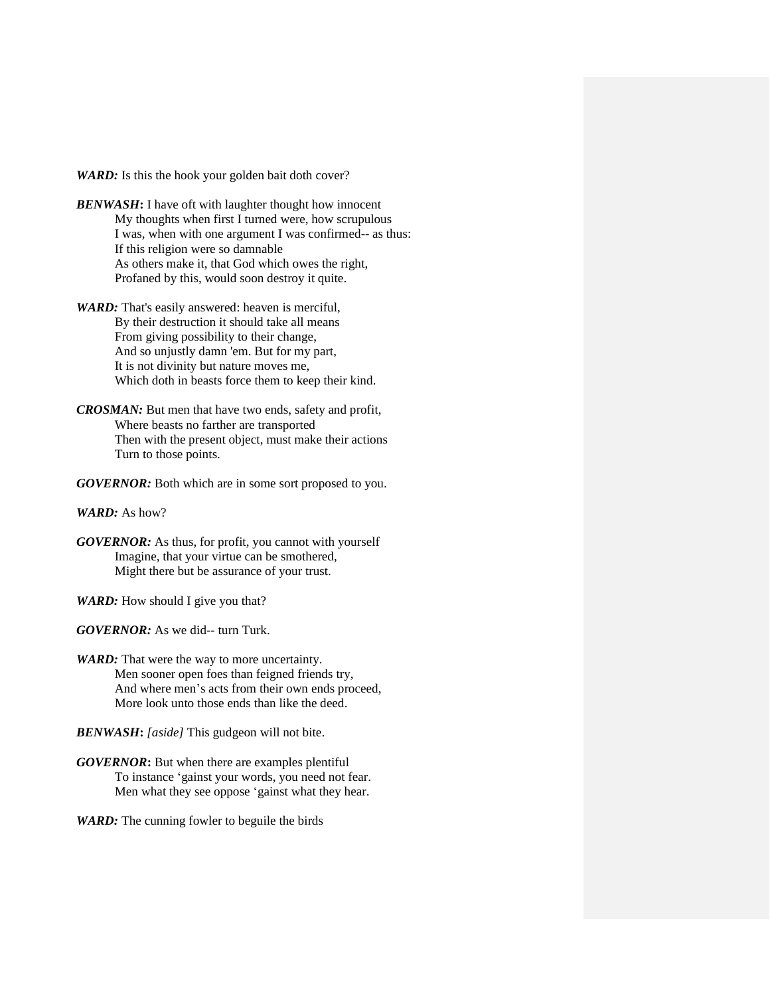*WARD*: Is this the hook your golden bait doth cover?

- **BENWASH:** I have oft with laughter thought how innocent My thoughts when first I turned were, how scrupulous I was, when with one argument I was confirmed-- as thus: If this religion were so damnable As others make it, that God which owes the right, Profaned by this, would soon destroy it quite.
- *WARD*: That's easily answered: heaven is merciful, By their destruction it should take all means From giving possibility to their change, And so unjustly damn 'em. But for my part, It is not divinity but nature moves me, Which doth in beasts force them to keep their kind.
- *CROSMAN:* But men that have two ends, safety and profit, Where beasts no farther are transported Then with the present object, must make their actions Turn to those points.
- *GOVERNOR:* Both which are in some sort proposed to you.

*WARD:* As how?

- *GOVERNOR:* As thus, for profit, you cannot with yourself Imagine, that your virtue can be smothered, Might there but be assurance of your trust.
- *WARD:* How should I give you that?

*GOVERNOR:* As we did-- turn Turk.

- *WARD:* That were the way to more uncertainty. Men sooner open foes than feigned friends try, And where men's acts from their own ends proceed, More look unto those ends than like the deed.
- **BENWASH**: [aside] This gudgeon will not bite.
- *GOVERNOR***:** But when there are examples plentiful To instance "gainst your words, you need not fear. Men what they see oppose "gainst what they hear.

*WARD:* The cunning fowler to beguile the birds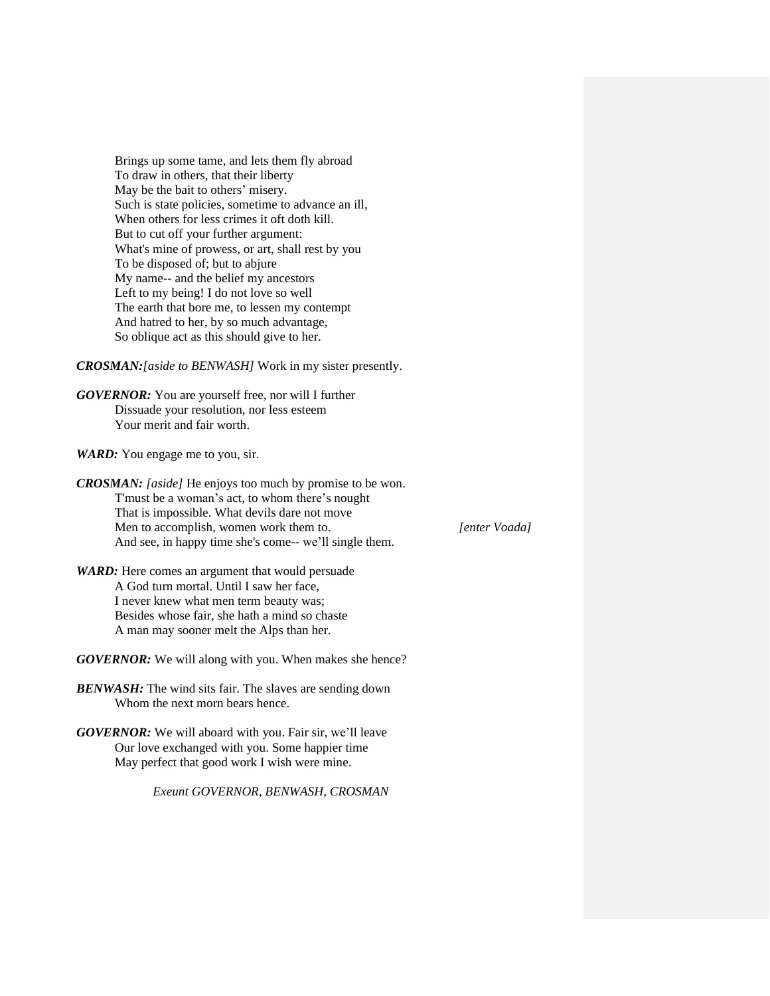Brings up some tame, and lets them fly abroad To draw in others, that their liberty May be the bait to others' misery. Such is state policies, sometime to advance an ill, When others for less crimes it oft doth kill. But to cut off your further argument: What's mine of prowess, or art, shall rest by you To be disposed of; but to abjure My name-- and the belief my ancestors Left to my being! I do not love so well The earth that bore me, to lessen my contempt And hatred to her, by so much advantage, So oblique act as this should give to her.

*CROSMAN:[aside to BENWASH]* Work in my sister presently.

*GOVERNOR:* You are yourself free, nor will I further Dissuade your resolution, nor less esteem Your merit and fair worth.

*WARD:* You engage me to you, sir.

*CROSMAN: [aside]* He enjoys too much by promise to be won. T'must be a woman"s act, to whom there"s nought That is impossible. What devils dare not move Men to accomplish, women work them to. *[enter Voada]* And see, in happy time she's come-- we"ll single them.

*WARD:* Here comes an argument that would persuade A God turn mortal. Until I saw her face, I never knew what men term beauty was; Besides whose fair, she hath a mind so chaste A man may sooner melt the Alps than her.

*GOVERNOR:* We will along with you. When makes she hence?

**BENWASH:** The wind sits fair. The slaves are sending down Whom the next morn bears hence.

GOVERNOR: We will aboard with you. Fair sir, we'll leave Our love exchanged with you. Some happier time May perfect that good work I wish were mine.

*Exeunt GOVERNOR, BENWASH, CROSMAN*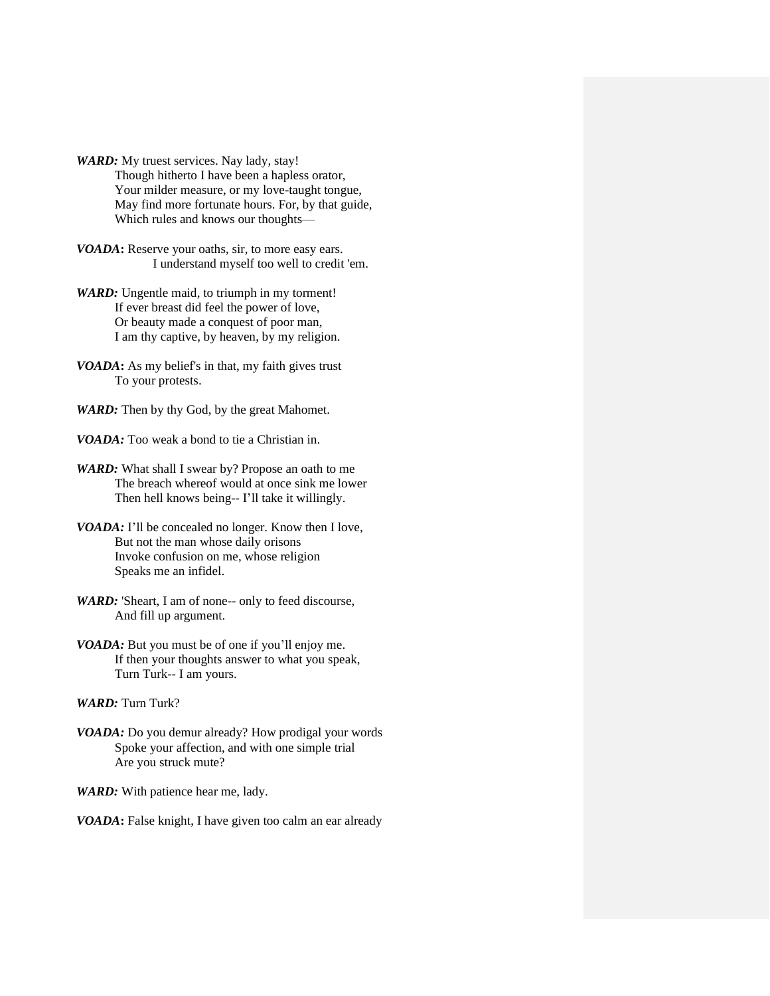- *WARD:* My truest services. Nay lady, stay! Though hitherto I have been a hapless orator, Your milder measure, or my love-taught tongue, May find more fortunate hours. For, by that guide, Which rules and knows our thoughts—
- *VOADA***:** Reserve your oaths, sir, to more easy ears. I understand myself too well to credit 'em.
- *WARD:* Ungentle maid, to triumph in my torment! If ever breast did feel the power of love, Or beauty made a conquest of poor man, I am thy captive, by heaven, by my religion.
- *VOADA***:** As my belief's in that, my faith gives trust To your protests.
- *WARD:* Then by thy God, by the great Mahomet.
- *VOADA:* Too weak a bond to tie a Christian in.
- *WARD:* What shall I swear by? Propose an oath to me The breach whereof would at once sink me lower Then hell knows being-- I"ll take it willingly.
- *VOADA:* I'll be concealed no longer. Know then I love, But not the man whose daily orisons Invoke confusion on me, whose religion Speaks me an infidel.
- WARD: 'Sheart, I am of none-- only to feed discourse, And fill up argument.
- *VOADA:* But you must be of one if you"ll enjoy me. If then your thoughts answer to what you speak, Turn Turk-- I am yours.
- *WARD:* Turn Turk?
- *VOADA:* Do you demur already? How prodigal your words Spoke your affection, and with one simple trial Are you struck mute?
- *WARD:* With patience hear me, lady.
- *VOADA***:** False knight, I have given too calm an ear already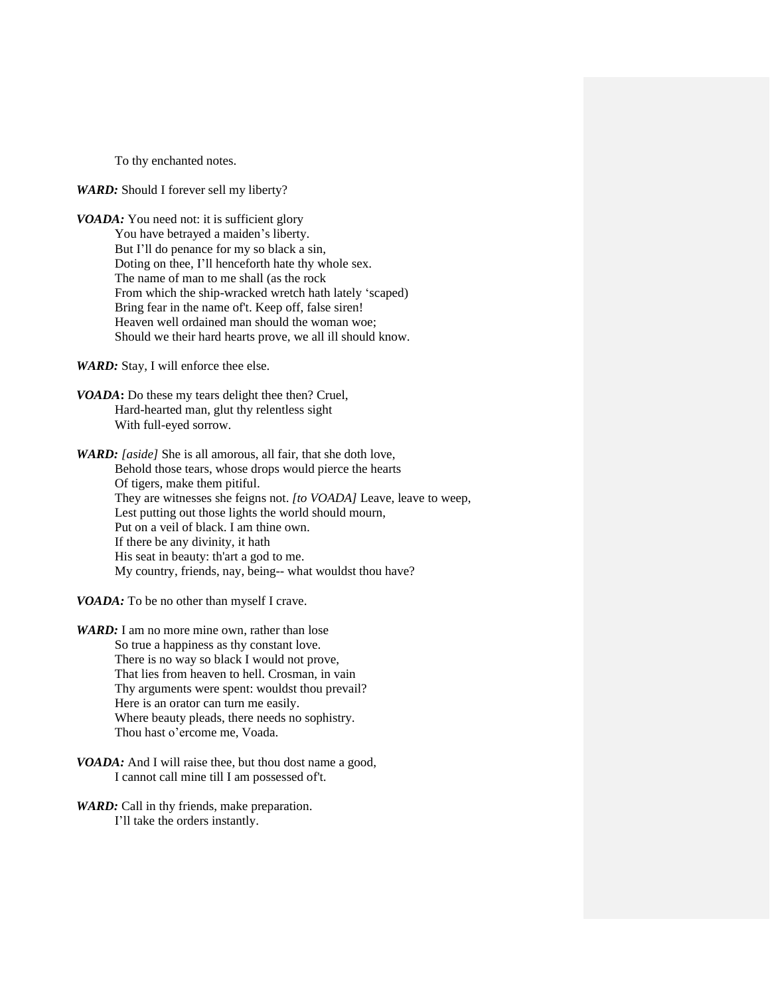To thy enchanted notes.

*WARD:* Should I forever sell my liberty?

*VOADA:* You need not: it is sufficient glory You have betrayed a maiden's liberty. But I'll do penance for my so black a sin, Doting on thee, I"ll henceforth hate thy whole sex. The name of man to me shall (as the rock From which the ship-wracked wretch hath lately "scaped) Bring fear in the name of't. Keep off, false siren! Heaven well ordained man should the woman woe; Should we their hard hearts prove, we all ill should know.

*WARD:* Stay, I will enforce thee else.

*VOADA***:** Do these my tears delight thee then? Cruel, Hard-hearted man, glut thy relentless sight With full-eyed sorrow.

*WARD: [aside]* She is all amorous, all fair, that she doth love, Behold those tears, whose drops would pierce the hearts Of tigers, make them pitiful. They are witnesses she feigns not. *[to VOADA]* Leave, leave to weep, Lest putting out those lights the world should mourn, Put on a veil of black. I am thine own. If there be any divinity, it hath His seat in beauty: th'art a god to me. My country, friends, nay, being-- what wouldst thou have?

*VOADA:* To be no other than myself I crave.

*WARD*: I am no more mine own, rather than lose So true a happiness as thy constant love. There is no way so black I would not prove, That lies from heaven to hell. Crosman, in vain Thy arguments were spent: wouldst thou prevail? Here is an orator can turn me easily. Where beauty pleads, there needs no sophistry. Thou hast o"ercome me, Voada.

- *VOADA:* And I will raise thee, but thou dost name a good, I cannot call mine till I am possessed of't.
- *WARD:* Call in thy friends, make preparation. I"ll take the orders instantly.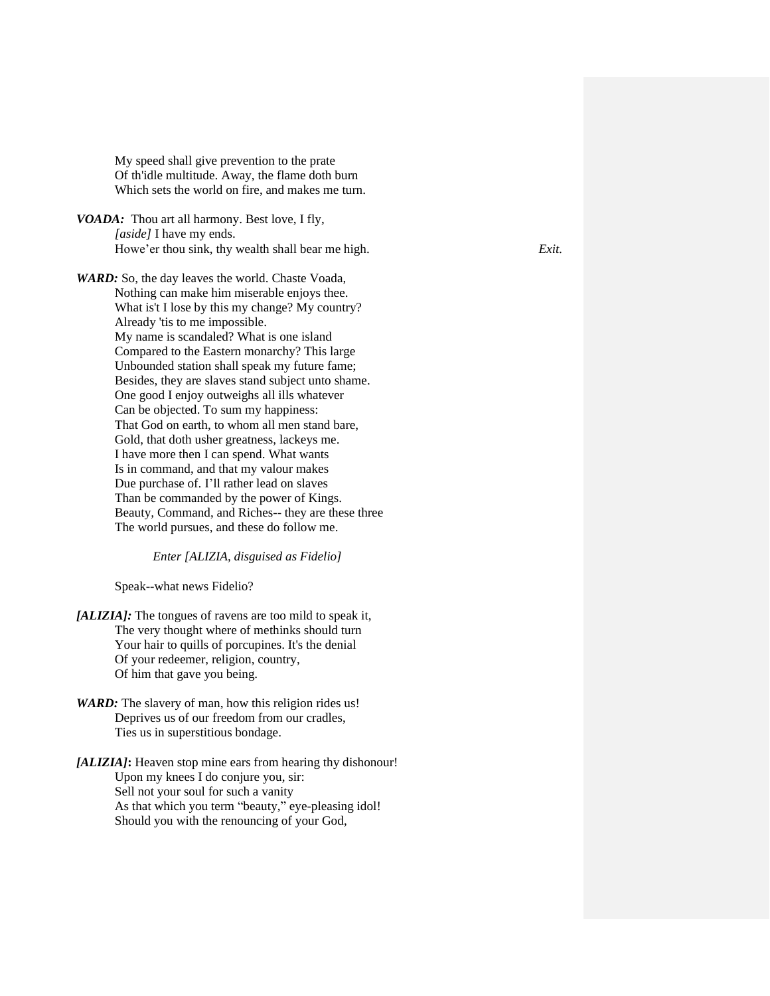My speed shall give prevention to the prate Of th'idle multitude. Away, the flame doth burn Which sets the world on fire, and makes me turn.

*VOADA:* Thou art all harmony. Best love, I fly, *[aside]* I have my ends. Howe'er thou sink, thy wealth shall bear me high. *Exit. Exit.* 

*WARD:* So, the day leaves the world. Chaste Voada, Nothing can make him miserable enjoys thee. What is't I lose by this my change? My country? Already 'tis to me impossible. My name is scandaled? What is one island Compared to the Eastern monarchy? This large Unbounded station shall speak my future fame; Besides, they are slaves stand subject unto shame. One good I enjoy outweighs all ills whatever Can be objected. To sum my happiness: That God on earth, to whom all men stand bare, Gold, that doth usher greatness, lackeys me. I have more then I can spend. What wants Is in command, and that my valour makes Due purchase of. I"ll rather lead on slaves Than be commanded by the power of Kings. Beauty*,* Command, and Riches-- they are these three The world pursues, and these do follow me.

#### *Enter [ALIZIA, disguised as Fidelio]*

Speak--what news Fidelio?

*[ALIZIA]:* The tongues of ravens are too mild to speak it, The very thought where of methinks should turn Your hair to quills of porcupines. It's the denial Of your redeemer, religion, country, Of him that gave you being.

*WARD*: The slavery of man, how this religion rides us! Deprives us of our freedom from our cradles, Ties us in superstitious bondage.

*[ALIZIA]***:** Heaven stop mine ears from hearing thy dishonour! Upon my knees I do conjure you, sir: Sell not your soul for such a vanity As that which you term "beauty," eye-pleasing idol! Should you with the renouncing of your God,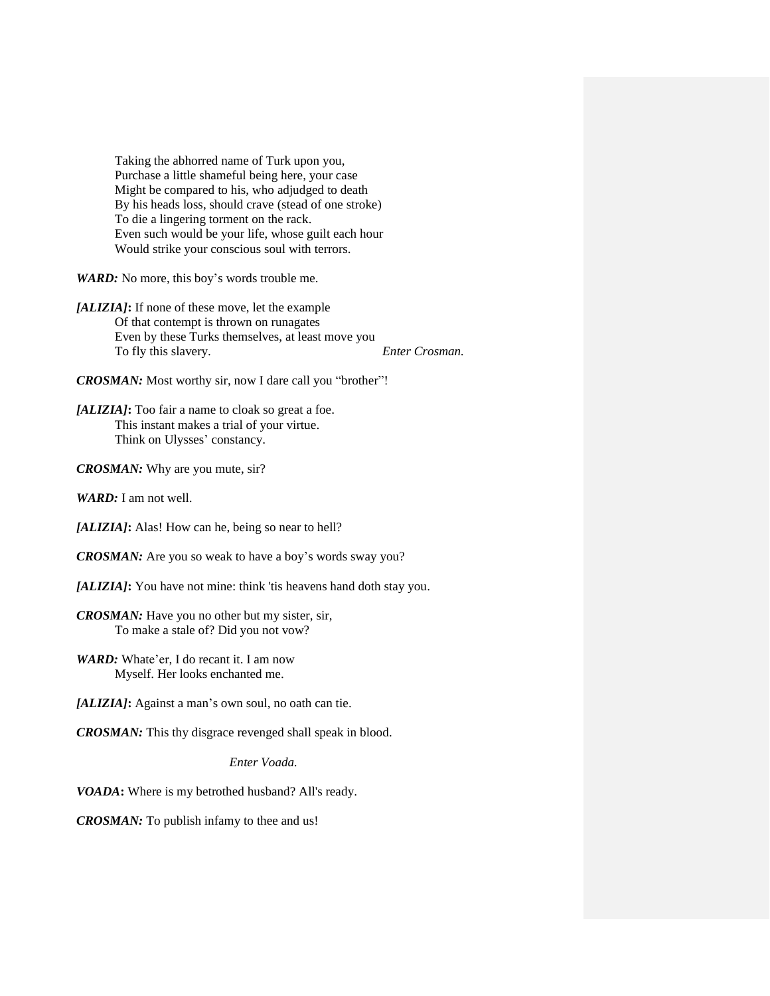Taking the abhorred name of Turk upon you, Purchase a little shameful being here, your case Might be compared to his, who adjudged to death By his heads loss, should crave (stead of one stroke) To die a lingering torment on the rack. Even such would be your life, whose guilt each hour Would strike your conscious soul with terrors.

*WARD:* No more, this boy's words trouble me.

*[ALIZIA]***:** If none of these move, let the example Of that contempt is thrown on runagates Even by these Turks themselves, at least move you To fly this slavery. *Enter Crosman.*

*CROSMAN:* Most worthy sir, now I dare call you "brother"!

*[ALIZIA]***:** Too fair a name to cloak so great a foe. This instant makes a trial of your virtue. Think on Ulysses' constancy.

*CROSMAN:* Why are you mute, sir?

*WARD:* I am not well.

- *[ALIZIA]***:** Alas! How can he, being so near to hell?
- *CROSMAN:* Are you so weak to have a boy"s words sway you?
- *[ALIZIA]***:** You have not mine: think 'tis heavens hand doth stay you.

*CROSMAN:* Have you no other but my sister, sir, To make a stale of? Did you not vow?

- *WARD:* Whate'er, I do recant it. I am now Myself. Her looks enchanted me.
- *[ALIZIA]*: Against a man's own soul, no oath can tie.
- *CROSMAN:* This thy disgrace revenged shall speak in blood.

*Enter Voada.*

*VOADA***:** Where is my betrothed husband? All's ready.

*CROSMAN:* To publish infamy to thee and us!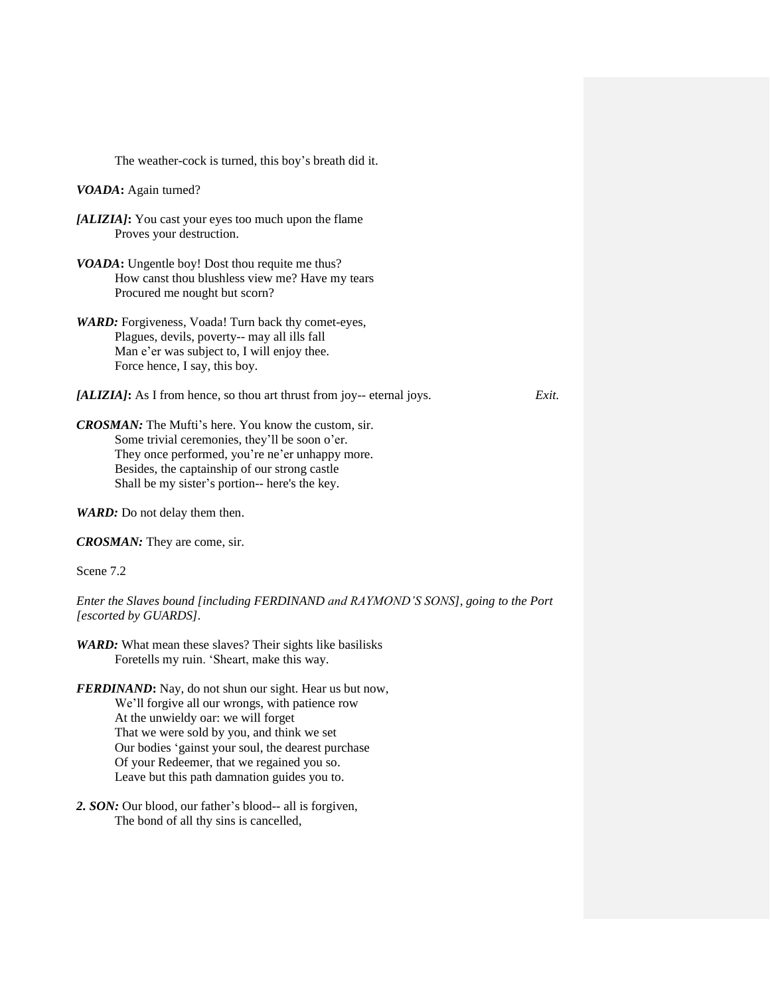The weather-cock is turned, this boy"s breath did it. *VOADA***:** Again turned? *[ALIZIA]***:** You cast your eyes too much upon the flame Proves your destruction. *VOADA***:** Ungentle boy! Dost thou requite me thus? How canst thou blushless view me? Have my tears Procured me nought but scorn? *WARD:* Forgiveness, Voada! Turn back thy comet-eyes, Plagues, devils, poverty-- may all ills fall Man e'er was subject to, I will enjoy thee. Force hence, I say, this boy. *[ALIZIA]***:** As I from hence, so thou art thrust from joy-- eternal joys. *Exit. CROSMAN:* The Mufti's here. You know the custom, sir. Some trivial ceremonies, they'll be soon o'er. They once performed, you're ne'er unhappy more. Besides, the captainship of our strong castle Shall be my sister"s portion-- here's the key. *WARD:* Do not delay them then. *CROSMAN:* They are come, sir. Scene 7.2 *Enter the Slaves bound [including FERDINAND and RAYMOND'S SONS], going to the Port [escorted by GUARDS]. WARD:* What mean these slaves? Their sights like basilisks Foretells my ruin. "Sheart, make this way. *FERDINAND***:** Nay, do not shun our sight. Hear us but now, We"ll forgive all our wrongs, with patience row At the unwieldy oar: we will forget That we were sold by you, and think we set Our bodies "gainst your soul, the dearest purchase Of your Redeemer, that we regained you so. Leave but this path damnation guides you to. 2. *SON:* Our blood, our father's blood-- all is forgiven, The bond of all thy sins is cancelled,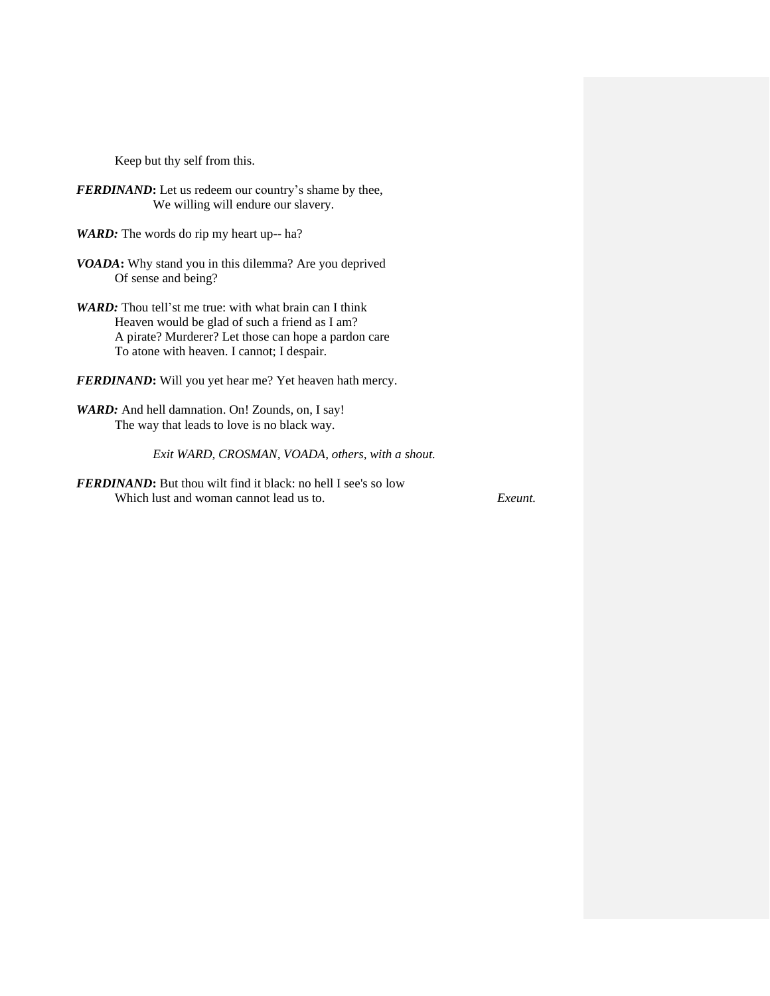Keep but thy self from this.

- *FERDINAND*: Let us redeem our country's shame by thee, We willing will endure our slavery.
- *WARD:* The words do rip my heart up-- ha?
- *VOADA***:** Why stand you in this dilemma? Are you deprived Of sense and being?
- *WARD*: Thou tell'st me true: with what brain can I think Heaven would be glad of such a friend as I am? A pirate? Murderer? Let those can hope a pardon care To atone with heaven. I cannot; I despair.

*FERDINAND*: Will you yet hear me? Yet heaven hath mercy.

*WARD:* And hell damnation. On! Zounds, on, I say! The way that leads to love is no black way.

*Exit WARD, CROSMAN, VOADA, others, with a shout.*

*FERDINAND*: But thou wilt find it black: no hell I see's so low Which lust and woman cannot lead us to. *Exeunt.*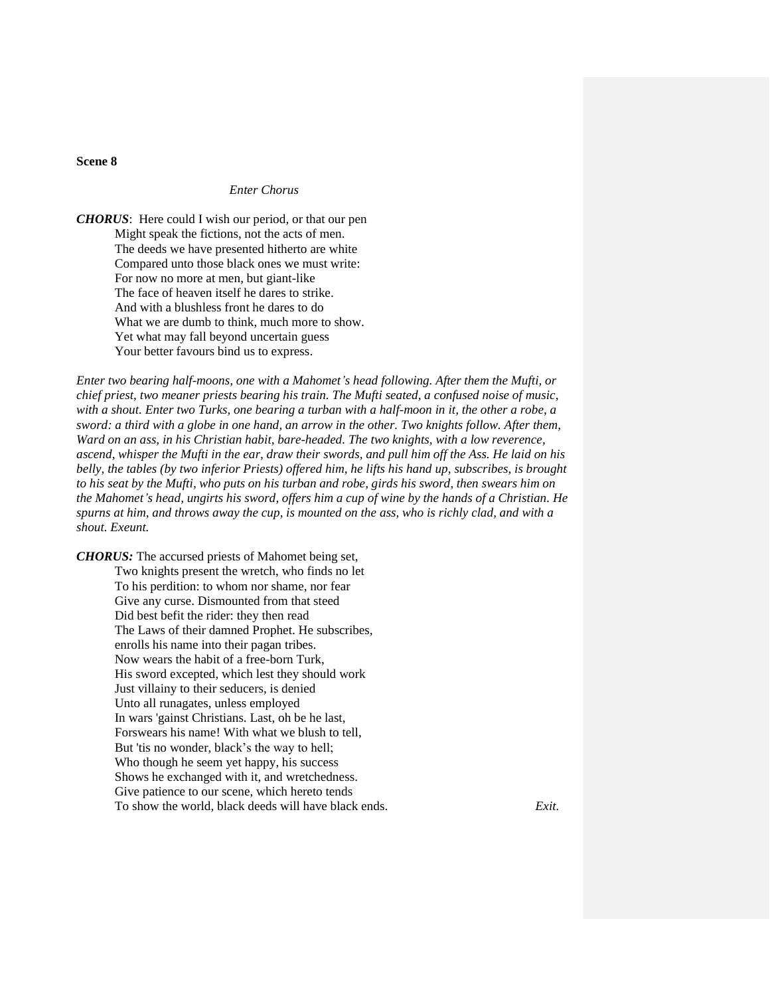**Scene 8**

# *Enter Chorus*

*CHORUS*: Here could I wish our period, or that our pen Might speak the fictions, not the acts of men. The deeds we have presented hitherto are white Compared unto those black ones we must write: For now no more at men, but giant-like The face of heaven itself he dares to strike. And with a blushless front he dares to do What we are dumb to think, much more to show. Yet what may fall beyond uncertain guess Your better favours bind us to express.

*Enter two bearing half-moons, one with a Mahomet's head following. After them the Mufti, or chief priest, two meaner priests bearing his train. The Mufti seated, a confused noise of music, with a shout. Enter two Turks, one bearing a turban with a half-moon in it, the other a robe, a sword: a third with a globe in one hand, an arrow in the other. Two knights follow. After them, Ward on an ass, in his Christian habit, bare-headed. The two knights, with a low reverence, ascend, whisper the Mufti in the ear, draw their swords, and pull him off the Ass. He laid on his belly, the tables (by two inferior Priests) offered him, he lifts his hand up, subscribes, is brought to his seat by the Mufti, who puts on his turban and robe, girds his sword, then swears him on the Mahomet's head, ungirts his sword, offers him a cup of wine by the hands of a Christian. He spurns at him, and throws away the cup, is mounted on the ass, who is richly clad, and with a shout. Exeunt.*

*CHORUS:* The accursed priests of Mahomet being set, Two knights present the wretch, who finds no let To his perdition: to whom nor shame, nor fear Give any curse. Dismounted from that steed Did best befit the rider: they then read The Laws of their damned Prophet. He subscribes, enrolls his name into their pagan tribes. Now wears the habit of a free-born Turk, His sword excepted, which lest they should work Just villainy to their seducers, is denied Unto all runagates, unless employed In wars 'gainst Christians. Last, oh be he last, Forswears his name! With what we blush to tell, But 'tis no wonder, black's the way to hell; Who though he seem yet happy, his success Shows he exchanged with it, and wretchedness. Give patience to our scene, which hereto tends To show the world, black deeds will have black ends. *Exit.*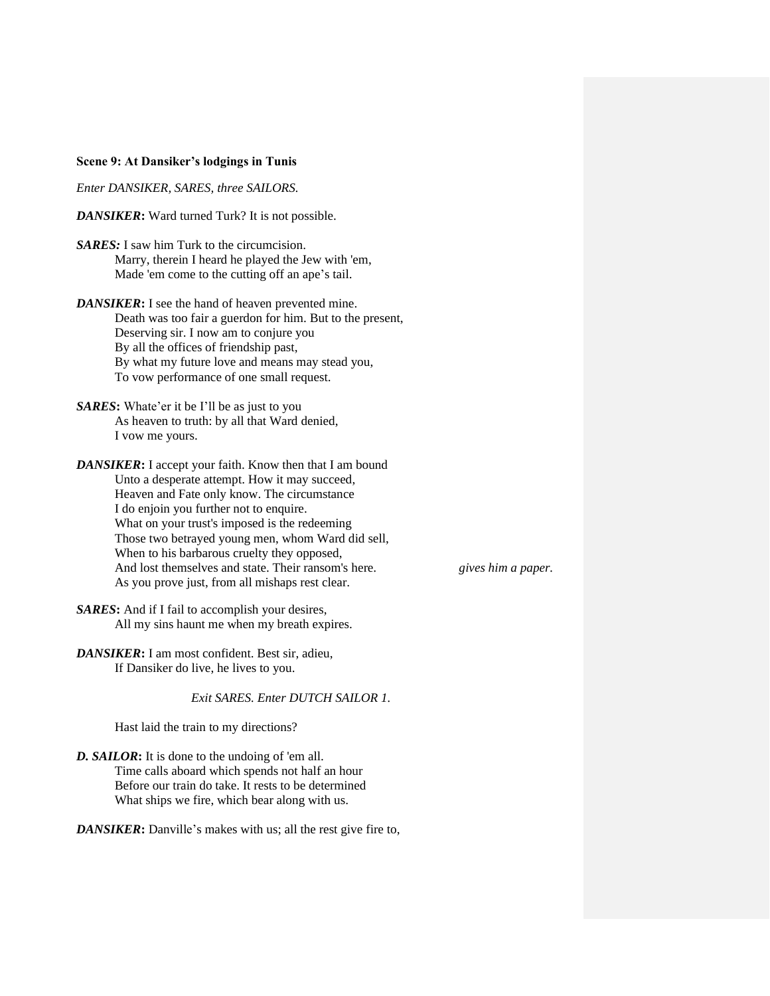**Scene 9: At Dansiker's lodgings in Tunis**

*Enter DANSIKER, SARES, three SAILORS.*

*DANSIKER***:** Ward turned Turk? It is not possible.

*SARES:* I saw him Turk to the circumcision. Marry, therein I heard he played the Jew with 'em, Made 'em come to the cutting off an ape's tail.

*DANSIKER*: I see the hand of heaven prevented mine. Death was too fair a guerdon for him. But to the present, Deserving sir. I now am to conjure you By all the offices of friendship past, By what my future love and means may stead you, To vow performance of one small request.

**SARES**: Whate'er it be I'll be as just to you As heaven to truth: by all that Ward denied, I vow me yours.

*DANSIKER*: I accept your faith. Know then that I am bound Unto a desperate attempt. How it may succeed, Heaven and Fate only know. The circumstance I do enjoin you further not to enquire. What on your trust's imposed is the redeeming Those two betrayed young men, whom Ward did sell, When to his barbarous cruelty they opposed, And lost themselves and state. Their ransom's here. *gives him a paper*. As you prove just, from all mishaps rest clear.

**SARES**: And if I fail to accomplish your desires, All my sins haunt me when my breath expires.

*DANSIKER***:** I am most confident. Best sir, adieu, If Dansiker do live, he lives to you.

*Exit SARES. Enter DUTCH SAILOR 1.*

Hast laid the train to my directions?

*D. SAILOR***:** It is done to the undoing of 'em all. Time calls aboard which spends not half an hour Before our train do take. It rests to be determined What ships we fire, which bear along with us.

*DANSIKER*: Danville's makes with us; all the rest give fire to,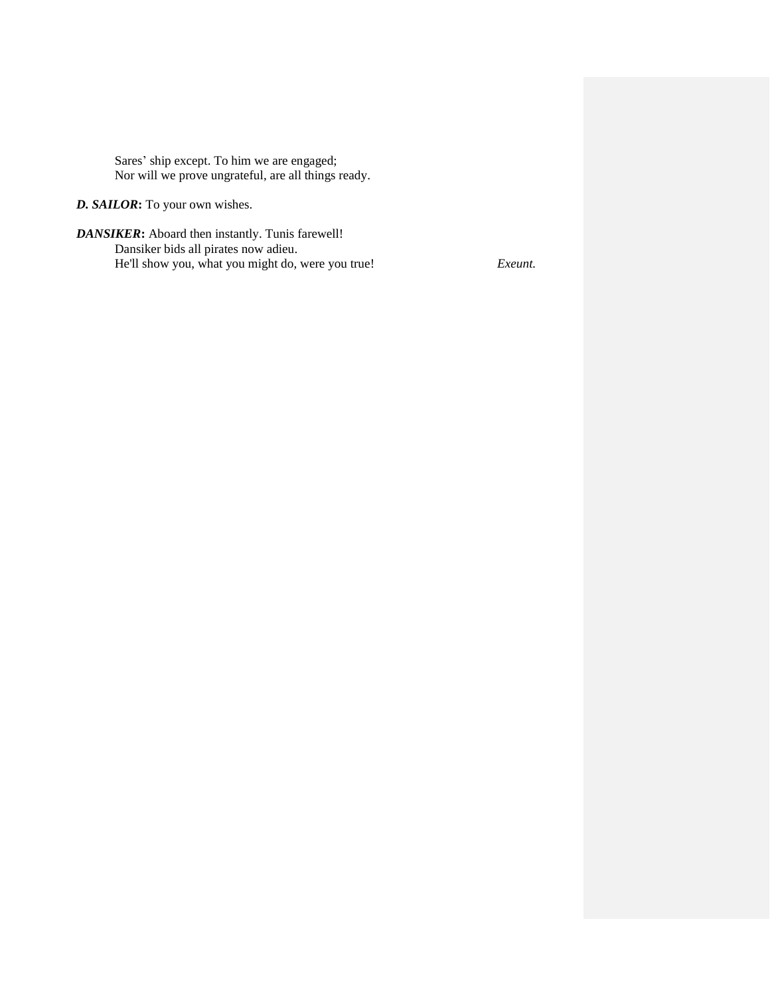Sares' ship except. To him we are engaged; Nor will we prove ungrateful, are all things ready.

*D. SAILOR***:** To your own wishes.

*DANSIKER***:** Aboard then instantly. Tunis farewell! Dansiker bids all pirates now adieu. He'll show you, what you might do, were you true! *Exeunt.*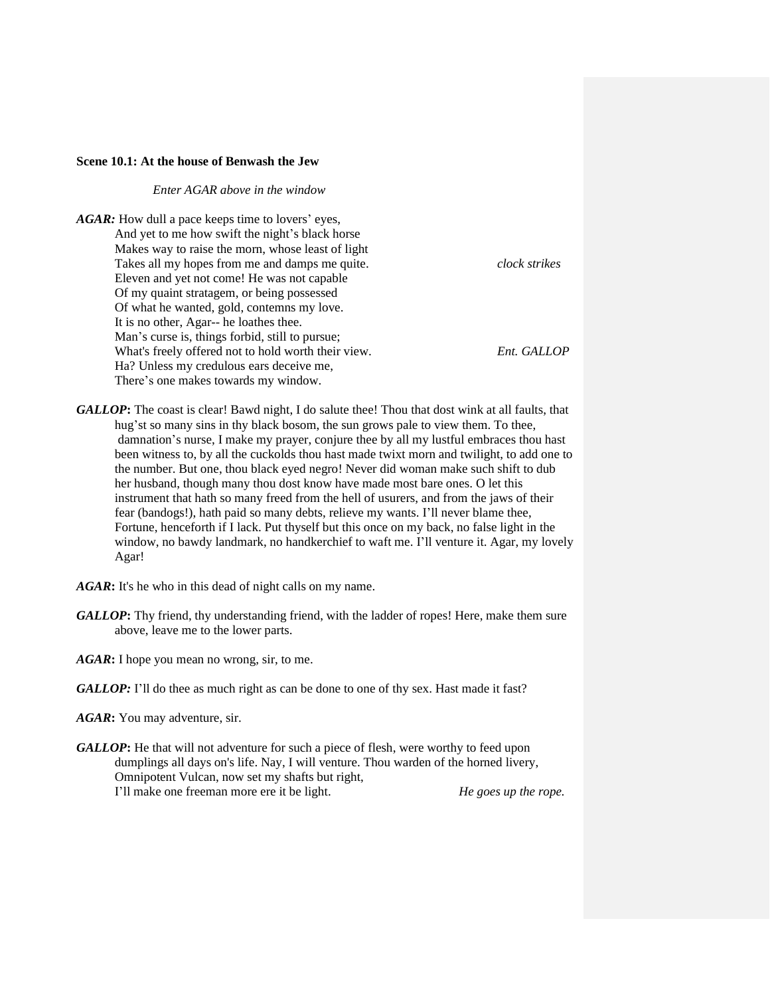## **Scene 10.1: At the house of Benwash the Jew**

# *Enter AGAR above in the window*

| <b>AGAR:</b> How dull a pace keeps time to lovers' eyes, |               |
|----------------------------------------------------------|---------------|
| And yet to me how swift the night's black horse          |               |
| Makes way to raise the morn, whose least of light        |               |
| Takes all my hopes from me and damps me quite.           | clock strikes |
| Eleven and yet not come! He was not capable              |               |
| Of my quaint stratagem, or being possessed               |               |
| Of what he wanted, gold, contemns my love.               |               |
| It is no other, Agar-- he loathes thee.                  |               |
| Man's curse is, things forbid, still to pursue;          |               |
| What's freely offered not to hold worth their view.      | Ent. GALLOP   |
| Ha? Unless my credulous ears deceive me,                 |               |
| There's one makes towards my window.                     |               |
|                                                          |               |

*GALLOP***:** The coast is clear! Bawd night, I do salute thee! Thou that dost wink at all faults, that hug'st so many sins in thy black bosom, the sun grows pale to view them. To thee, damnation"s nurse, I make my prayer, conjure thee by all my lustful embraces thou hast been witness to, by all the cuckolds thou hast made twixt morn and twilight, to add one to the number. But one, thou black eyed negro! Never did woman make such shift to dub her husband, though many thou dost know have made most bare ones. O let this instrument that hath so many freed from the hell of usurers, and from the jaws of their fear (bandogs!), hath paid so many debts, relieve my wants. I"ll never blame thee, Fortune, henceforth if I lack. Put thyself but this once on my back, no false light in the window, no bawdy landmark, no handkerchief to waft me. I"ll venture it. Agar, my lovely Agar!

- *AGAR***:** It's he who in this dead of night calls on my name.
- *GALLOP***:** Thy friend, thy understanding friend, with the ladder of ropes! Here, make them sure above, leave me to the lower parts.
- *AGAR***:** I hope you mean no wrong, sir, to me.
- *GALLOP*: I'll do thee as much right as can be done to one of thy sex. Hast made it fast?

*AGAR***:** You may adventure, sir.

*GALLOP***:** He that will not adventure for such a piece of flesh, were worthy to feed upon dumplings all days on's life. Nay, I will venture. Thou warden of the horned livery, Omnipotent Vulcan, now set my shafts but right, I"ll make one freeman more ere it be light. *He goes up the rope.*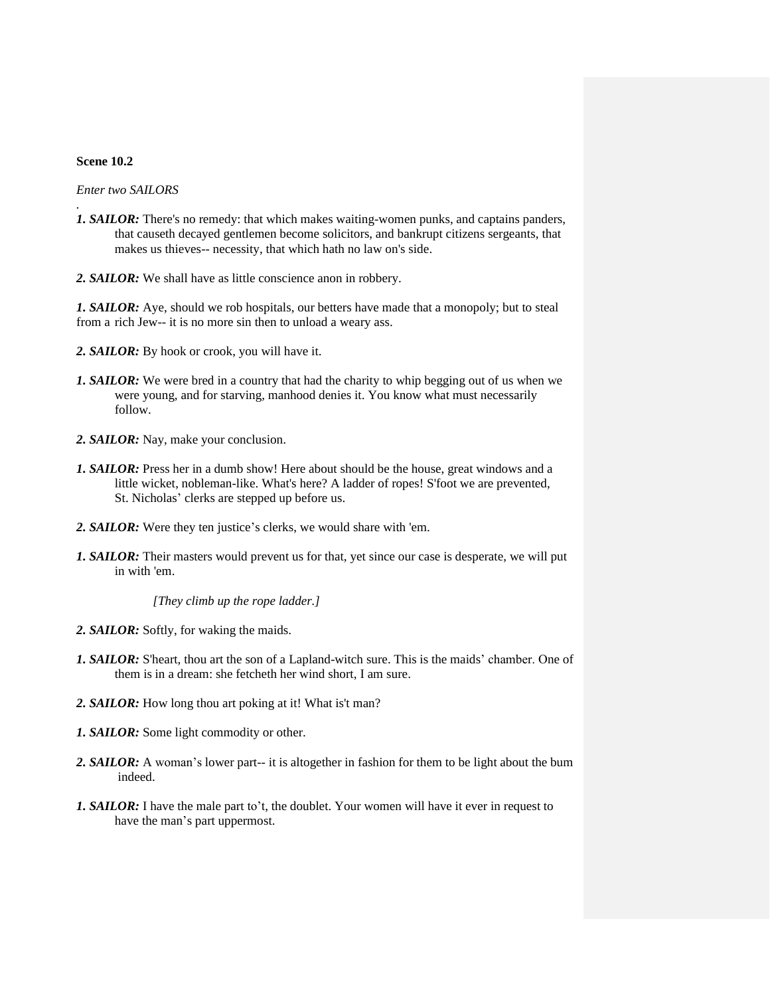# **Scene 10.2**

*.*

*Enter two SAILORS*

- *1. SAILOR:* There's no remedy: that which makes waiting-women punks, and captains panders, that causeth decayed gentlemen become solicitors, and bankrupt citizens sergeants, that makes us thieves-- necessity, that which hath no law on's side.
- *2. SAILOR:* We shall have as little conscience anon in robbery.

1. **SAILOR:** Aye, should we rob hospitals, our betters have made that a monopoly; but to steal from a rich Jew-- it is no more sin then to unload a weary ass.

- *2. SAILOR:* By hook or crook, you will have it.
- **1. SAILOR:** We were bred in a country that had the charity to whip begging out of us when we were young, and for starving, manhood denies it. You know what must necessarily follow.
- *2. SAILOR:* Nay, make your conclusion.
- *1. SAILOR:* Press her in a dumb show! Here about should be the house, great windows and a little wicket, nobleman-like. What's here? A ladder of ropes! S'foot we are prevented, St. Nicholas' clerks are stepped up before us.
- 2. SAILOR: Were they ten justice's clerks, we would share with 'em.
- *1. SAILOR:* Their masters would prevent us for that, yet since our case is desperate, we will put in with 'em.

*[They climb up the rope ladder.]*

- *2. SAILOR:* Softly, for waking the maids.
- 1. **SAILOR:** S'heart, thou art the son of a Lapland-witch sure. This is the maids' chamber. One of them is in a dream: she fetcheth her wind short, I am sure.
- 2. **SAILOR:** How long thou art poking at it! What is't man?
- *1. SAILOR:* Some light commodity or other.
- 2. **SAILOR:** A woman's lower part-- it is altogether in fashion for them to be light about the bum indeed.
- **1. SAILOR:** I have the male part to't, the doublet. Your women will have it ever in request to have the man's part uppermost.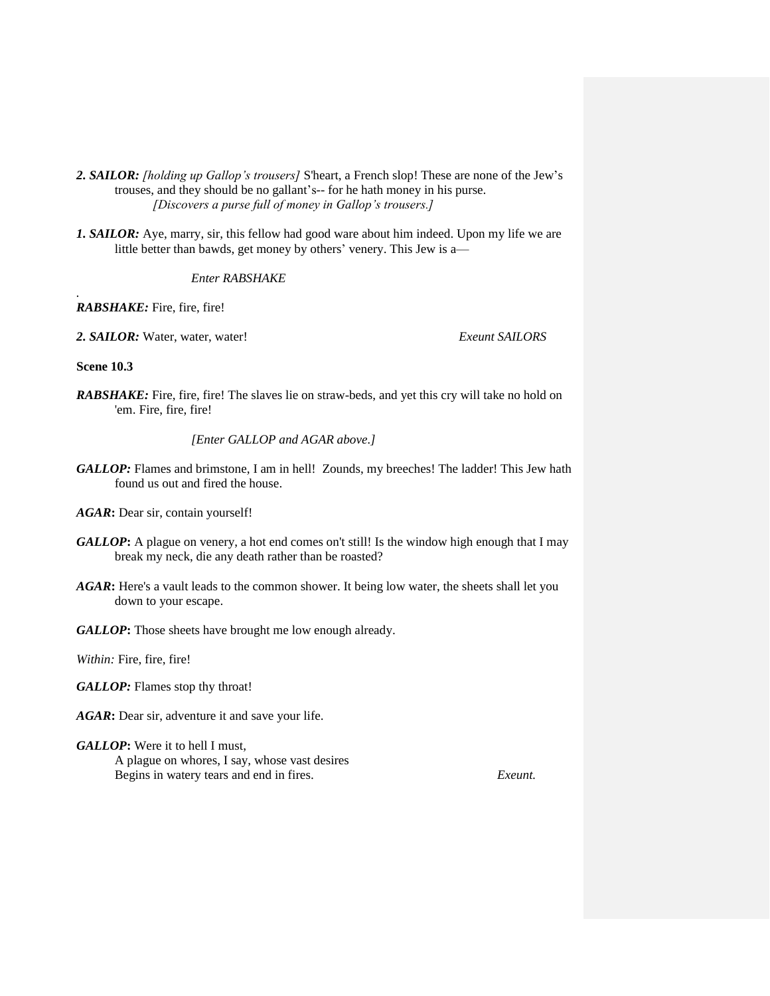- *2. SAILOR: [holding up Gallop's trousers]* S'heart, a French slop! These are none of the Jew"s trouses, and they should be no gallant"s-- for he hath money in his purse. *[Discovers a purse full of money in Gallop's trousers.]*
- 1. SAILOR: Aye, marry, sir, this fellow had good ware about him indeed. Upon my life we are little better than bawds, get money by others' venery. This Jew is a—

*Enter RABSHAKE*

*RABSHAKE:* Fire, fire, fire!

*2. SAILOR:* Water, water, water! *Exeunt SAILORS*

#### **Scene 10.3**

*.*

*RABSHAKE:* Fire, fire, fire! The slaves lie on straw-beds, and yet this cry will take no hold on 'em. Fire, fire, fire!

## *[Enter GALLOP and AGAR above.]*

- *GALLOP:* Flames and brimstone, I am in hell! Zounds, my breeches! The ladder! This Jew hath found us out and fired the house.
- AGAR: Dear sir, contain yourself!
- *GALLOP***:** A plague on venery, a hot end comes on't still! Is the window high enough that I may break my neck, die any death rather than be roasted?
- *AGAR***:** Here's a vault leads to the common shower. It being low water, the sheets shall let you down to your escape.

*GALLOP*: Those sheets have brought me low enough already.

*Within:* Fire, fire, fire!

*GALLOP:* Flames stop thy throat!

AGAR: Dear sir, adventure it and save your life.

GALLOP: Were it to hell I must, A plague on whores, I say, whose vast desires Begins in watery tears and end in fires. *Exeunt.*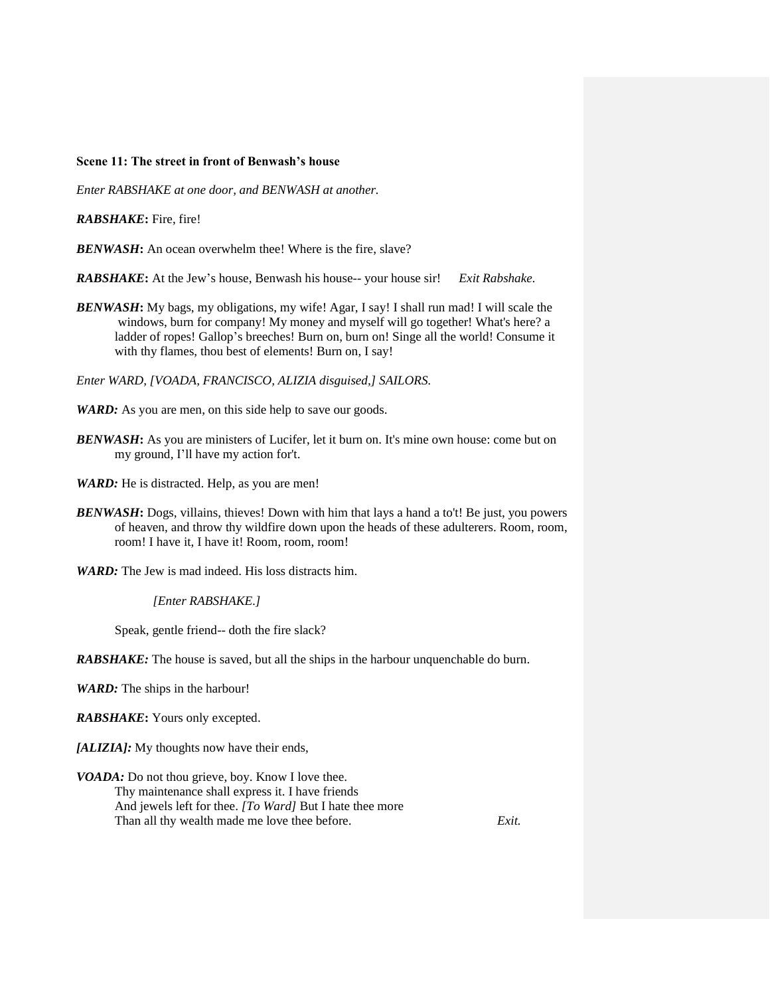### **Scene 11: The street in front of Benwash's house**

*Enter RABSHAKE at one door, and BENWASH at another.*

*RABSHAKE***:** Fire, fire!

**BENWASH**: An ocean overwhelm thee! Where is the fire, slave?

*RABSHAKE***:** At the Jew"s house, Benwash his house-- your house sir! *Exit Rabshake.*

*BENWASH***:** My bags, my obligations, my wife! Agar, I say! I shall run mad! I will scale the windows, burn for company! My money and myself will go together! What's here? a ladder of ropes! Gallop"s breeches! Burn on, burn on! Singe all the world! Consume it with thy flames, thou best of elements! Burn on, I say!

*Enter WARD, [VOADA, FRANCISCO, ALIZIA disguised,] SAILORS.*

WARD: As you are men, on this side help to save our goods.

**BENWASH**: As you are ministers of Lucifer, let it burn on. It's mine own house: come but on my ground, I"ll have my action for't.

*WARD:* He is distracted. Help, as you are men!

*BENWASH***:** Dogs, villains, thieves! Down with him that lays a hand a to't! Be just, you powers of heaven, and throw thy wildfire down upon the heads of these adulterers. Room, room, room! I have it, I have it! Room, room, room!

*WARD:* The Jew is mad indeed. His loss distracts him.

*[Enter RABSHAKE.]*

Speak, gentle friend-- doth the fire slack?

*RABSHAKE:* The house is saved, but all the ships in the harbour unquenchable do burn.

*WARD:* The ships in the harbour!

*RABSHAKE***:** Yours only excepted.

*[ALIZIA]:* My thoughts now have their ends,

*VOADA:* Do not thou grieve, boy. Know I love thee. Thy maintenance shall express it. I have friends And jewels left for thee. *[To Ward]* But I hate thee more Than all thy wealth made me love thee before. *Exit.*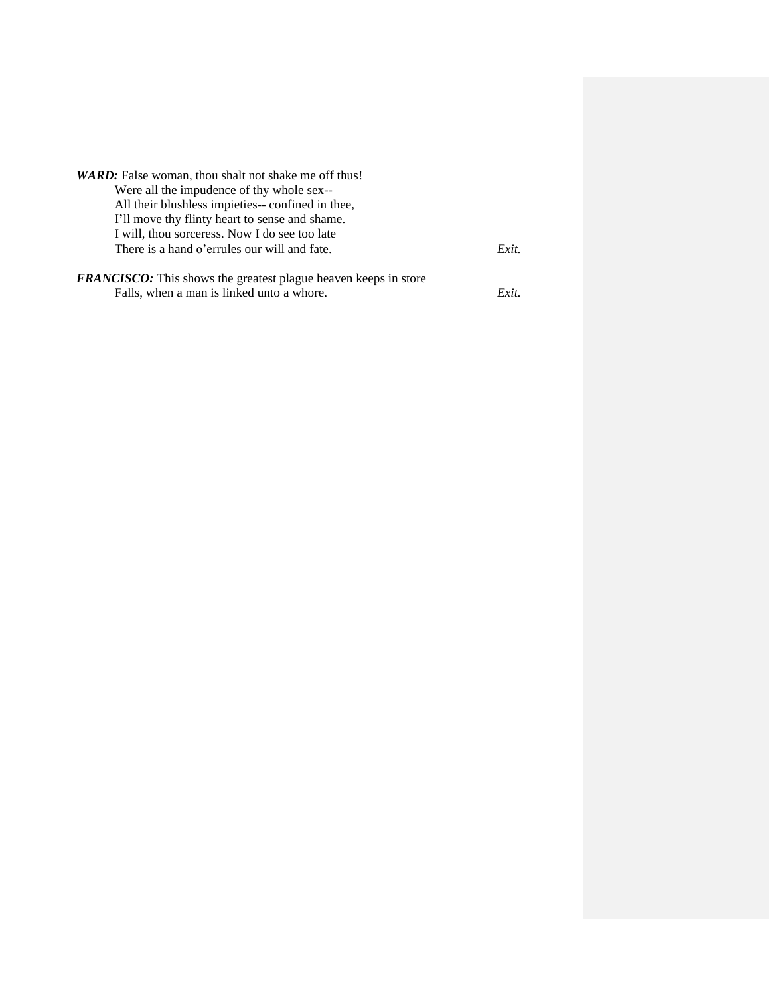| <b>WARD:</b> False woman, thou shalt not shake me off thus!            |       |
|------------------------------------------------------------------------|-------|
| Were all the impudence of thy whole sex--                              |       |
| All their blushless impieties-- confined in thee,                      |       |
| I'll move thy flinty heart to sense and shame.                         |       |
| I will, thou sorceress. Now I do see too late                          |       |
| There is a hand o'errules our will and fate.                           | Exit. |
| <b>FRANCISCO:</b> This shows the greatest plague heaven keeps in store |       |
| Falls, when a man is linked unto a whore.                              | Exit  |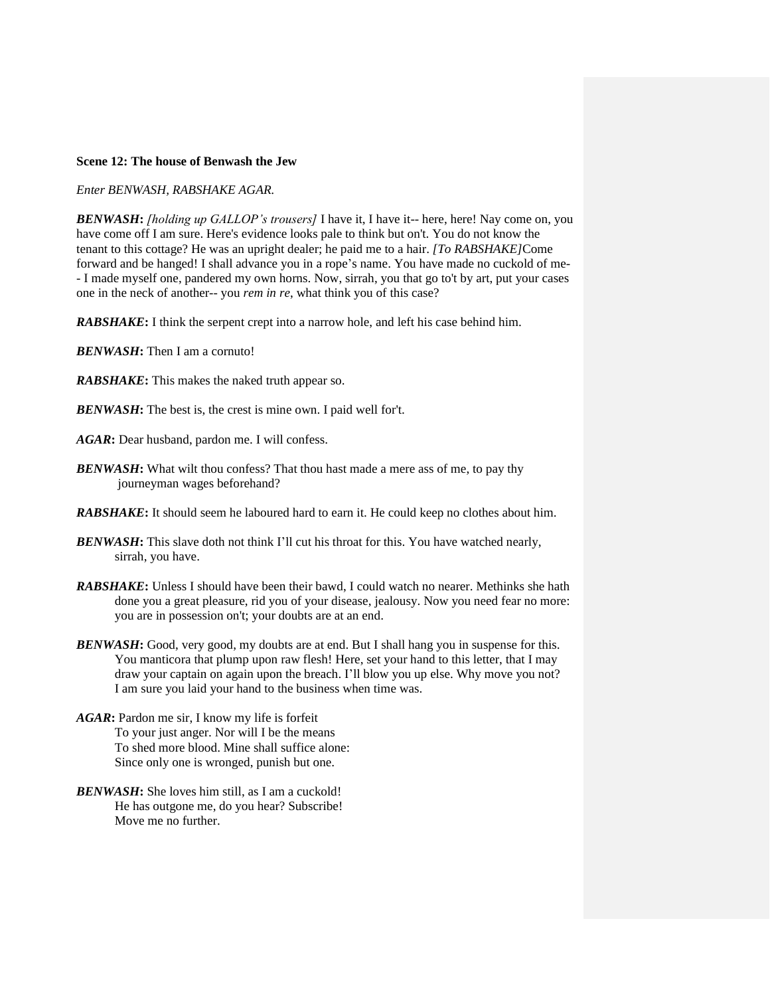#### **Scene 12: The house of Benwash the Jew**

### *Enter BENWASH, RABSHAKE AGAR.*

*BENWASH***:** *[holding up GALLOP's trousers]* I have it, I have it-- here, here! Nay come on, you have come off I am sure. Here's evidence looks pale to think but on't. You do not know the tenant to this cottage? He was an upright dealer; he paid me to a hair. *[To RABSHAKE]*Come forward and be hanged! I shall advance you in a rope's name. You have made no cuckold of me-- I made myself one, pandered my own horns. Now, sirrah, you that go to't by art, put your cases one in the neck of another-- you *rem in re*, what think you of this case?

*RABSHAKE***:** I think the serpent crept into a narrow hole, and left his case behind him.

- **BENWASH**: Then I am a cornuto!
- *RABSHAKE***:** This makes the naked truth appear so.
- **BENWASH:** The best is, the crest is mine own. I paid well for't.
- AGAR: Dear husband, pardon me. I will confess.
- *BENWASH***:** What wilt thou confess? That thou hast made a mere ass of me, to pay thy journeyman wages beforehand?
- *RABSHAKE***:** It should seem he laboured hard to earn it. He could keep no clothes about him.
- **BENWASH:** This slave doth not think I'll cut his throat for this. You have watched nearly, sirrah, you have.
- *RABSHAKE***:** Unless I should have been their bawd, I could watch no nearer. Methinks she hath done you a great pleasure, rid you of your disease, jealousy. Now you need fear no more: you are in possession on't; your doubts are at an end.
- *BENWASH*: Good, very good, my doubts are at end. But I shall hang you in suspense for this. You manticora that plump upon raw flesh! Here, set your hand to this letter, that I may draw your captain on again upon the breach. I"ll blow you up else. Why move you not? I am sure you laid your hand to the business when time was.
- AGAR: Pardon me sir, I know my life is forfeit To your just anger. Nor will I be the means To shed more blood. Mine shall suffice alone: Since only one is wronged, punish but one.
- *BENWASH***:** She loves him still, as I am a cuckold! He has outgone me, do you hear? Subscribe! Move me no further.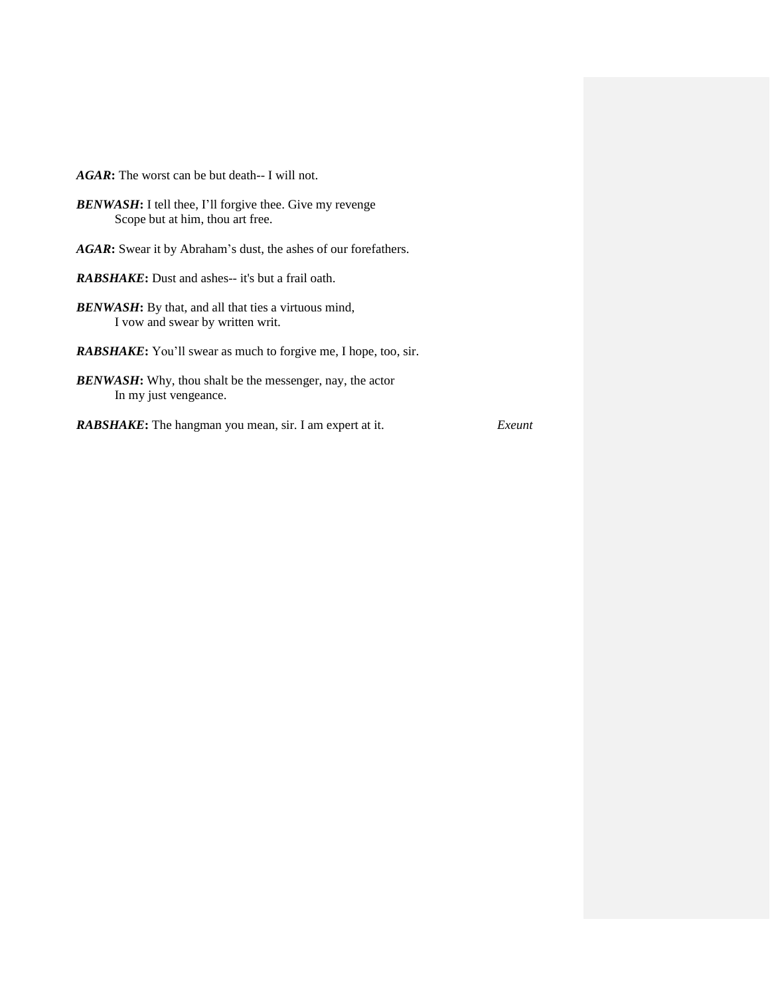AGAR: The worst can be but death-- I will not.

| <b>BENWASH:</b> I tell thee, I'll forgive thee. Give my revenge |
|-----------------------------------------------------------------|
| Scope but at him, thou art free.                                |

- *AGAR***:** Swear it by Abraham"s dust, the ashes of our forefathers.
- *RABSHAKE*: Dust and ashes-- it's but a frail oath.
- *BENWASH***:** By that, and all that ties a virtuous mind, I vow and swear by written writ.
- *RABSHAKE***:** You"ll swear as much to forgive me, I hope, too, sir.
- **BENWASH**: Why, thou shalt be the messenger, nay, the actor In my just vengeance.
- *RABSHAKE***:** The hangman you mean, sir. I am expert at it. *Exeunt*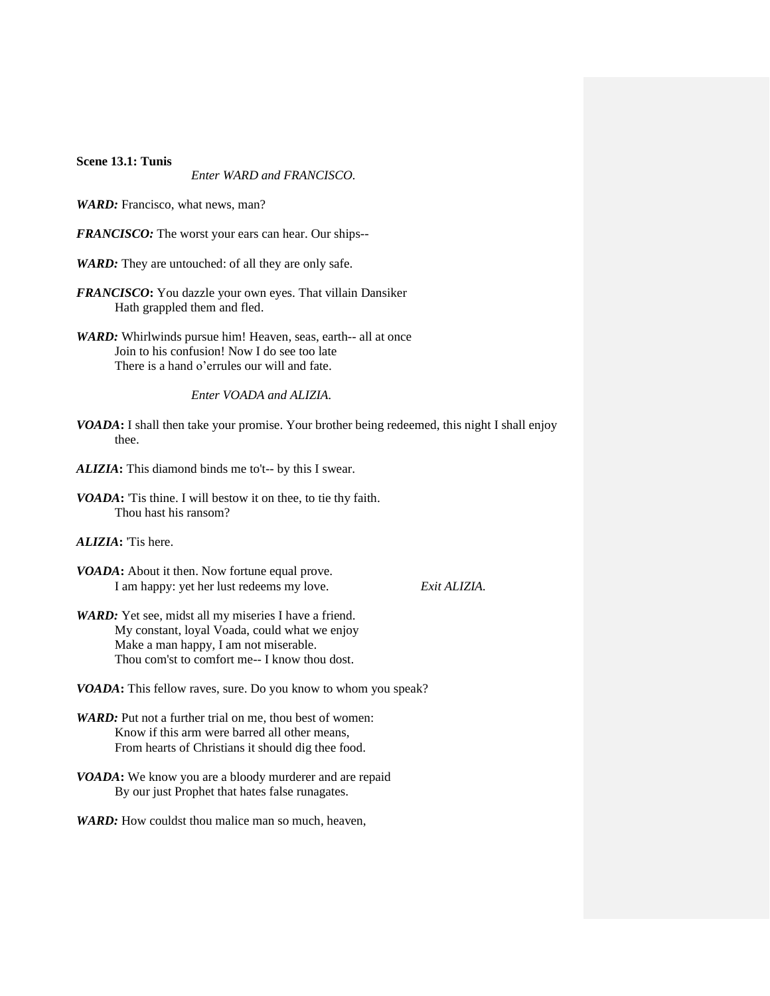**Scene 13.1: Tunis**

#### *Enter WARD and FRANCISCO.*

*WARD:* Francisco, what news, man?

*FRANCISCO:* The worst your ears can hear. Our ships--

WARD: They are untouched: of all they are only safe.

*FRANCISCO***:** You dazzle your own eyes. That villain Dansiker Hath grappled them and fled.

*WARD:* Whirlwinds pursue him! Heaven, seas, earth-- all at once Join to his confusion! Now I do see too late There is a hand o'errules our will and fate.

*Enter VOADA and ALIZIA.*

*VOADA***:** I shall then take your promise. Your brother being redeemed, this night I shall enjoy thee.

*ALIZIA***:** This diamond binds me to't-- by this I swear.

*VOADA***:** 'Tis thine. I will bestow it on thee, to tie thy faith. Thou hast his ransom?

*ALIZIA***:** 'Tis here.

*VOADA***:** About it then. Now fortune equal prove. I am happy: yet her lust redeems my love. *Exit ALIZIA.*

- *WARD:* Yet see, midst all my miseries I have a friend. My constant, loyal Voada, could what we enjoy Make a man happy, I am not miserable. Thou com'st to comfort me-- I know thou dost.
- *VOADA***:** This fellow raves, sure. Do you know to whom you speak?
- *WARD:* Put not a further trial on me, thou best of women: Know if this arm were barred all other means, From hearts of Christians it should dig thee food.
- *VOADA***:** We know you are a bloody murderer and are repaid By our just Prophet that hates false runagates.
- *WARD:* How couldst thou malice man so much, heaven,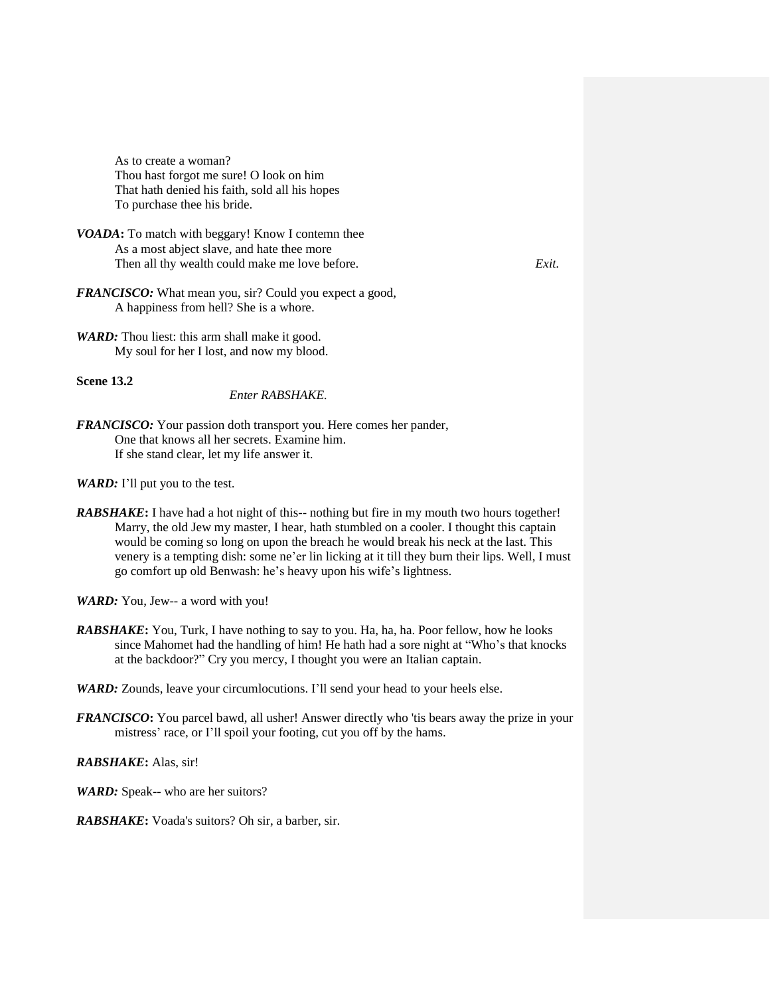As to create a woman? Thou hast forgot me sure! O look on him That hath denied his faith, sold all his hopes To purchase thee his bride.

*VOADA***:** To match with beggary! Know I contemn thee As a most abject slave, and hate thee more Then all thy wealth could make me love before. *Exit. Exit.* 

- *FRANCISCO:* What mean you, sir? Could you expect a good, A happiness from hell? She is a whore.
- *WARD:* Thou liest: this arm shall make it good. My soul for her I lost, and now my blood.

**Scene 13.2**

# *Enter RABSHAKE.*

*FRANCISCO:* Your passion doth transport you. Here comes her pander, One that knows all her secrets. Examine him. If she stand clear, let my life answer it.

*WARD:* I'll put you to the test.

*RABSHAKE***:** I have had a hot night of this-- nothing but fire in my mouth two hours together! Marry, the old Jew my master, I hear, hath stumbled on a cooler. I thought this captain would be coming so long on upon the breach he would break his neck at the last. This venery is a tempting dish: some ne'er lin licking at it till they burn their lips. Well, I must go comfort up old Benwash: he"s heavy upon his wife"s lightness.

WARD: You, Jew-- a word with you!

*RABSHAKE***:** You, Turk, I have nothing to say to you. Ha, ha, ha. Poor fellow, how he looks since Mahomet had the handling of him! He hath had a sore night at "Who"s that knocks at the backdoor?" Cry you mercy, I thought you were an Italian captain.

WARD: Zounds, leave your circumlocutions. I'll send your head to your heels else.

*FRANCISCO***:** You parcel bawd, all usher! Answer directly who 'tis bears away the prize in your mistress' race, or I'll spoil your footing, cut you off by the hams.

*RABSHAKE***:** Alas, sir!

*WARD:* Speak-- who are her suitors?

*RABSHAKE***:** Voada's suitors? Oh sir, a barber, sir.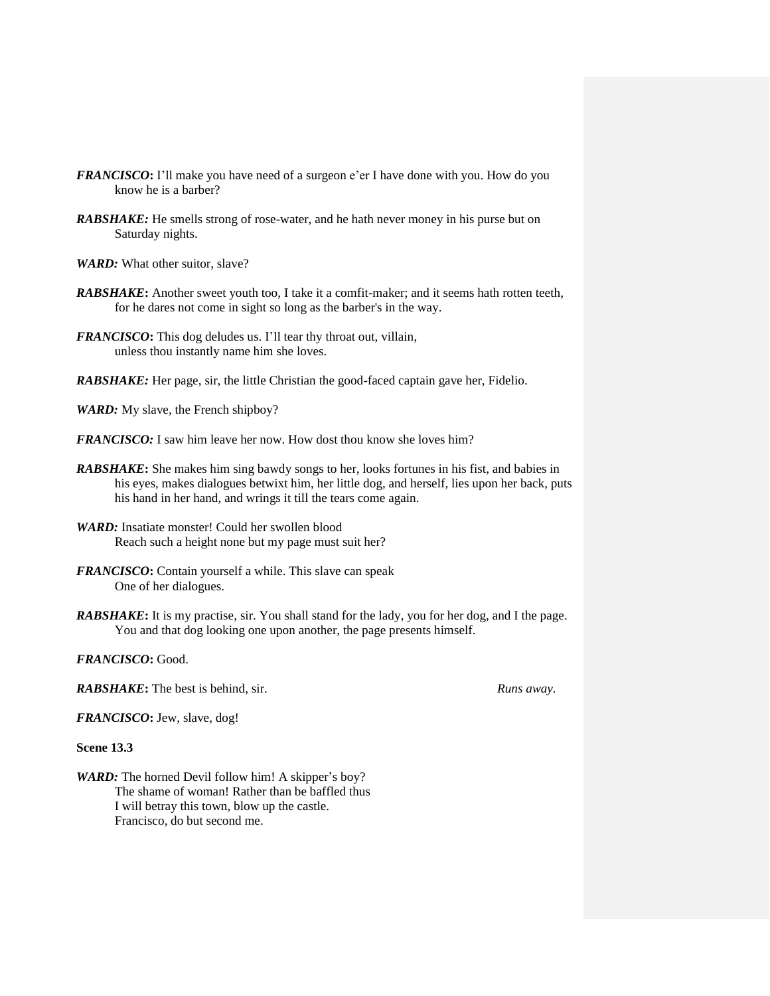- *FRANCISCO*: I'll make you have need of a surgeon e'er I have done with you. How do you know he is a barber?
- *RABSHAKE:* He smells strong of rose-water, and he hath never money in his purse but on Saturday nights.

*WARD:* What other suitor, slave?

- *RABSHAKE***:** Another sweet youth too, I take it a comfit-maker; and it seems hath rotten teeth, for he dares not come in sight so long as the barber's in the way.
- *FRANCISCO***:** This dog deludes us. I"ll tear thy throat out, villain, unless thou instantly name him she loves.
- *RABSHAKE:* Her page, sir, the little Christian the good-faced captain gave her, Fidelio.

*WARD:* My slave, the French shipboy?

- *FRANCISCO:* I saw him leave her now. How dost thou know she loves him?
- *RABSHAKE***:** She makes him sing bawdy songs to her, looks fortunes in his fist, and babies in his eyes, makes dialogues betwixt him, her little dog, and herself, lies upon her back, puts his hand in her hand, and wrings it till the tears come again.
- *WARD:* Insatiate monster! Could her swollen blood Reach such a height none but my page must suit her?
- *FRANCISCO*: Contain yourself a while. This slave can speak One of her dialogues.
- *RABSHAKE***:** It is my practise, sir. You shall stand for the lady, you for her dog, and I the page. You and that dog looking one upon another, the page presents himself.

*FRANCISCO***:** Good.

*RABSHAKE***:** The best is behind, sir. *Runs away.*

*FRANCISCO***:** Jew, slave, dog!

# **Scene 13.3**

*WARD*: The horned Devil follow him! A skipper's boy? The shame of woman! Rather than be baffled thus I will betray this town, blow up the castle. Francisco, do but second me.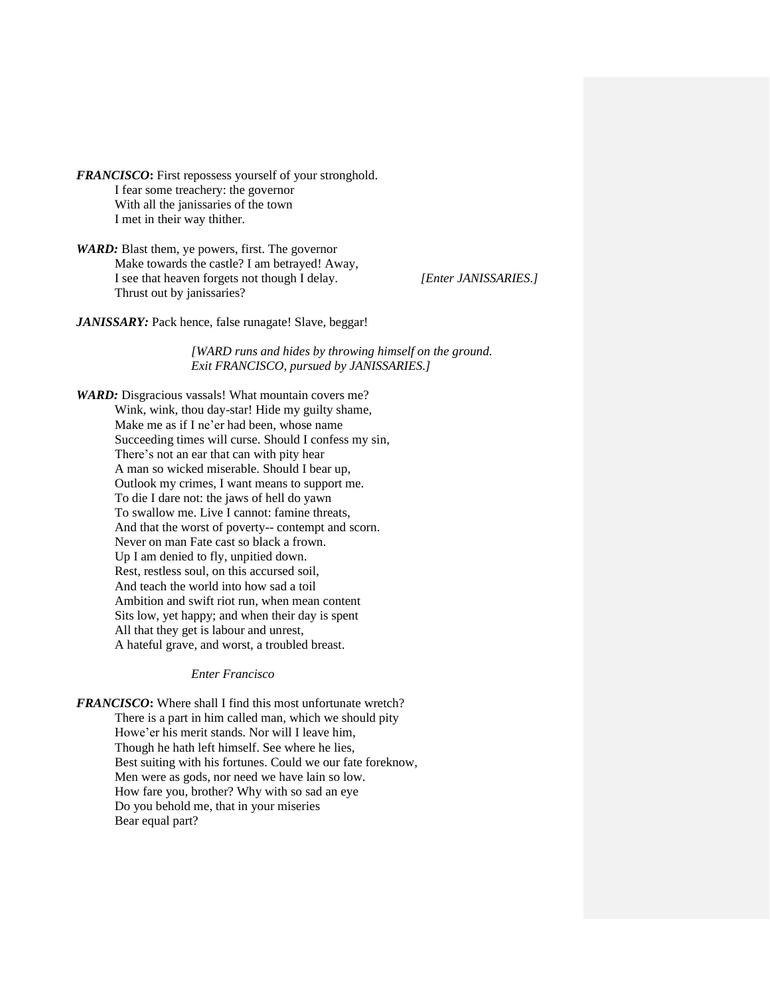*FRANCISCO*: First repossess yourself of your stronghold. I fear some treachery: the governor With all the janissaries of the town I met in their way thither.

*WARD*: Blast them, ye powers, first. The governor Make towards the castle? I am betrayed! Away, I see that heaven forgets not though I delay. *[Enter JANISSARIES.]* Thrust out by janissaries?

*JANISSARY:* Pack hence, false runagate! Slave, beggar!

*[WARD runs and hides by throwing himself on the ground. Exit FRANCISCO, pursued by JANISSARIES.]*

*WARD:* Disgracious vassals! What mountain covers me? Wink, wink, thou day-star! Hide my guilty shame, Make me as if I ne'er had been, whose name Succeeding times will curse. Should I confess my sin, There's not an ear that can with pity hear A man so wicked miserable. Should I bear up, Outlook my crimes, I want means to support me. To die I dare not: the jaws of hell do yawn To swallow me. Live I cannot: famine threats, And that the worst of poverty-- contempt and scorn. Never on man Fate cast so black a frown. Up I am denied to fly, unpitied down. Rest, restless soul, on this accursed soil, And teach the world into how sad a toil Ambition and swift riot run, when mean content Sits low, yet happy; and when their day is spent All that they get is labour and unrest, A hateful grave, and worst, a troubled breast.

*Enter Francisco*

*FRANCISCO*: Where shall I find this most unfortunate wretch? There is a part in him called man, which we should pity Howe'er his merit stands. Nor will I leave him, Though he hath left himself. See where he lies, Best suiting with his fortunes. Could we our fate foreknow, Men were as gods, nor need we have lain so low. How fare you, brother? Why with so sad an eye Do you behold me, that in your miseries Bear equal part?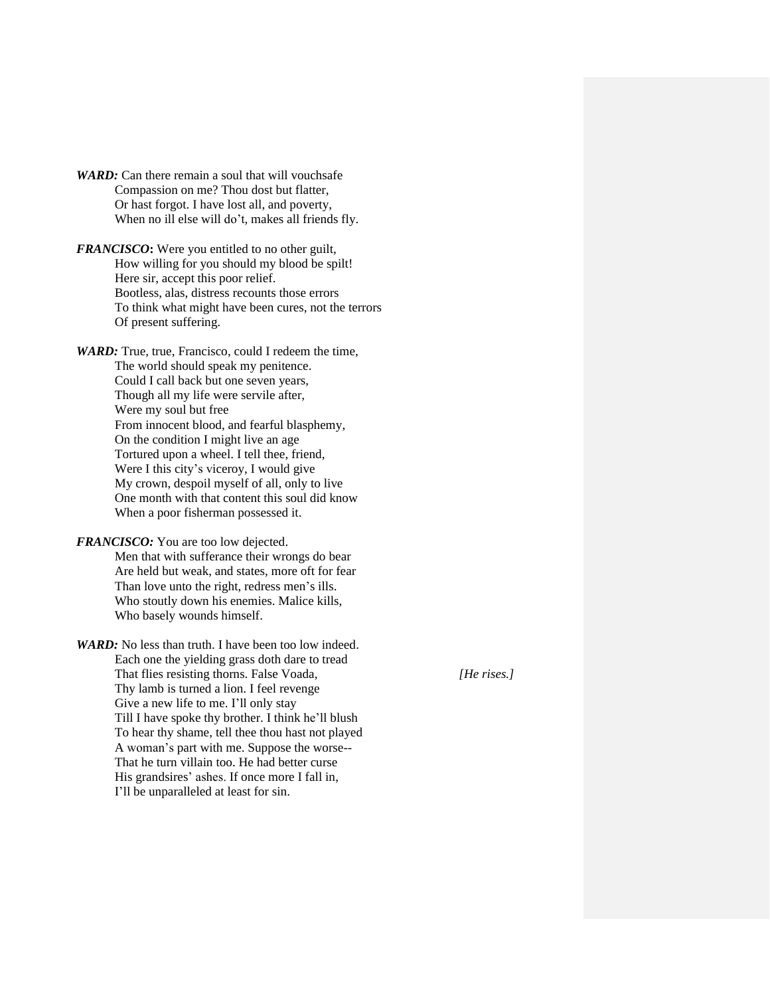- *WARD:* Can there remain a soul that will vouchsafe Compassion on me? Thou dost but flatter, Or hast forgot. I have lost all, and poverty, When no ill else will do't, makes all friends fly.
- *FRANCISCO***:** Were you entitled to no other guilt, How willing for you should my blood be spilt! Here sir, accept this poor relief. Bootless, alas, distress recounts those errors To think what might have been cures, not the terrors Of present suffering.

*WARD:* True, true, Francisco, could I redeem the time, The world should speak my penitence. Could I call back but one seven years, Though all my life were servile after, Were my soul but free From innocent blood, and fearful blasphemy, On the condition I might live an age Tortured upon a wheel. I tell thee, friend, Were I this city's viceroy, I would give My crown, despoil myself of all, only to live One month with that content this soul did know When a poor fisherman possessed it.

*FRANCISCO:* You are too low dejected. Men that with sufferance their wrongs do bear Are held but weak, and states, more oft for fear Than love unto the right, redress men's ills. Who stoutly down his enemies. Malice kills, Who basely wounds himself.

*WARD:* No less than truth. I have been too low indeed. Each one the yielding grass doth dare to tread That flies resisting thorns. False Voada, *[He rises.]* Thy lamb is turned a lion. I feel revenge Give a new life to me. I"ll only stay Till I have spoke thy brother. I think he"ll blush To hear thy shame, tell thee thou hast not played A woman"s part with me. Suppose the worse-- That he turn villain too. He had better curse His grandsires' ashes. If once more I fall in, I"ll be unparalleled at least for sin.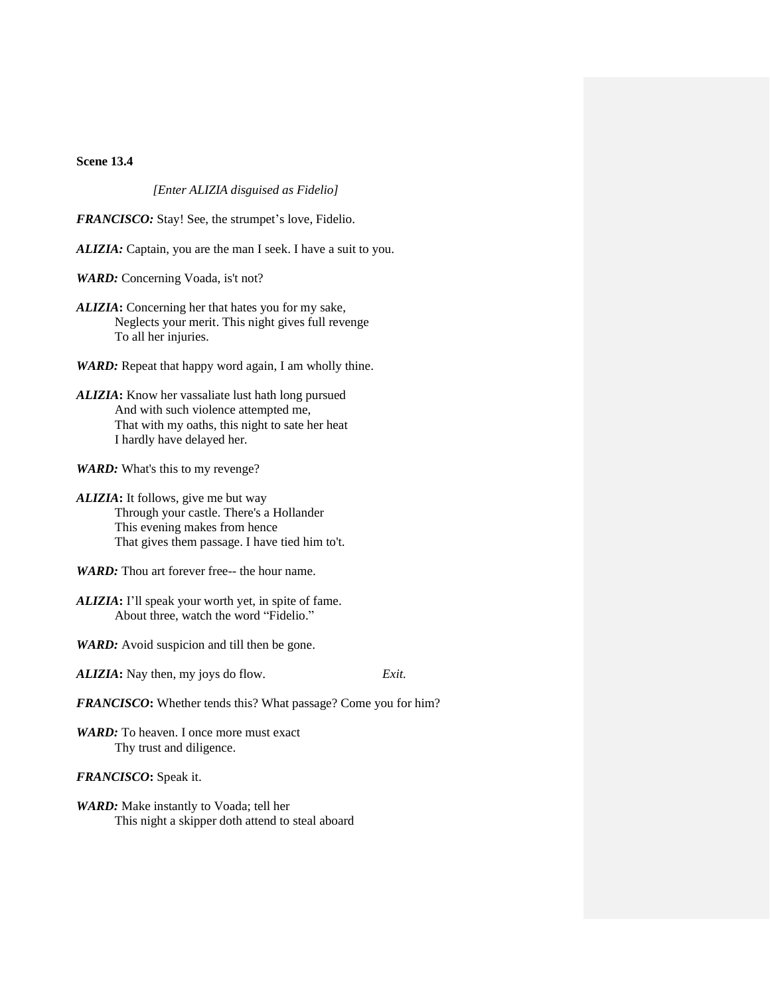# **Scene 13.4**

*[Enter ALIZIA disguised as Fidelio]*

*FRANCISCO:* Stay! See, the strumpet's love, Fidelio.

*ALIZIA:* Captain, you are the man I seek. I have a suit to you.

WARD: Concerning Voada, is't not?

*ALIZIA***:** Concerning her that hates you for my sake, Neglects your merit. This night gives full revenge To all her injuries.

*WARD:* Repeat that happy word again, I am wholly thine.

*ALIZIA***:** Know her vassaliate lust hath long pursued And with such violence attempted me, That with my oaths, this night to sate her heat I hardly have delayed her.

*WARD:* What's this to my revenge?

*ALIZIA***:** It follows, give me but way Through your castle. There's a Hollander This evening makes from hence That gives them passage. I have tied him to't.

*WARD:* Thou art forever free-- the hour name.

*ALIZIA***:** I"ll speak your worth yet, in spite of fame. About three, watch the word "Fidelio."

*WARD:* Avoid suspicion and till then be gone.

| ALIZIA: Nay then, my joys do flow. | Exit. |
|------------------------------------|-------|
|------------------------------------|-------|

*FRANCISCO*: Whether tends this? What passage? Come you for him?

*WARD:* To heaven. I once more must exact Thy trust and diligence.

*FRANCISCO***:** Speak it.

*WARD:* Make instantly to Voada; tell her This night a skipper doth attend to steal aboard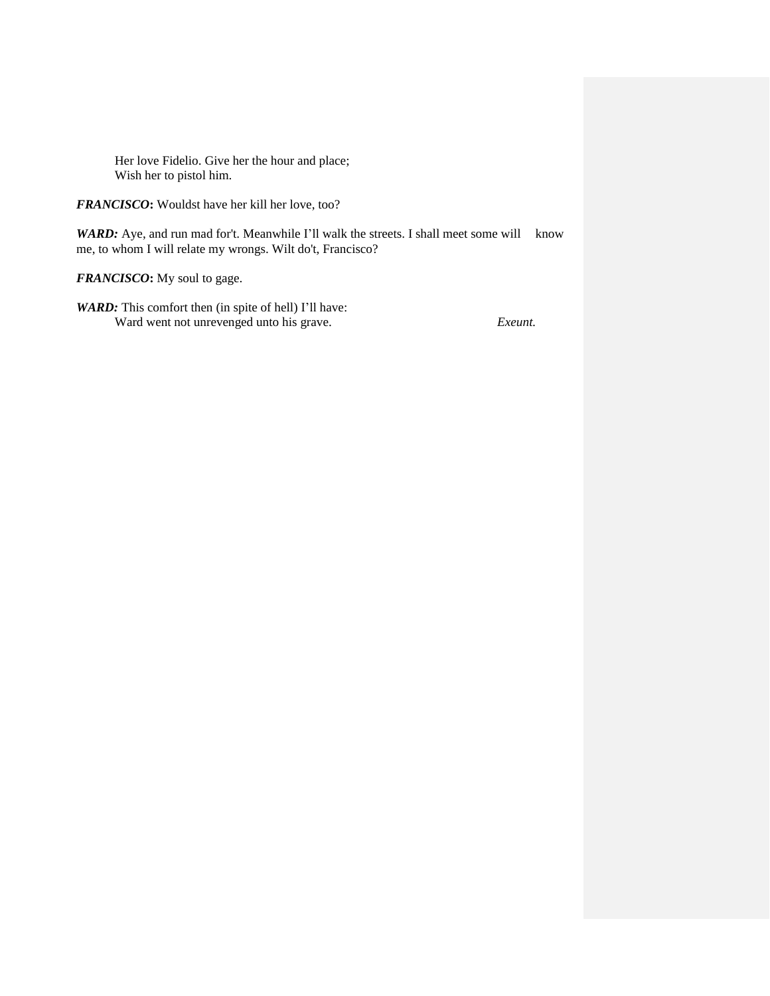Her love Fidelio. Give her the hour and place; Wish her to pistol him.

*FRANCISCO***:** Wouldst have her kill her love, too?

*WARD*: Aye, and run mad for't. Meanwhile I'll walk the streets. I shall meet some will know me, to whom I will relate my wrongs. Wilt do't, Francisco?

*FRANCISCO***:** My soul to gage.

*WARD:* This comfort then (in spite of hell) I'll have: Ward went not unrevenged unto his grave. *Exeunt.*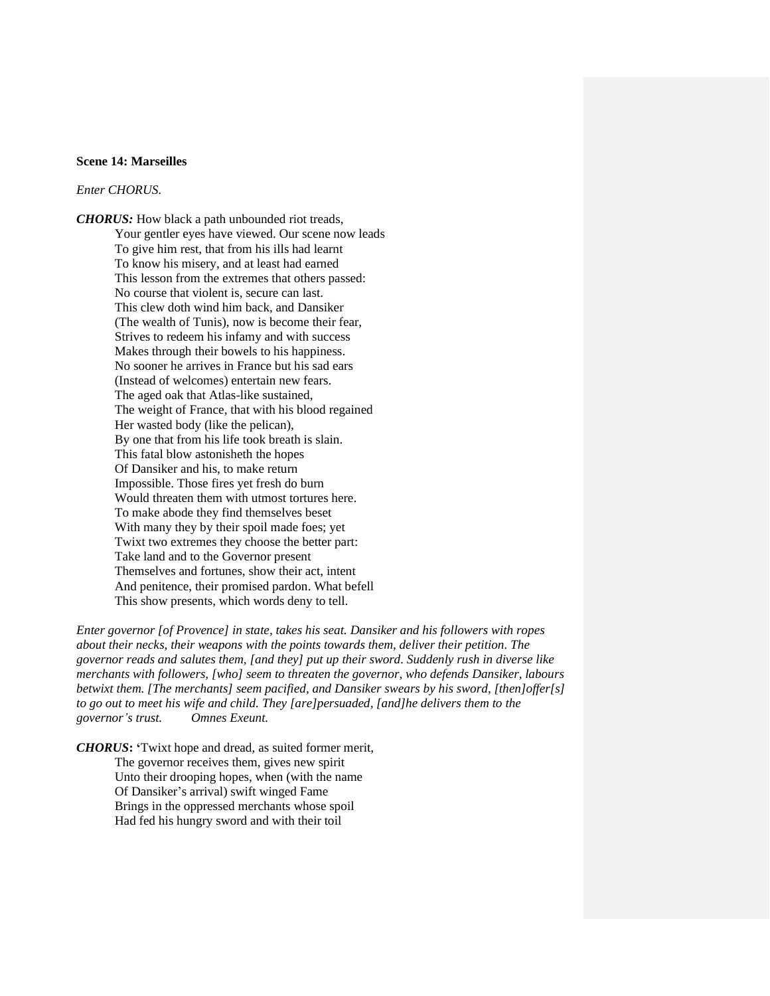# **Scene 14: Marseilles**

# *Enter CHORUS.*

*CHORUS:* How black a path unbounded riot treads, Your gentler eyes have viewed. Our scene now leads To give him rest, that from his ills had learnt To know his misery, and at least had earned This lesson from the extremes that others passed: No course that violent is, secure can last. This clew doth wind him back, and Dansiker (The wealth of Tunis), now is become their fear, Strives to redeem his infamy and with success Makes through their bowels to his happiness. No sooner he arrives in France but his sad ears (Instead of welcomes) entertain new fears. The aged oak that Atlas-like sustained, The weight of France, that with his blood regained Her wasted body (like the pelican), By one that from his life took breath is slain. This fatal blow astonisheth the hopes Of Dansiker and his, to make return Impossible. Those fires yet fresh do burn Would threaten them with utmost tortures here. To make abode they find themselves beset With many they by their spoil made foes; yet Twixt two extremes they choose the better part: Take land and to the Governor present Themselves and fortunes, show their act, intent And penitence, their promised pardon. What befell This show presents, which words deny to tell.

*Enter governor [of Provence] in state, takes his seat. Dansiker and his followers with ropes about their necks, their weapons with the points towards them, deliver their petition. The governor reads and salutes them, [and they] put up their sword. Suddenly rush in diverse like merchants with followers, [who] seem to threaten the governor, who defends Dansiker, labours betwixt them. [The merchants] seem pacified, and Dansiker swears by his sword, [then]offer[s] to go out to meet his wife and child. They [are]persuaded, [and]he delivers them to the governor's trust. Omnes Exeunt.*

*CHORUS***: '**Twixt hope and dread, as suited former merit, The governor receives them, gives new spirit Unto their drooping hopes, when (with the name Of Dansiker"s arrival) swift winged Fame Brings in the oppressed merchants whose spoil Had fed his hungry sword and with their toil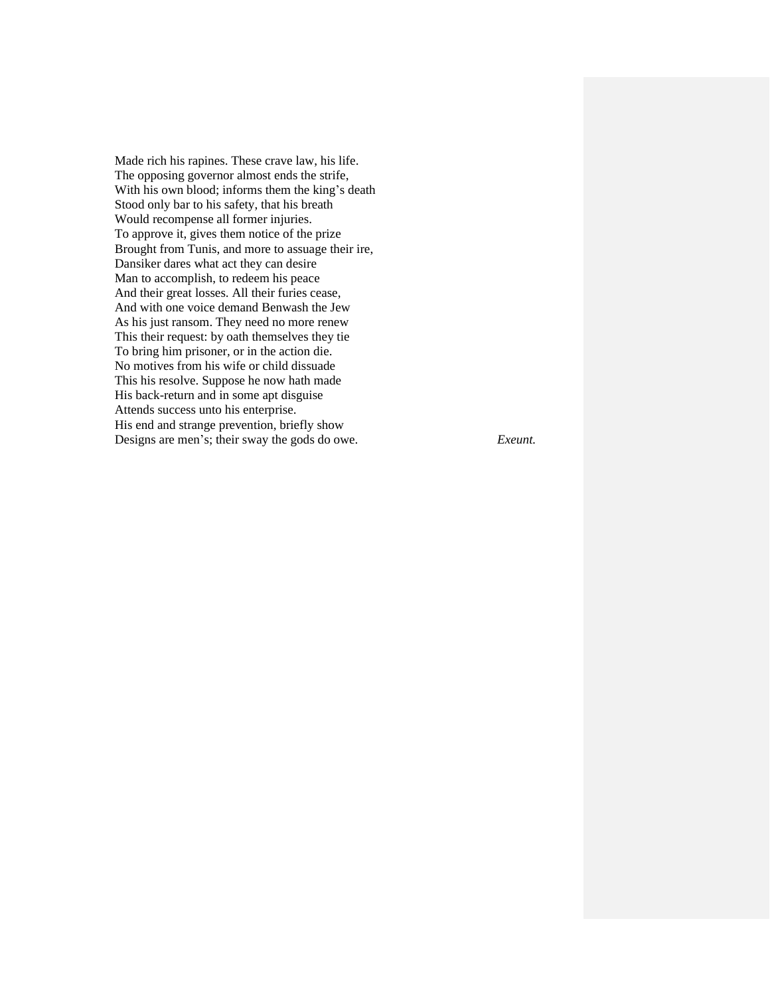Made rich his rapines. These crave law, his life . The opposing governor almost ends the strife, With his own blood; informs them the king's death Stood only bar to his safety, that his breath Would recompen se all former injuries. To approve it , gives them notice of the pri ze Brought from Tunis, and more to assuage their ire , Dansiker dare s what act they can desire Man to accomplish, to redeem his peace And their great loss es. All their furies cease, And with one voice demand Benwash the Jew As his just ransom. They need no more renew This their request: by oath themselves they tie To bring him prisoner, or in the action die. No moti ves from his wife or child dissuade This his resolve. Suppose he now hath made His back -return and in some apt disguise Attends success unto his enterprise. His end and strange prevention, briefly show Designs are men's; their sway the gods do owe. *Exeunt.*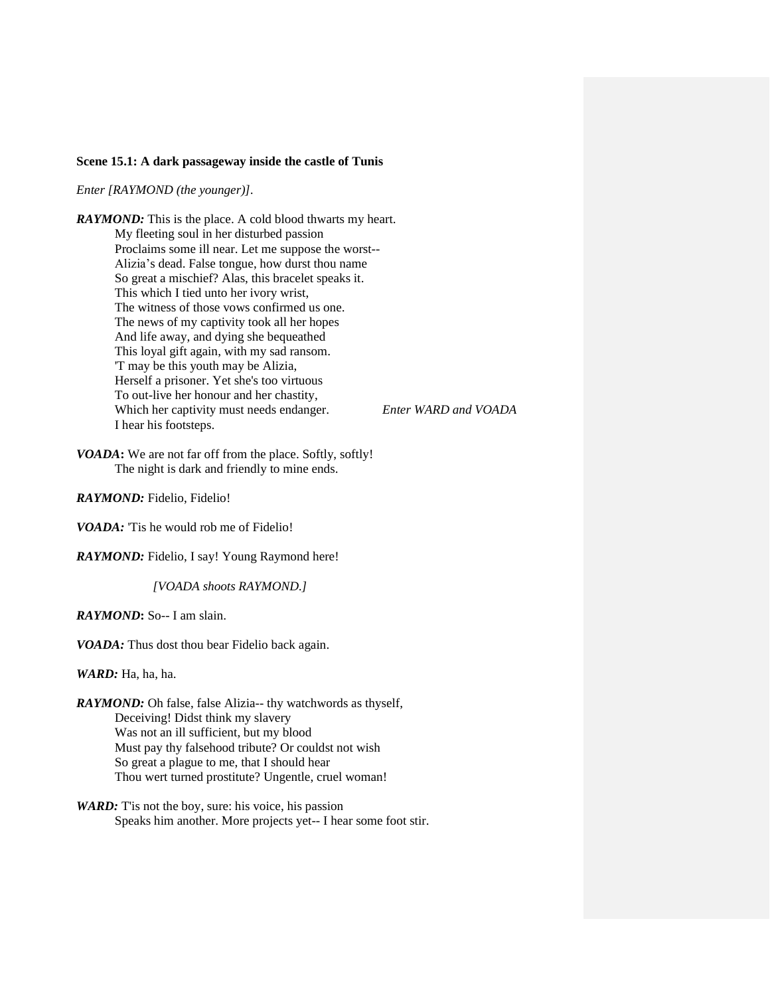## **Scene 15.1: A dark passageway inside the castle of Tunis**

*Enter [RAYMOND (the younger)].*

*RAYMOND:* This is the place. A cold blood thwarts my heart. My fleeting soul in her disturbed passion Proclaims some ill near. Let me suppose the worst-- Alizia"s dead. False tongue, how durst thou name So great a mischief? Alas, this bracelet speaks it. This which I tied unto her ivory wrist, The witness of those vows confirmed us one. The news of my captivity took all her hopes And life away, and dying she bequeathed This loyal gift again, with my sad ransom. 'T may be this youth may be Alizia, Herself a prisoner. Yet she's too virtuous To out-live her honour and her chastity, Which her captivity must needs endanger. *Enter WARD and VOADA* I hear his footsteps.

*VOADA***:** We are not far off from the place. Softly, softly! The night is dark and friendly to mine ends.

*RAYMOND:* Fidelio, Fidelio!

*VOADA:* 'Tis he would rob me of Fidelio!

*RAYMOND:* Fidelio, I say! Young Raymond here!

*[VOADA shoots RAYMOND.]*

*RAYMOND***:** So-- I am slain.

*VOADA:* Thus dost thou bear Fidelio back again.

*WARD:* Ha, ha, ha.

- *RAYMOND:* Oh false, false Alizia-- thy watchwords as thyself, Deceiving! Didst think my slavery Was not an ill sufficient, but my blood Must pay thy falsehood tribute? Or couldst not wish So great a plague to me, that I should hear Thou wert turned prostitute? Ungentle, cruel woman!
- *WARD*: T'is not the boy, sure: his voice, his passion Speaks him another. More projects yet-- I hear some foot stir.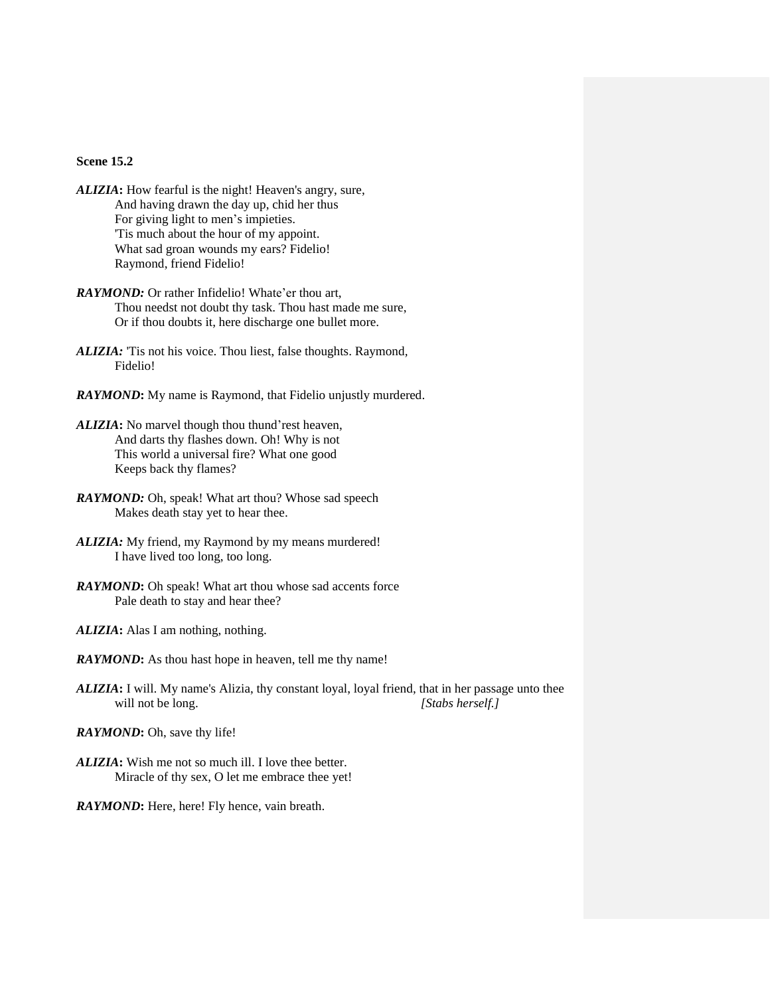## **Scene 15.2**

- *ALIZIA***:** How fearful is the night! Heaven's angry, sure, And having drawn the day up, chid her thus For giving light to men's impieties. 'Tis much about the hour of my appoint. What sad groan wounds my ears? Fidelio! Raymond, friend Fidelio!
- *RAYMOND:* Or rather Infidelio! Whate'er thou art, Thou needst not doubt thy task. Thou hast made me sure, Or if thou doubts it, here discharge one bullet more.
- *ALIZIA:* 'Tis not his voice. Thou liest, false thoughts. Raymond*,*  Fidelio!
- *RAYMOND***:** My name is Raymond, that Fidelio unjustly murdered.
- *ALIZIA***:** No marvel though thou thund"rest heaven, And darts thy flashes down. Oh! Why is not This world a universal fire? What one good Keeps back thy flames?
- *RAYMOND:* Oh, speak! What art thou? Whose sad speech Makes death stay yet to hear thee.
- ALIZIA: My friend, my Raymond by my means murdered! I have lived too long, too long.
- *RAYMOND*: Oh speak! What art thou whose sad accents force Pale death to stay and hear thee?

*ALIZIA***:** Alas I am nothing, nothing.

- *RAYMOND*: As thou hast hope in heaven, tell me thy name!
- *ALIZIA***:** I will. My name's Alizia, thy constant loyal, loyal friend, that in her passage unto thee will not be long. *<i>s* [Stabs herself.]
- *RAYMOND*: Oh, save thy life!
- *ALIZIA***:** Wish me not so much ill. I love thee better. Miracle of thy sex, O let me embrace thee yet!

*RAYMOND*: Here, here! Fly hence, vain breath.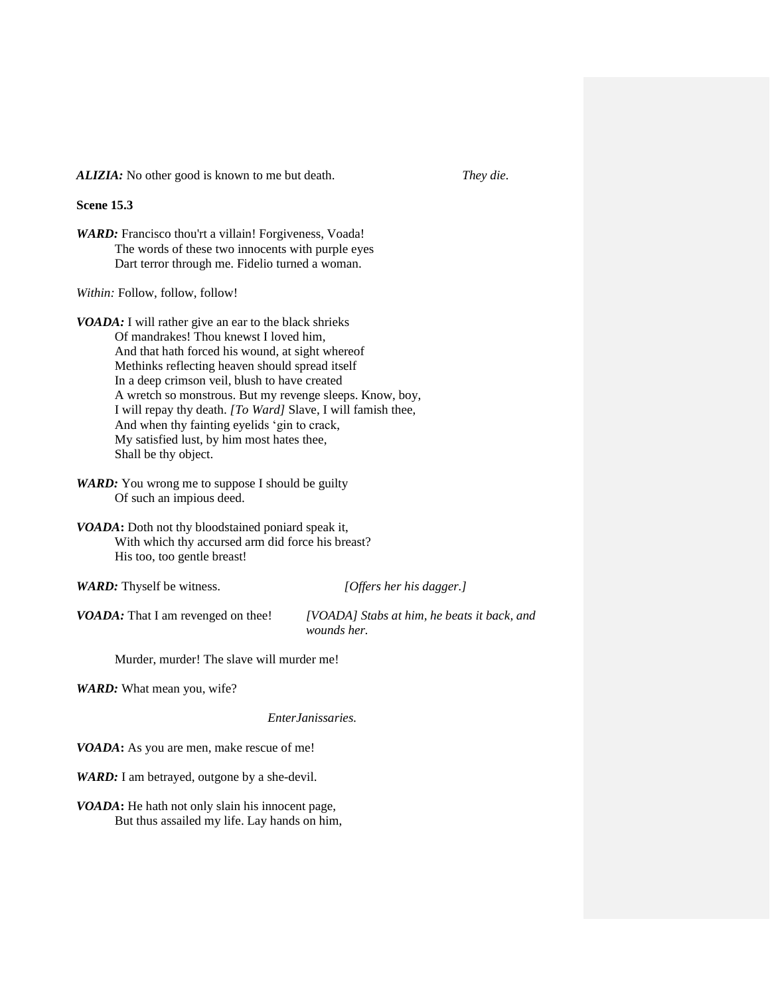*ALIZIA:* No other good is known to me but death. *They die.*

## **Scene 15.3**

WARD: Francisco thou'rt a villain! Forgiveness, Voada! The words of these two innocents with purple eyes Dart terror through me. Fidelio turned a woman.

*Within:* Follow, follow, follow!

*VOADA:* I will rather give an ear to the black shrieks Of mandrakes! Thou knewst I loved him, And that hath forced his wound, at sight whereof Methinks reflecting heaven should spread itself In a deep crimson veil, blush to have created A wretch so monstrous. But my revenge sleeps. Know, boy, I will repay thy death. *[To Ward]* Slave, I will famish thee, And when thy fainting eyelids "gin to crack, My satisfied lust, by him most hates thee, Shall be thy object.

- WARD: You wrong me to suppose I should be guilty Of such an impious deed.
- *VOADA***:** Doth not thy bloodstained poniard speak it, With which thy accursed arm did force his breast? His too, too gentle breast!
- *WARD:* Thyself be witness. *[Offers her his dagger.]*

*VOADA:* That I am revenged on thee! *[VOADA] Stabs at him, he beats it back, and wounds her.*

Murder, murder! The slave will murder me!

*WARD:* What mean you, wife?

*EnterJanissaries.*

*VOADA***:** As you are men, make rescue of me!

*WARD:* I am betrayed, outgone by a she-devil.

*VOADA***:** He hath not only slain his innocent page, But thus assailed my life. Lay hands on him,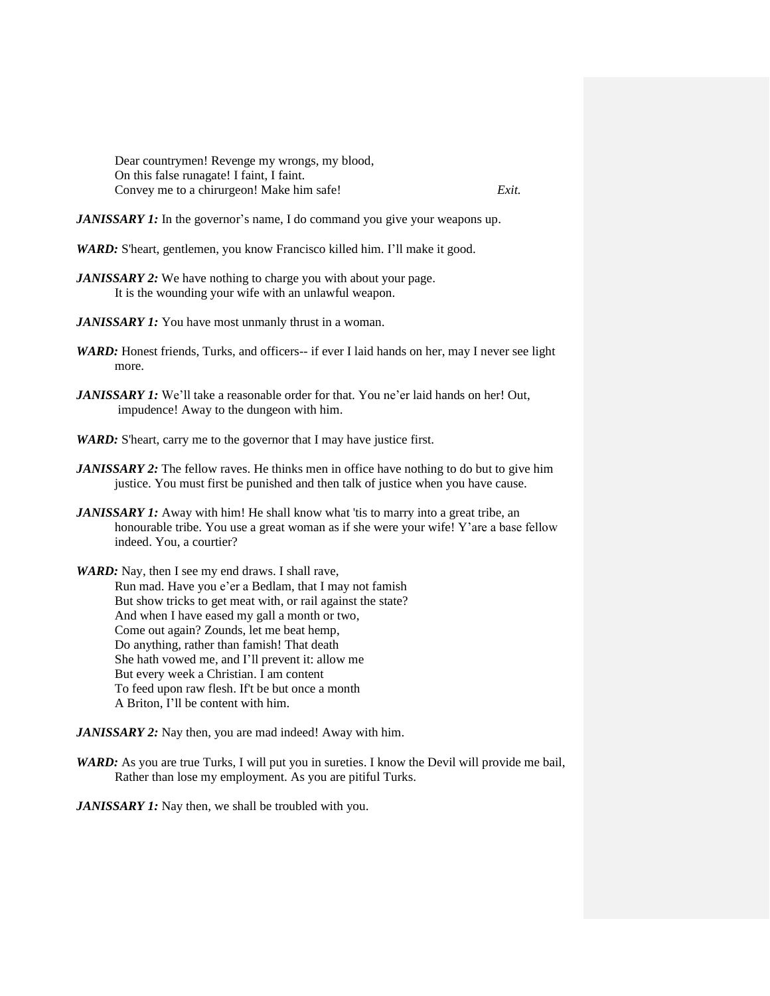Dear countrymen! Revenge my wrongs, my blood, On this false runagate! I faint, I faint. Convey me to a chirurgeon! Make him safe! *Exit.*

*JANISSARY 1:* In the governor's name, I do command you give your weapons up.

WARD: S'heart, gentlemen, you know Francisco killed him. I'll make it good.

*JANISSARY 1:* You have most unmanly thrust in a woman.

- *WARD:* Honest friends, Turks, and officers-- if ever I laid hands on her, may I never see light more.
- *JANISSARY 1:* We'll take a reasonable order for that. You ne'er laid hands on her! Out, impudence! Away to the dungeon with him.
- *WARD:* S'heart, carry me to the governor that I may have justice first.
- *JANISSARY 2:* The fellow raves. He thinks men in office have nothing to do but to give him justice. You must first be punished and then talk of justice when you have cause.
- *JANISSARY 1:* Away with him! He shall know what 'tis to marry into a great tribe, an honourable tribe. You use a great woman as if she were your wife! Y"are a base fellow indeed. You, a courtier?

*WARD*: Nay, then I see my end draws. I shall rave, Run mad. Have you e'er a Bedlam, that I may not famish But show tricks to get meat with, or rail against the state? And when I have eased my gall a month or two, Come out again? Zounds, let me beat hemp, Do anything, rather than famish! That death She hath vowed me, and I"ll prevent it: allow me But every week a Christian. I am content To feed upon raw flesh. If't be but once a month A Briton, I"ll be content with him.

*JANISSARY 2:* Nay then, you are mad indeed! Away with him.

*WARD*: As you are true Turks, I will put you in sureties. I know the Devil will provide me bail, Rather than lose my employment. As you are pitiful Turks.

*JANISSARY 1:* Nay then, we shall be troubled with you.

*JANISSARY 2:* We have nothing to charge you with about your page. It is the wounding your wife with an unlawful weapon.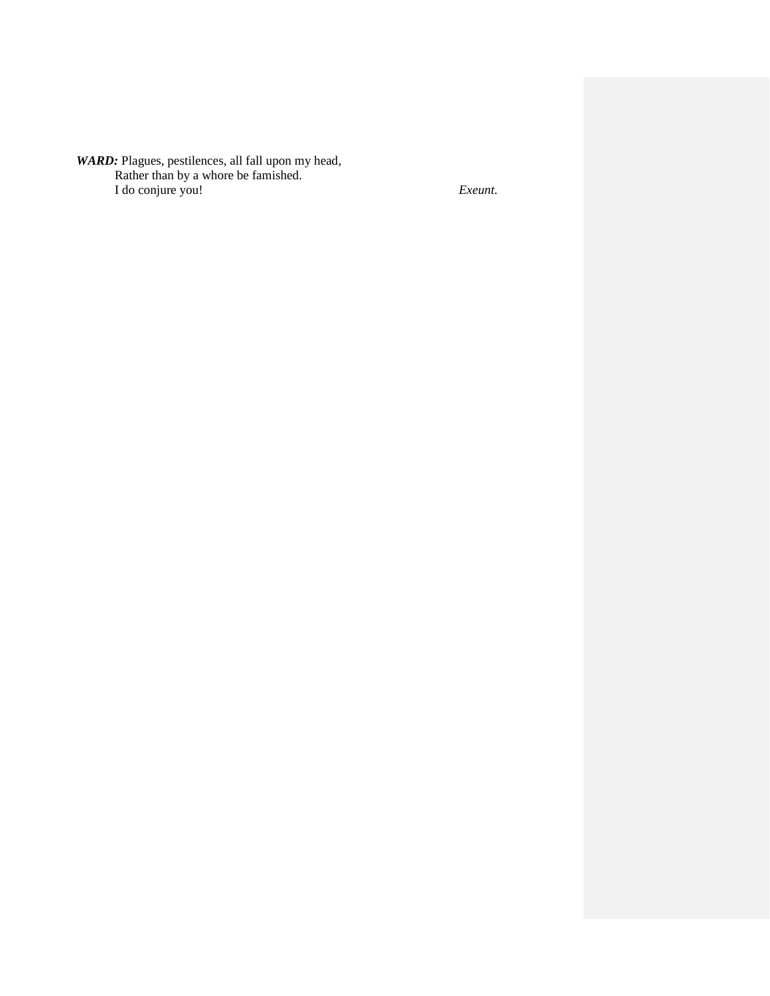WARD: Plagues, pestilences, all fall upon my head, Rather th an by a whore be famished. I do conjure you! *Exeunt.*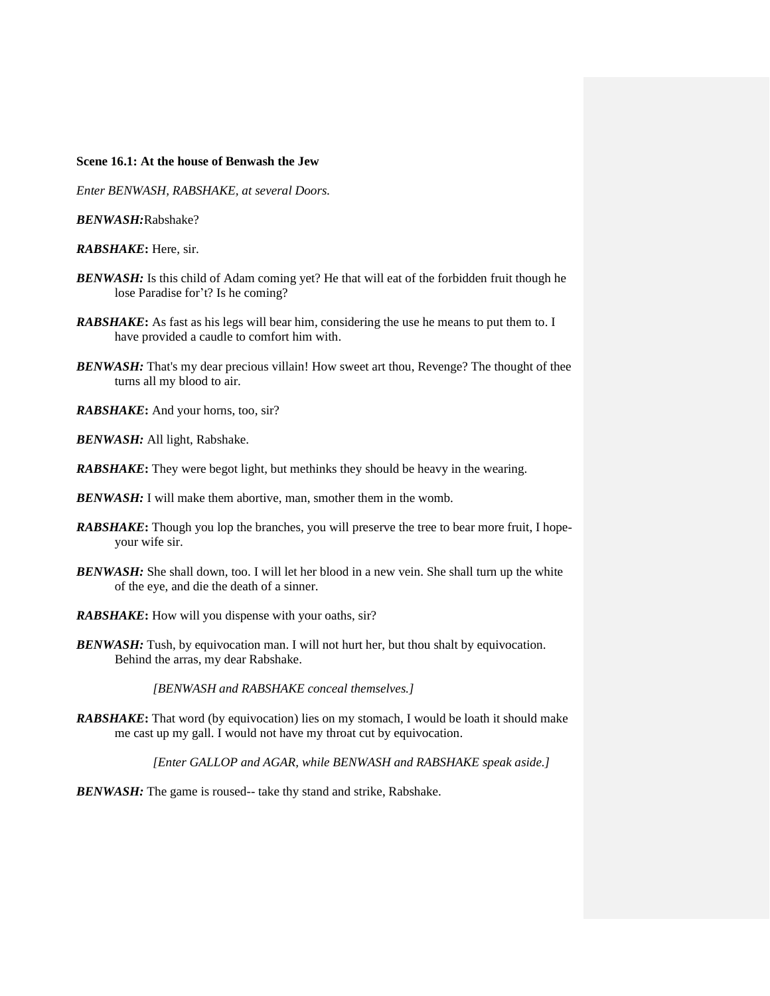#### **Scene 16.1: At the house of Benwash the Jew**

*Enter BENWASH, RABSHAKE, at several Doors.*

*BENWASH:*Rabshake?

*RABSHAKE***:** Here, sir.

- **BENWASH:** Is this child of Adam coming yet? He that will eat of the forbidden fruit though he lose Paradise for't? Is he coming?
- *RABSHAKE***:** As fast as his legs will bear him, considering the use he means to put them to. I have provided a caudle to comfort him with.
- *BENWASH:* That's my dear precious villain! How sweet art thou, Revenge? The thought of thee turns all my blood to air.

*RABSHAKE*: And your horns, too, sir?

*BENWASH:* All light, Rabshake.

- *RABSHAKE***:** They were begot light, but methinks they should be heavy in the wearing.
- **BENWASH:** I will make them abortive, man, smother them in the womb.
- *RABSHAKE*: Though you lop the branches, you will preserve the tree to bear more fruit, I hopeyour wife sir.
- **BENWASH:** She shall down, too. I will let her blood in a new vein. She shall turn up the white of the eye, and die the death of a sinner.
- *RABSHAKE***:** How will you dispense with your oaths, sir?
- *BENWASH:* Tush, by equivocation man. I will not hurt her, but thou shalt by equivocation. Behind the arras, my dear Rabshake.

*[BENWASH and RABSHAKE conceal themselves.]*

*RABSHAKE***:** That word (by equivocation) lies on my stomach, I would be loath it should make me cast up my gall. I would not have my throat cut by equivocation.

*[Enter GALLOP and AGAR, while BENWASH and RABSHAKE speak aside.]*

**BENWASH:** The game is roused-- take thy stand and strike, Rabshake.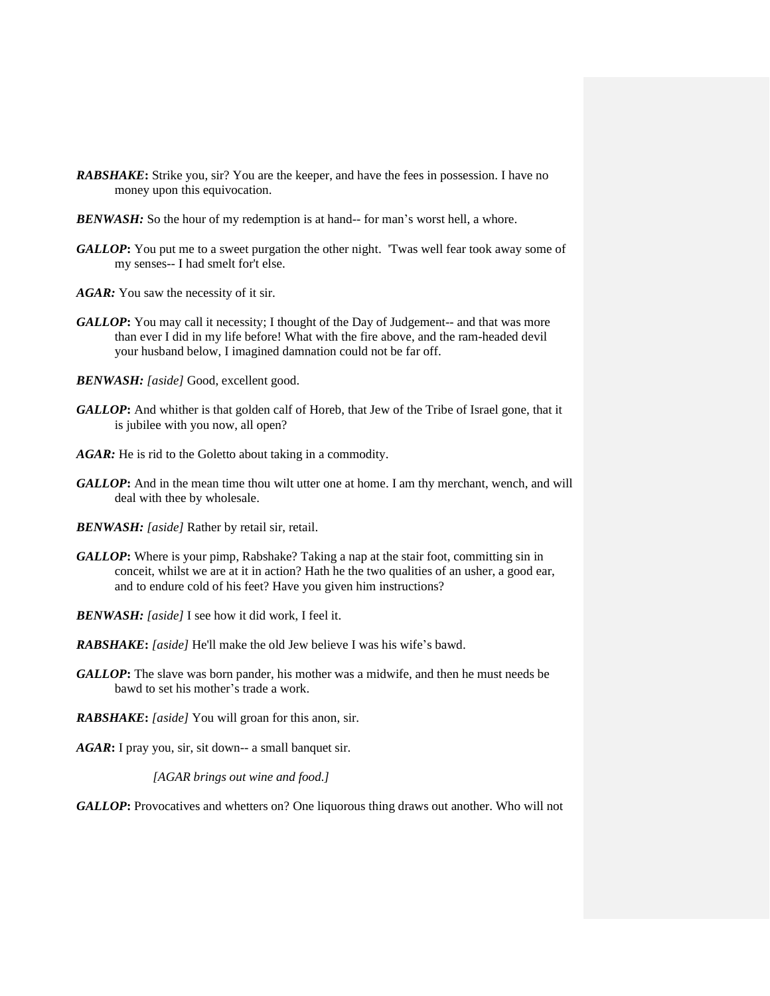- *RABSHAKE***:** Strike you, sir? You are the keeper, and have the fees in possession. I have no money upon this equivocation.
- *BENWASH:* So the hour of my redemption is at hand-- for man's worst hell, a whore.
- *GALLOP***:** You put me to a sweet purgation the other night. 'Twas well fear took away some of my senses-- I had smelt for't else.
- *AGAR:* You saw the necessity of it sir.
- *GALLOP***:** You may call it necessity; I thought of the Day of Judgement-- and that was more than ever I did in my life before! What with the fire above, and the ram-headed devil your husband below, I imagined damnation could not be far off.
- *BENWASH: [aside]* Good, excellent good.
- *GALLOP***:** And whither is that golden calf of Horeb, that Jew of the Tribe of Israel gone, that it is jubilee with you now, all open?
- AGAR: He is rid to the Goletto about taking in a commodity.
- *GALLOP***:** And in the mean time thou wilt utter one at home. I am thy merchant, wench, and will deal with thee by wholesale.
- *BENWASH: [aside]* Rather by retail sir, retail.
- *GALLOP***:** Where is your pimp, Rabshake? Taking a nap at the stair foot, committing sin in conceit, whilst we are at it in action? Hath he the two qualities of an usher, a good ear, and to endure cold of his feet? Have you given him instructions?
- *BENWASH: [aside]* I see how it did work, I feel it.
- *RABSHAKE***:** *[aside]* He'll make the old Jew believe I was his wife"s bawd.
- *GALLOP***:** The slave was born pander, his mother was a midwife, and then he must needs be bawd to set his mother"s trade a work.
- *RABSHAKE***:** *[aside]* You will groan for this anon, sir.
- AGAR: I pray you, sir, sit down-- a small banquet sir.

*[AGAR brings out wine and food.]*

*GALLOP***:** Provocatives and whetters on? One liquorous thing draws out another. Who will not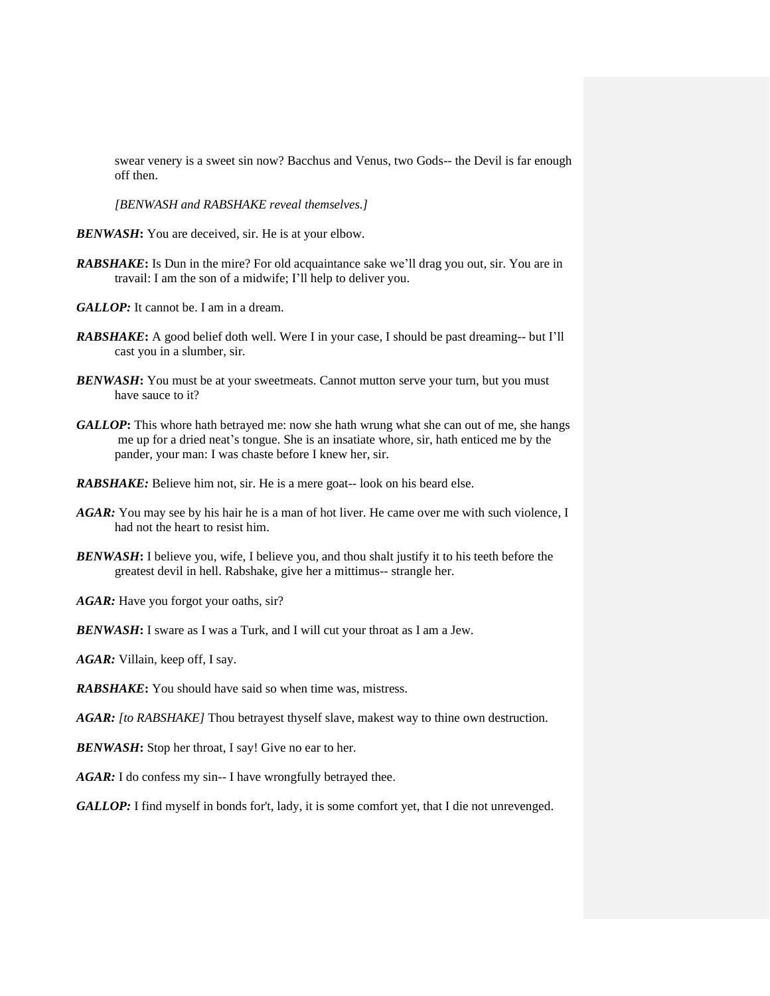swear venery is a sweet sin now? Bacchus and Venus, two Gods-- the Devil is far enough off then.

*[BENWASH and RABSHAKE reveal themselves.]*

*BENWASH***:** You are deceived, sir. He is at your elbow.

- *RABSHAKE***:** Is Dun in the mire? For old acquaintance sake we"ll drag you out, sir. You are in travail: I am the son of a midwife; I"ll help to deliver you.
- *GALLOP*: It cannot be. I am in a dream.
- *RABSHAKE***:** A good belief doth well. Were I in your case, I should be past dreaming-- but I"ll cast you in a slumber, sir.
- **BENWASH:** You must be at your sweetmeats. Cannot mutton serve your turn, but you must have sauce to it?
- *GALLOP***:** This whore hath betrayed me: now she hath wrung what she can out of me, she hangs me up for a dried neat"s tongue. She is an insatiate whore, sir, hath enticed me by the pander, your man: I was chaste before I knew her, sir.

*RABSHAKE:* Believe him not, sir. He is a mere goat--look on his beard else.

- *AGAR:* You may see by his hair he is a man of hot liver. He came over me with such violence, I had not the heart to resist him.
- **BENWASH:** I believe you, wife, I believe you, and thou shalt justify it to his teeth before the greatest devil in hell. Rabshake, give her a mittimus-- strangle her.
- AGAR: Have you forgot your oaths, sir?
- **BENWASH:** I sware as I was a Turk, and I will cut your throat as I am a Jew.

*AGAR:* Villain, keep off, I say.

- *RABSHAKE*: You should have said so when time was, mistress.
- *AGAR: [to RABSHAKE]* Thou betrayest thyself slave, makest way to thine own destruction.
- *BENWASH***:** Stop her throat, I say! Give no ear to her.
- *AGAR*: I do confess my sin-- I have wrongfully betrayed thee.

*GALLOP:* I find myself in bonds for't, lady, it is some comfort yet, that I die not unrevenged.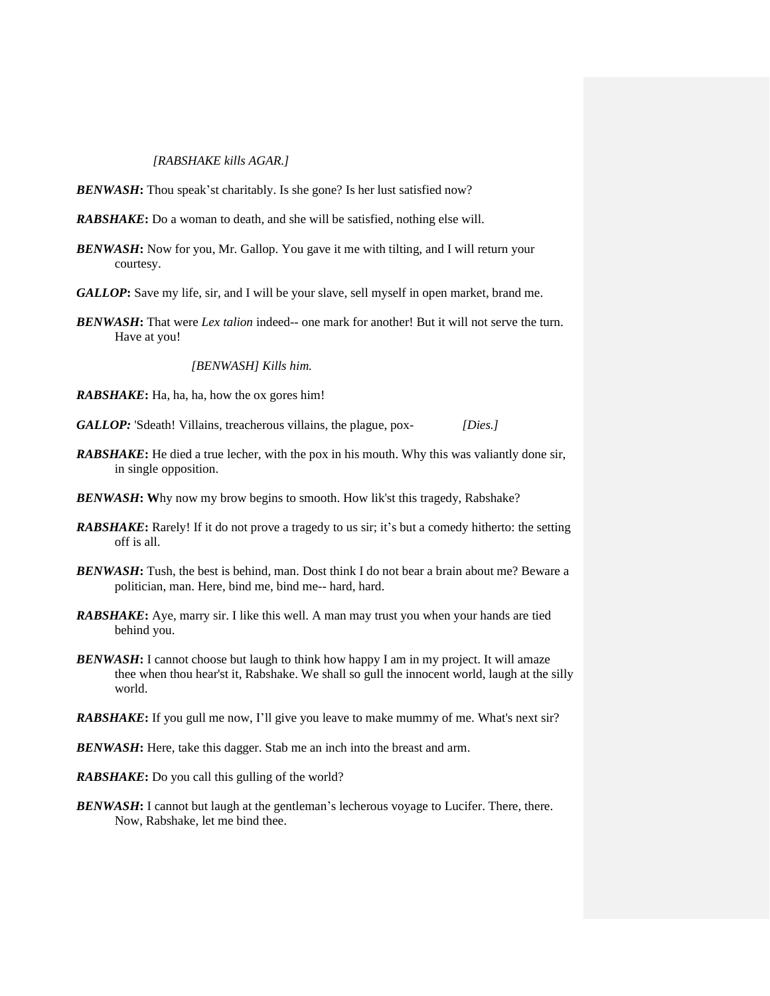*[RABSHAKE kills AGAR.]*

**BENWASH:** Thou speak'st charitably. Is she gone? Is her lust satisfied now?

*RABSHAKE***:** Do a woman to death, and she will be satisfied, nothing else will.

- *BENWASH***:** Now for you, Mr. Gallop. You gave it me with tilting, and I will return your courtesy.
- *GALLOP***:** Save my life, sir, and I will be your slave, sell myself in open market, brand me.
- *BENWASH***:** That were *Lex talion* indeed-- one mark for another! But it will not serve the turn. Have at you!

*[BENWASH] Kills him.*

*RABSHAKE***:** Ha, ha, ha, how the ox gores him!

*GALLOP:* 'Sdeath! Villains, treacherous villains, the plague, pox- *[Dies.]*

- *RABSHAKE***:** He died a true lecher, with the pox in his mouth. Why this was valiantly done sir, in single opposition.
- *BENWASH***: W**hy now my brow begins to smooth. How lik'st this tragedy, Rabshake?
- *RABSHAKE*: Rarely! If it do not prove a tragedy to us sir; it's but a comedy hitherto: the setting off is all.
- *BENWASH***:** Tush, the best is behind, man. Dost think I do not bear a brain about me? Beware a politician, man. Here, bind me, bind me-- hard, hard.
- *RABSHAKE***:** Aye, marry sir. I like this well. A man may trust you when your hands are tied behind you.
- *BENWASH***:** I cannot choose but laugh to think how happy I am in my project. It will amaze thee when thou hear'st it, Rabshake. We shall so gull the innocent world, laugh at the silly world.
- *RABSHAKE*: If you gull me now, I'll give you leave to make mummy of me. What's next sir?
- **BENWASH:** Here, take this dagger. Stab me an inch into the breast and arm.

*RABSHAKE*: Do you call this gulling of the world?

*BENWASH***:** I cannot but laugh at the gentleman"s lecherous voyage to Lucifer. There, there. Now, Rabshake, let me bind thee.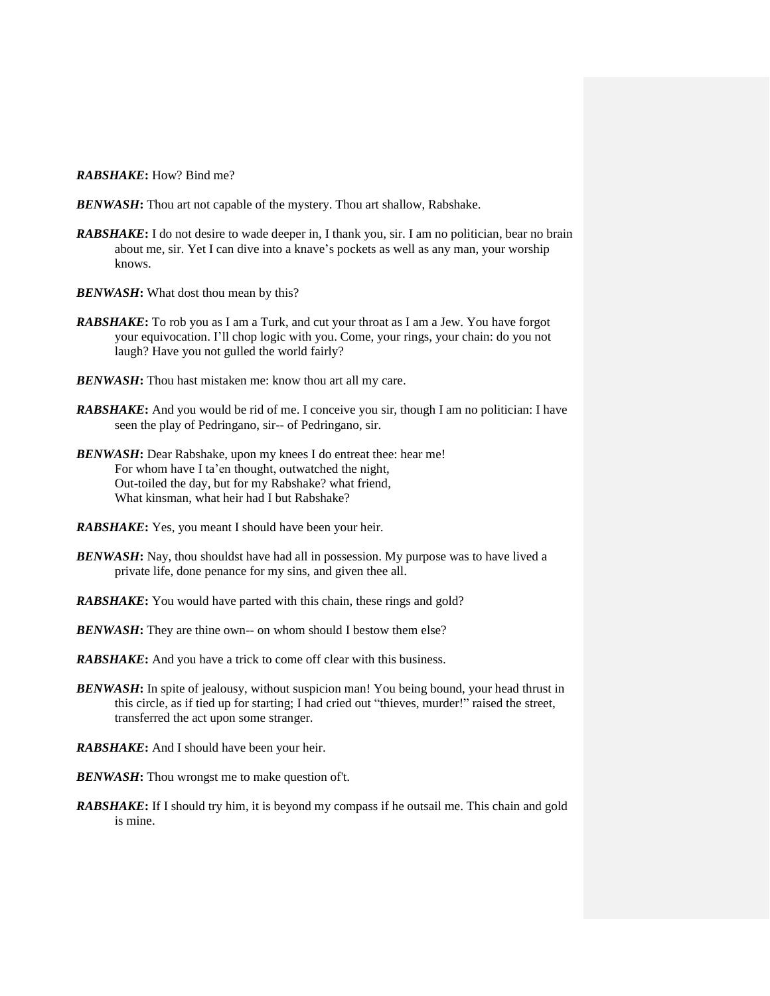*RABSHAKE***:** How? Bind me?

- *BENWASH***:** Thou art not capable of the mystery. Thou art shallow, Rabshake.
- *RABSHAKE***:** I do not desire to wade deeper in, I thank you, sir. I am no politician, bear no brain about me, sir. Yet I can dive into a knave's pockets as well as any man, your worship knows.
- **BENWASH**: What dost thou mean by this?
- *RABSHAKE***:** To rob you as I am a Turk, and cut your throat as I am a Jew. You have forgot your equivocation. I"ll chop logic with you. Come, your rings, your chain: do you not laugh? Have you not gulled the world fairly?
- **BENWASH:** Thou hast mistaken me: know thou art all my care.
- *RABSHAKE***:** And you would be rid of me. I conceive you sir, though I am no politician: I have seen the play of Pedringano, sir-- of Pedringano, sir.
- **BENWASH:** Dear Rabshake, upon my knees I do entreat thee: hear me! For whom have I ta'en thought, outwatched the night, Out-toiled the day, but for my Rabshake? what friend, What kinsman, what heir had I but Rabshake?
- *RABSHAKE***:** Yes, you meant I should have been your heir.
- *BENWASH***:** Nay, thou shouldst have had all in possession. My purpose was to have lived a private life, done penance for my sins, and given thee all.
- *RABSHAKE*: You would have parted with this chain, these rings and gold?
- **BENWASH:** They are thine own-- on whom should I bestow them else?
- *RABSHAKE***:** And you have a trick to come off clear with this business.
- *BENWASH***:** In spite of jealousy, without suspicion man! You being bound, your head thrust in this circle, as if tied up for starting; I had cried out "thieves, murder!" raised the street, transferred the act upon some stranger.
- *RABSHAKE***:** And I should have been your heir.
- *BENWASH***:** Thou wrongst me to make question of't.
- *RABSHAKE***:** If I should try him, it is beyond my compass if he outsail me. This chain and gold is mine.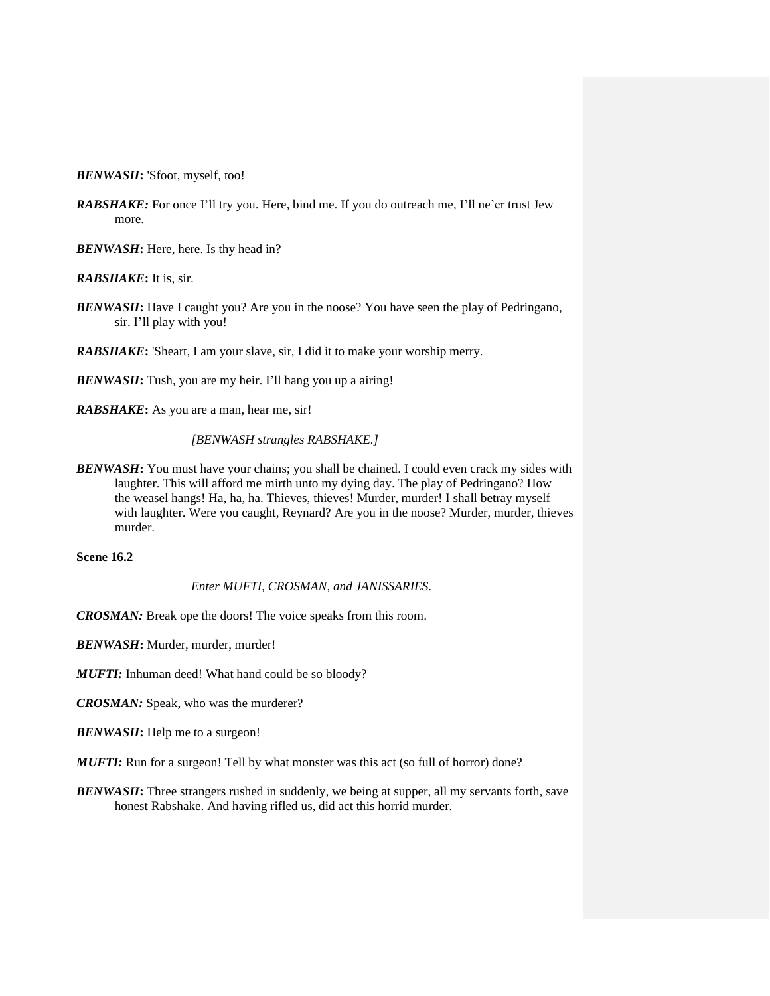*BENWASH***:** 'Sfoot, myself, too!

*RABSHAKE:* For once I'll try you. Here, bind me. If you do outreach me, I'll ne'er trust Jew more.

**BENWASH**: Here, here. Is thy head in?

*RABSHAKE***:** It is, sir.

**BENWASH**: Have I caught you? Are you in the noose? You have seen the play of Pedringano, sir. I'll play with you!

*RABSHAKE***:** 'Sheart, I am your slave, sir, I did it to make your worship merry.

**BENWASH**: Tush, you are my heir. I'll hang you up a airing!

*RABSHAKE***:** As you are a man, hear me, sir!

## *[BENWASH strangles RABSHAKE.]*

*BENWASH***:** You must have your chains; you shall be chained. I could even crack my sides with laughter. This will afford me mirth unto my dying day. The play of Pedringano? How the weasel hangs! Ha, ha, ha. Thieves, thieves! Murder, murder! I shall betray myself with laughter. Were you caught, Reynard? Are you in the noose? Murder, murder, thieves murder.

**Scene 16.2**

*Enter MUFTI, CROSMAN, and JANISSARIES.*

*CROSMAN:* Break ope the doors! The voice speaks from this room.

*BENWASH***:** Murder, murder, murder!

*MUFTI:* Inhuman deed! What hand could be so bloody?

*CROSMAN:* Speak, who was the murderer?

**BENWASH**: Help me to a surgeon!

*MUFTI:* Run for a surgeon! Tell by what monster was this act (so full of horror) done?

**BENWASH**: Three strangers rushed in suddenly, we being at supper, all my servants forth, save honest Rabshake. And having rifled us, did act this horrid murder.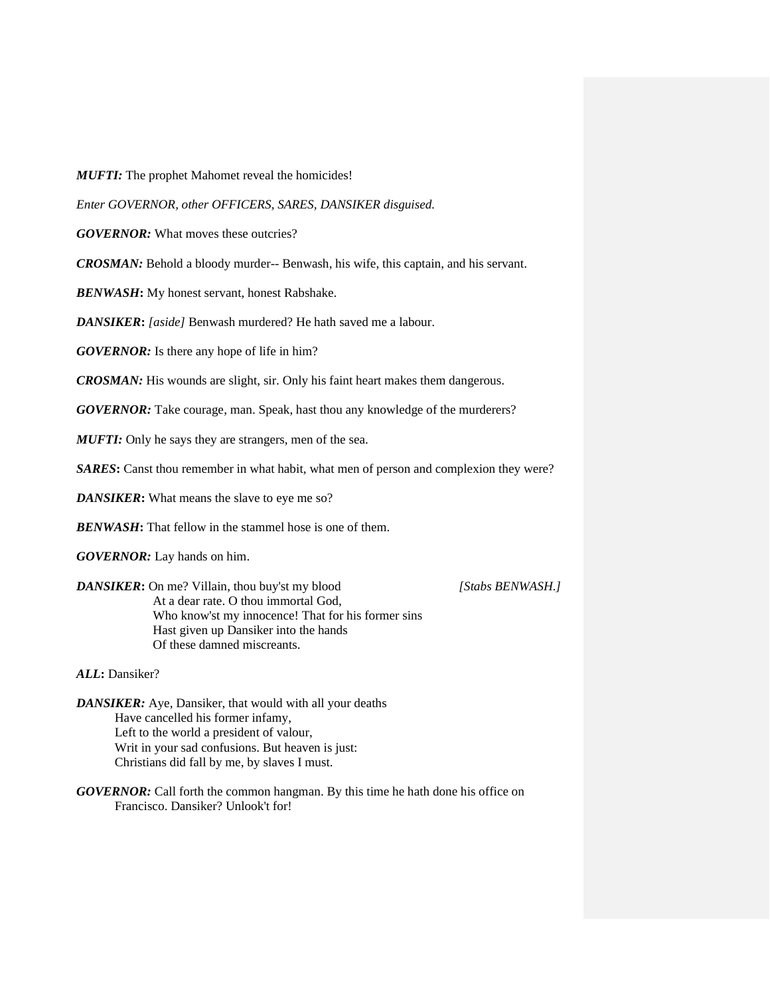*MUFTI:* The prophet Mahomet reveal the homicides!

*Enter GOVERNOR, other OFFICERS, SARES, DANSIKER disguised.*

GOVERNOR: What moves these outcries?

*CROSMAN:* Behold a bloody murder-- Benwash, his wife, this captain, and his servant.

*BENWASH***:** My honest servant, honest Rabshake.

*DANSIKER*: *[aside]* Benwash murdered? He hath saved me a labour.

*GOVERNOR:* Is there any hope of life in him?

*CROSMAN:* His wounds are slight, sir. Only his faint heart makes them dangerous.

*GOVERNOR:* Take courage, man. Speak, hast thou any knowledge of the murderers?

*MUFTI:* Only he says they are strangers, men of the sea.

**SARES**: Canst thou remember in what habit, what men of person and complexion they were?

*DANSIKER***:** What means the slave to eye me so?

**BENWASH**: That fellow in the stammel hose is one of them.

*GOVERNOR:* Lay hands on him.

*DANSIKER***:** On me? Villain, thou buy'st my blood *[Stabs BENWASH.]* At a dear rate. O thou immortal God, Who know'st my innocence! That for his former sins Hast given up Dansiker into the hands Of these damned miscreants.

*ALL***:** Dansiker?

*DANSIKER:* Aye, Dansiker, that would with all your deaths Have cancelled his former infamy, Left to the world a president of valour, Writ in your sad confusions. But heaven is just: Christians did fall by me, by slaves I must.

*GOVERNOR:* Call forth the common hangman. By this time he hath done his office on Francisco. Dansiker? Unlook't for!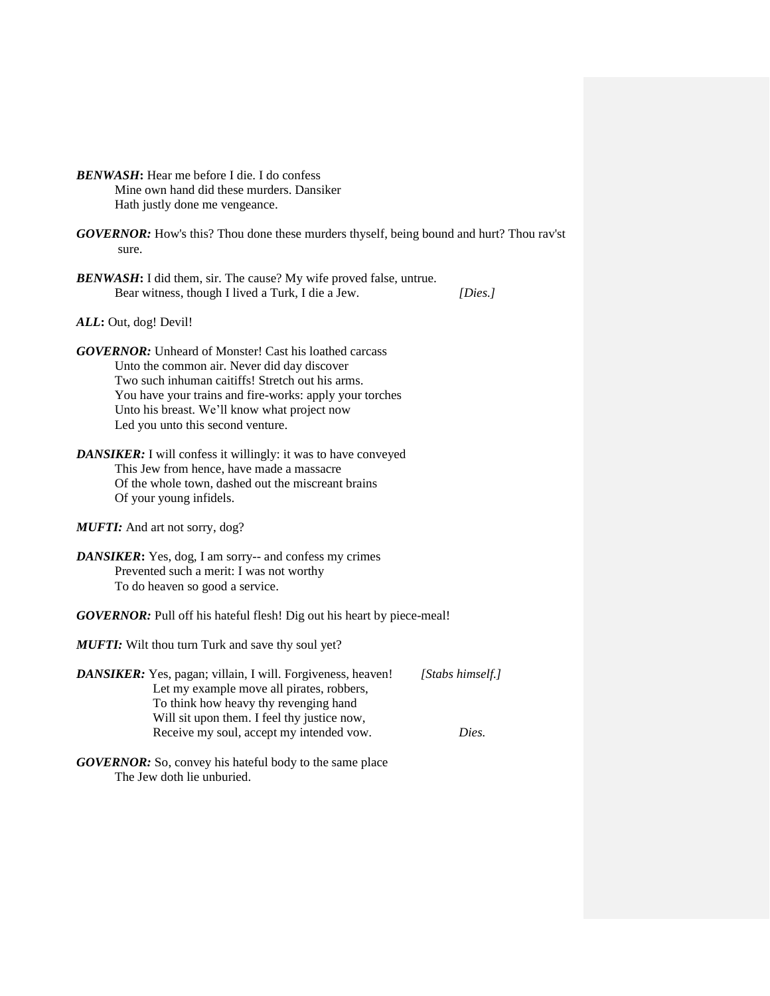| <b>BENWASH:</b> Hear me before I die. I do confess<br>Mine own hand did these murders. Dansiker<br>Hath justly done me vengeance. |         |
|-----------------------------------------------------------------------------------------------------------------------------------|---------|
| <b>GOVERNOR:</b> How's this? Thou done these murders thyself, being bound and hurt? Thou ray'st<br>sure.                          |         |
| <b>BENWASH:</b> I did them, sir. The cause? My wife proved false, untrue.<br>Bear witness, though I lived a Turk, I die a Jew.    | [Dies.] |
| ALL: Out, dog! Devil!                                                                                                             |         |
|                                                                                                                                   |         |

- *GOVERNOR:* Unheard of Monster! Cast his loathed carcass Unto the common air. Never did day discover Two such inhuman caitiffs! Stretch out his arms. You have your trains and fire-works: apply your torches Unto his breast. We"ll know what project now Led you unto this second venture.
- *DANSIKER:* I will confess it willingly: it was to have conveyed This Jew from hence, have made a massacre Of the whole town, dashed out the miscreant brains Of your young infidels.

*MUFTI:* And art not sorry, dog?

*DANSIKER***:** Yes, dog, I am sorry-- and confess my crimes Prevented such a merit: I was not worthy To do heaven so good a service.

*GOVERNOR:* Pull off his hateful flesh! Dig out his heart by piece-meal!

*MUFTI:* Wilt thou turn Turk and save thy soul yet?

- *DANSIKER:* Yes, pagan; villain, I will. Forgiveness, heaven! *[Stabs himself.]* Let my example move all pirates, robbers, To think how heavy thy revenging hand Will sit upon them. I feel thy justice now, Receive my soul, accept my intended vow. *Dies.*
- *GOVERNOR:* So, convey his hateful body to the same place The Jew doth lie unburied.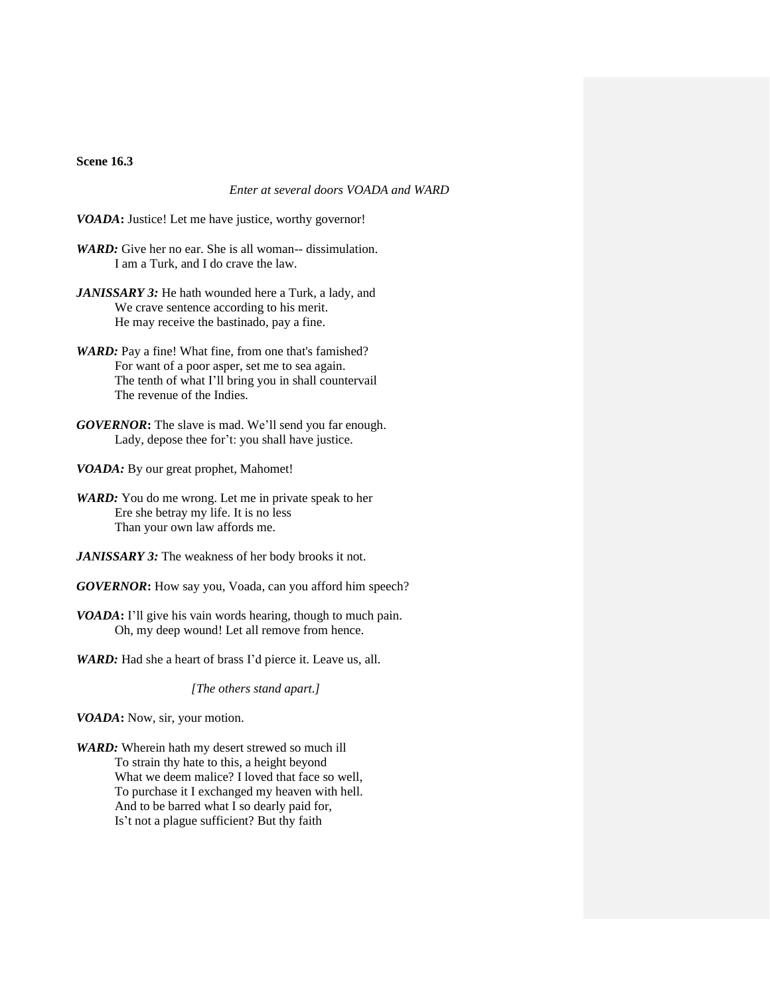## **Scene 16.3**

#### *Enter at several doors VOADA and WARD*

- *VOADA***:** Justice! Let me have justice, worthy governor!
- *WARD:* Give her no ear. She is all woman-- dissimulation. I am a Turk, and I do crave the law.
- *JANISSARY 3:* He hath wounded here a Turk, a lady, and We crave sentence according to his merit. He may receive the bastinado, pay a fine.
- *WARD:* Pay a fine! What fine, from one that's famished? For want of a poor asper, set me to sea again. The tenth of what I"ll bring you in shall countervail The revenue of the Indies.
- *GOVERNOR***:** The slave is mad. We"ll send you far enough. Lady, depose thee for"t: you shall have justice.

*VOADA:* By our great prophet, Mahomet!

- *WARD:* You do me wrong. Let me in private speak to her Ere she betray my life. It is no less Than your own law affords me.
- *JANISSARY 3:* The weakness of her body brooks it not.
- *GOVERNOR***:** How say you, Voada, can you afford him speech?
- *VOADA***:** I"ll give his vain words hearing, though to much pain. Oh, my deep wound! Let all remove from hence.
- *WARD*: Had she a heart of brass I'd pierce it. Leave us, all.

*[The others stand apart.]*

*VOADA***:** Now, sir, your motion.

*WARD:* Wherein hath my desert strewed so much ill To strain thy hate to this, a height beyond What we deem malice? I loved that face so well. To purchase it I exchanged my heaven with hell. And to be barred what I so dearly paid for, Is't not a plague sufficient? But thy faith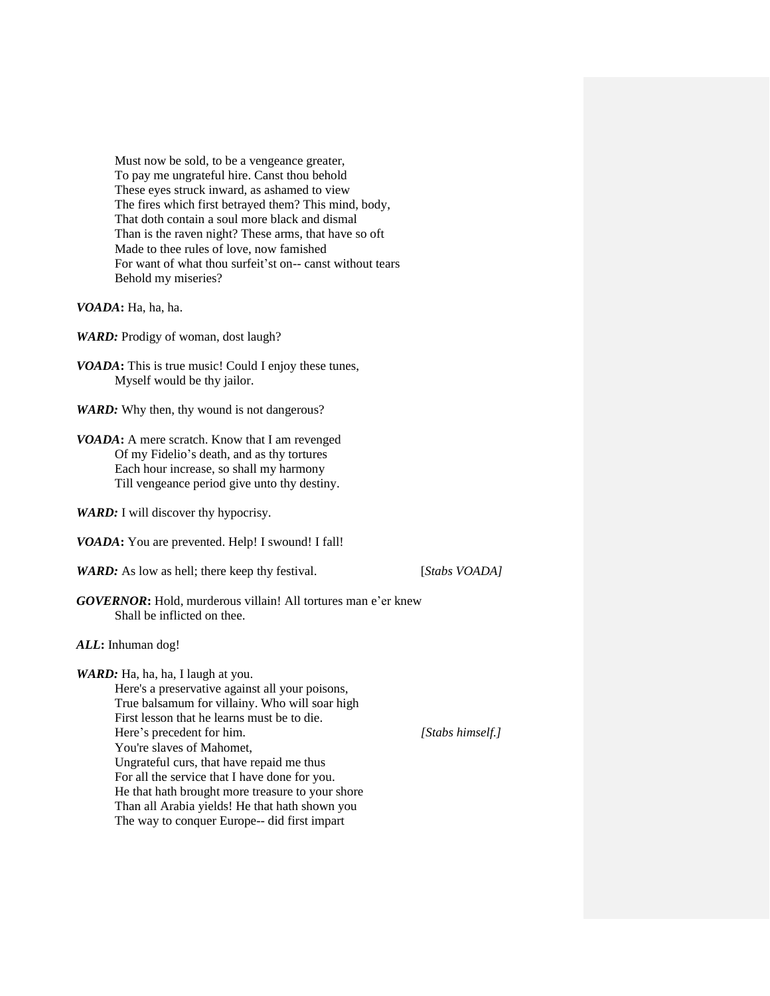Must now be sold, to be a vengeance greater, To pay me ungrateful hire. Canst thou behold These eyes struck inward, as ashamed to view The fires which first betrayed them? This mind, body, That doth contain a soul more black and dismal Than is the raven night? These arms, that have so oft Made to thee rules of love, now famished For want of what thou surfeit'st on-- canst without tears Behold my miseries?

*VOADA***:** Ha, ha, ha.

*WARD:* Prodigy of woman, dost laugh?

*VOADA***:** This is true music! Could I enjoy these tunes, Myself would be thy jailor.

*WARD:* Why then, thy wound is not dangerous?

*VOADA***:** A mere scratch. Know that I am revenged Of my Fidelio"s death, and as thy tortures Each hour increase, so shall my harmony Till vengeance period give unto thy destiny.

WARD: I will discover thy hypocrisy.

*VOADA***:** You are prevented. Help! I swound! I fall!

*WARD:* As low as hell; there keep thy festival. [*Stabs VOADA]*

*GOVERNOR*: Hold, murderous villain! All tortures man e'er knew Shall be inflicted on thee.

*ALL***:** Inhuman dog!

*WARD:* Ha, ha, ha, I laugh at you.

Here's a preservative against all your poisons, True balsamum for villainy. Who will soar high First lesson that he learns must be to die. Here's precedent for him. *[Stabs himself.]* You're slaves of Mahomet, Ungrateful curs, that have repaid me thus For all the service that I have done for you. He that hath brought more treasure to your shore Than all Arabia yields! He that hath shown you The way to conquer Europe-- did first impart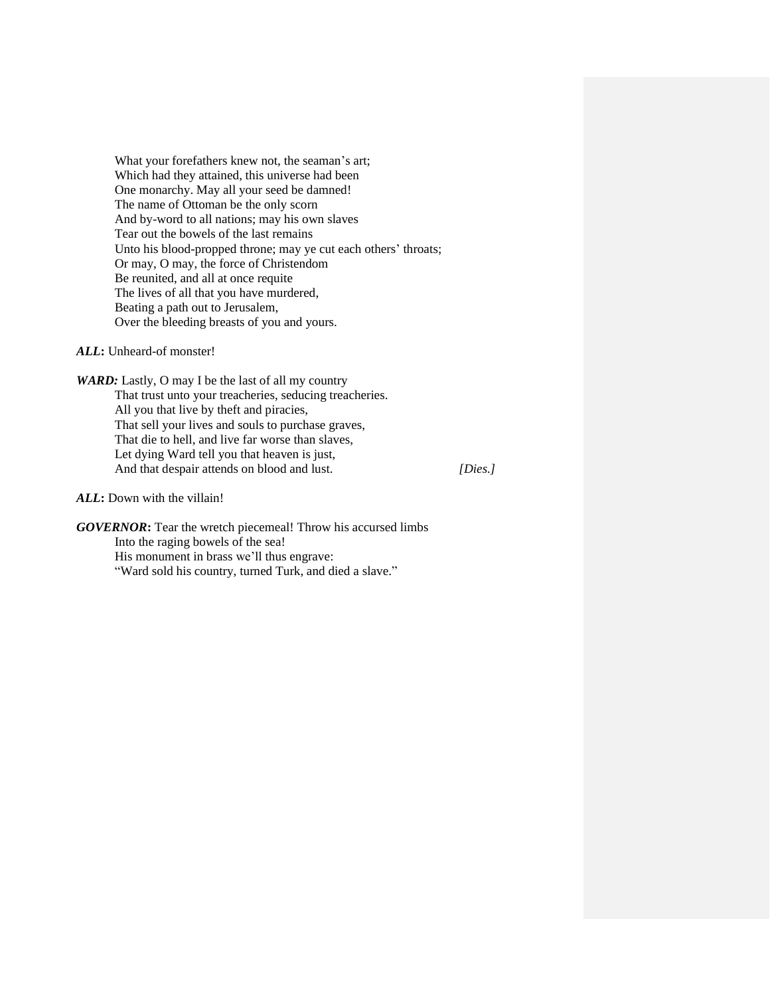What your forefathers knew not, the seaman's art; Which had they attained, this universe had been One monarchy. May all your seed be damned! The name of Ottoman be the only scorn And by-word to all nations; may his own slaves Tear out the bowels of the last remains Unto his blood-propped throne; may ye cut each others' throats; Or may, O may, the force of Christendom Be reunited, and all at once requite The lives of all that you have murdered, Beating a path out to Jerusalem, Over the bleeding breasts of you and yours.

ALL: Unheard-of monster!

*WARD:* Lastly, O may I be the last of all my country That trust unto your treacheries, seducing treacheries. All you that live by theft and piracies, That sell your lives and souls to purchase graves, That die to hell, and live far worse than slaves, Let dying Ward tell you that heaven is just, And that despair attends on blood and lust. *[Dies.]*

ALL: Down with the villain!

*GOVERNOR***:** Tear the wretch piecemeal! Throw his accursed limbs Into the raging bowels of the sea! His monument in brass we"ll thus engrave: "Ward sold his country, turned Turk, and died a slave."